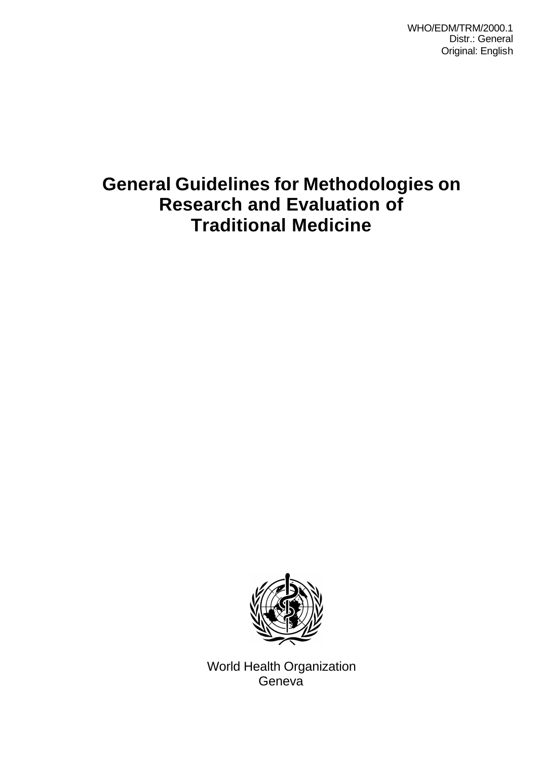WHO/EDM/TRM/2000.1 Distr.: General Original: English

# **General Guidelines for Methodologies on Research and Evaluation of Traditional Medicine**



World Health Organization Geneva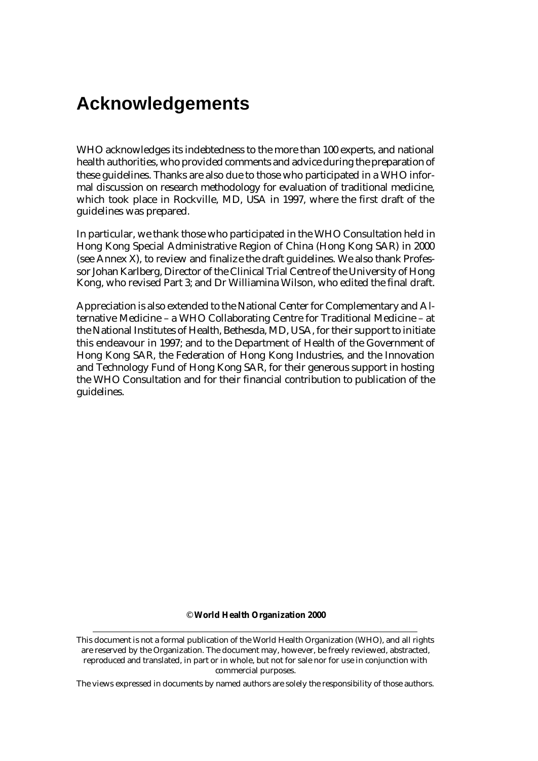# **Acknowledgements**

WHO acknowledges its indebtedness to the more than 100 experts, and national health authorities, who provided comments and advice during the preparation of these guidelines. Thanks are also due to those who participated in a WHO informal discussion on research methodology for evaluation of traditional medicine, which took place in Rockville, MD, USA in 1997, where the first draft of the guidelines was prepared.

In particular, we thank those who participated in the WHO Consultation held in Hong Kong Special Administrative Region of China (Hong Kong SAR) in 2000 (see Annex X), to review and finalize the draft guidelines. We also thank Professor Johan Karlberg, Director of the Clinical Trial Centre of the University of Hong Kong, who revised Part 3; and Dr Williamina Wilson, who edited the final draft.

Appreciation is also extended to the National Center for Complementary and Alternative Medicine – a WHO Collaborating Centre for Traditional Medicine – at the National Institutes of Health, Bethesda, MD, USA, for their support to initiate this endeavour in 1997; and to the Department of Health of the Government of Hong Kong SAR, the Federation of Hong Kong Industries, and the Innovation and Technology Fund of Hong Kong SAR, for their generous support in hosting the WHO Consultation and for their financial contribution to publication of the guidelines.

#### © **World Health Organization 2000**

This document is not a formal publication of the World Health Organization (WHO), and all rights are reserved by the Organization. The document may, however, be freely reviewed, abstracted, reproduced and translated, in part or in whole, but not for sale nor for use in conjunction with commercial purposes.

The views expressed in documents by named authors are solely the responsibility of those authors.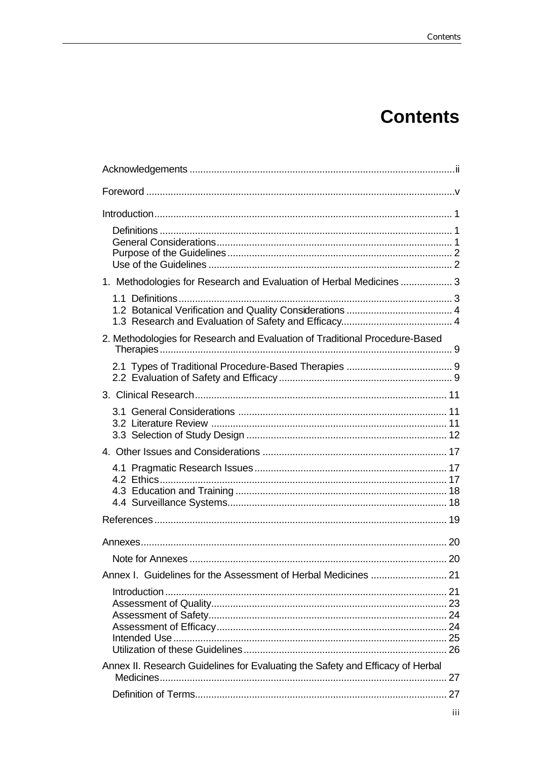# **Contents**

| 1. Methodologies for Research and Evaluation of Herbal Medicines  3            |  |
|--------------------------------------------------------------------------------|--|
|                                                                                |  |
| 2. Methodologies for Research and Evaluation of Traditional Procedure-Based    |  |
|                                                                                |  |
|                                                                                |  |
|                                                                                |  |
|                                                                                |  |
|                                                                                |  |
|                                                                                |  |
|                                                                                |  |
|                                                                                |  |
|                                                                                |  |
|                                                                                |  |
|                                                                                |  |
|                                                                                |  |
| Annex II. Research Guidelines for Evaluating the Safety and Efficacy of Herbal |  |
|                                                                                |  |
|                                                                                |  |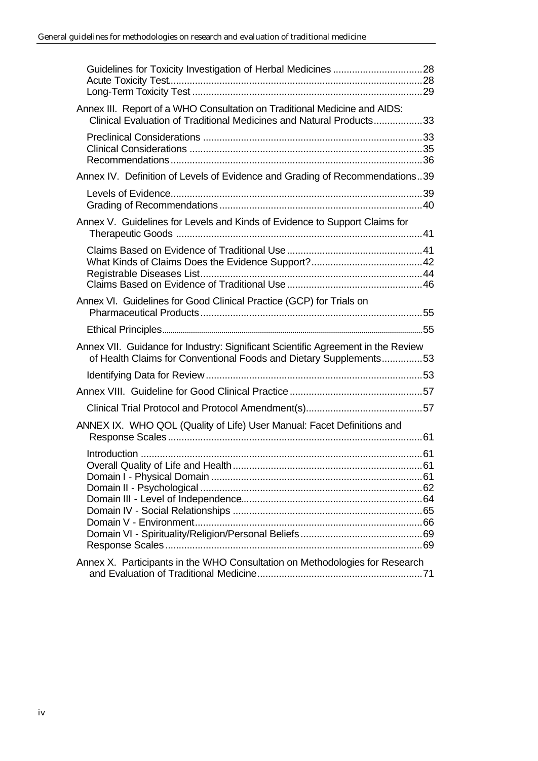| Annex III. Report of a WHO Consultation on Traditional Medicine and AIDS:<br>Clinical Evaluation of Traditional Medicines and Natural Products33      |  |
|-------------------------------------------------------------------------------------------------------------------------------------------------------|--|
|                                                                                                                                                       |  |
| Annex IV. Definition of Levels of Evidence and Grading of Recommendations39                                                                           |  |
|                                                                                                                                                       |  |
| Annex V. Guidelines for Levels and Kinds of Evidence to Support Claims for                                                                            |  |
|                                                                                                                                                       |  |
| Annex VI. Guidelines for Good Clinical Practice (GCP) for Trials on                                                                                   |  |
|                                                                                                                                                       |  |
|                                                                                                                                                       |  |
| Annex VII. Guidance for Industry: Significant Scientific Agreement in the Review<br>of Health Claims for Conventional Foods and Dietary Supplements53 |  |
|                                                                                                                                                       |  |
|                                                                                                                                                       |  |
|                                                                                                                                                       |  |
| ANNEX IX. WHO QOL (Quality of Life) User Manual: Facet Definitions and                                                                                |  |
|                                                                                                                                                       |  |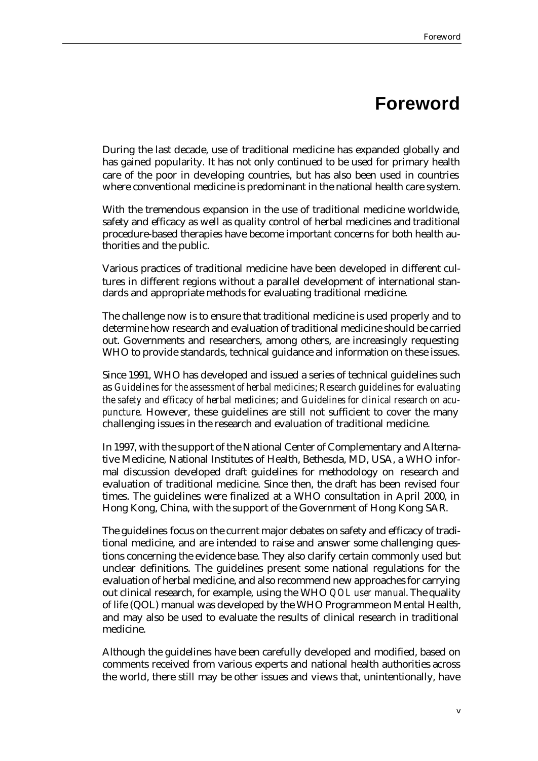# **Foreword**

During the last decade, use of traditional medicine has expanded globally and has gained popularity. It has not only continued to be used for primary health care of the poor in developing countries, but has also been used in countries where conventional medicine is predominant in the national health care system.

With the tremendous expansion in the use of traditional medicine worldwide, safety and efficacy as well as quality control of herbal medicines and traditional procedure-based therapies have become important concerns for both health authorities and the public.

Various practices of traditional medicine have been developed in different cultures in different regions without a parallel development of international standards and appropriate methods for evaluating traditional medicine.

The challenge now is to ensure that traditional medicine is used properly and to determine how research and evaluation of traditional medicine should be carried out. Governments and researchers, among others, are increasingly requesting WHO to provide standards, technical guidance and information on these issues.

Since 1991, WHO has developed and issued a series of technical guidelines such as *Guidelines for the assessment of herbal medicines*; *Research guidelines for evaluating the safety and efficacy of herbal medicines*; and *Guidelines for clinical research on acupuncture*. However, these guidelines are still not sufficient to cover the many challenging issues in the research and evaluation of traditional medicine.

In 1997, with the support of the National Center of Complementary and Alternative Medicine, National Institutes of Health, Bethesda, MD, USA, a WHO informal discussion developed draft guidelines for methodology on research and evaluation of traditional medicine. Since then, the draft has been revised four times. The guidelines were finalized at a WHO consultation in April 2000, in Hong Kong, China, with the support of the Government of Hong Kong SAR.

The guidelines focus on the current major debates on safety and efficacy of traditional medicine, and are intended to raise and answer some challenging questions concerning the evidence base. They also clarify certain commonly used but unclear definitions. The guidelines present some national regulations for the evaluation of herbal medicine, and also recommend new approaches for carrying out clinical research, for example, using the WHO *QOL user manual*. The quality of life (QOL) manual was developed by the WHO Programme on Mental Health, and may also be used to evaluate the results of clinical research in traditional medicine.

Although the guidelines have been carefully developed and modified, based on comments received from various experts and national health authorities across the world, there still may be other issues and views that, unintentionally, have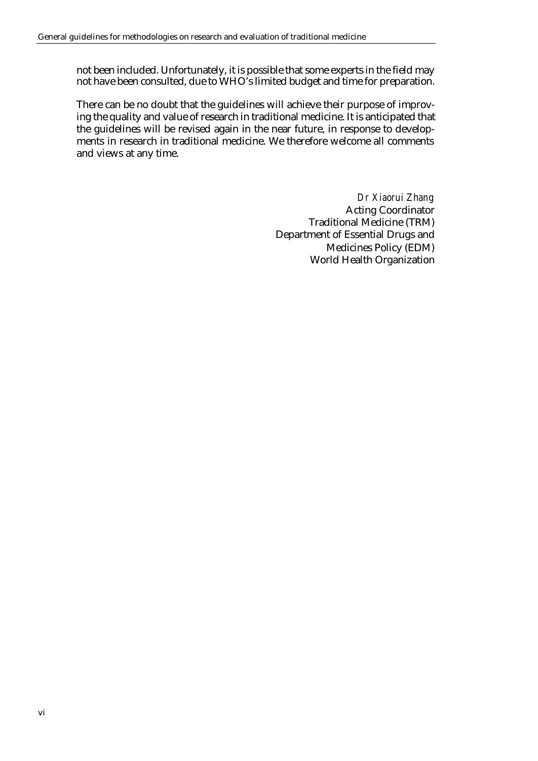not been included. Unfortunately, it is possible that some experts in the field may not have been consulted, due to WHO's limited budget and time for preparation.

There can be no doubt that the guidelines will achieve their purpose of improving the quality and value of research in traditional medicine. It is anticipated that the guidelines will be revised again in the near future, in response to developments in research in traditional medicine. We therefore welcome all comments and views at any time.

> *Dr Xiaorui Zhang* Acting Coordinator Traditional Medicine (TRM) Department of Essential Drugs and Medicines Policy (EDM) World Health Organization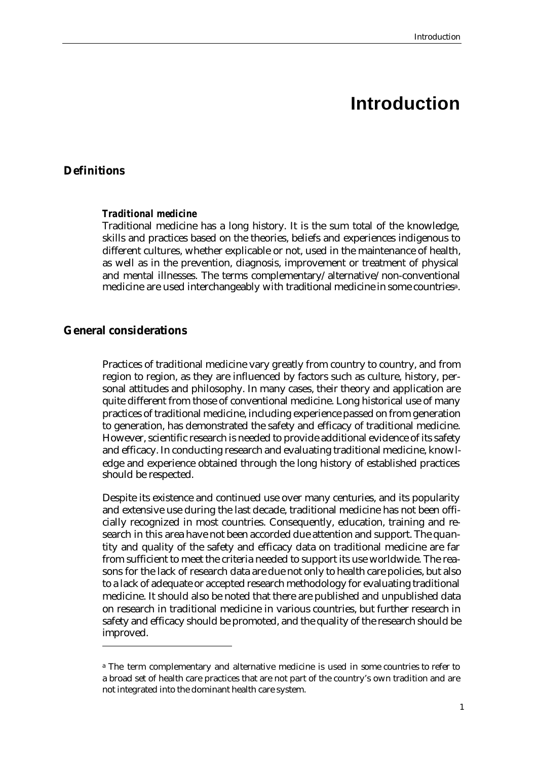# **Introduction**

### **Definitions**

### *Traditional medicine*

Traditional medicine has a long history. It is the sum total of the knowledge, skills and practices based on the theories, beliefs and experiences indigenous to different cultures, whether explicable or not, used in the maintenance of health, as well as in the prevention, diagnosis, improvement or treatment of physical and mental illnesses. The terms complementary/alternative/non-conventional medicine are used interchangeably with traditional medicine in some countriesa.

### **General considerations**

 $\overline{a}$ 

Practices of traditional medicine vary greatly from country to country, and from region to region, as they are influenced by factors such as culture, history, personal attitudes and philosophy. In many cases, their theory and application are quite different from those of conventional medicine. Long historical use of many practices of traditional medicine, including experience passed on from generation to generation, has demonstrated the safety and efficacy of traditional medicine. However, scientific research is needed to provide additional evidence of its safety and efficacy. In conducting research and evaluating traditional medicine, knowledge and experience obtained through the long history of established practices should be respected.

Despite its existence and continued use over many centuries, and its popularity and extensive use during the last decade, traditional medicine has not been officially recognized in most countries. Consequently, education, training and research in this area have not been accorded due attention and support. The quantity and quality of the safety and efficacy data on traditional medicine are far from sufficient to meet the criteria needed to support its use worldwide. The reasons for the lack of research data are due not only to health care policies, but also to a lack of adequate or accepted research methodology for evaluating traditional medicine. It should also be noted that there are published and unpublished data on research in traditional medicine in various countries, but further research in safety and efficacy should be promoted, and the quality of the research should be improved.

<sup>&</sup>lt;sup>a</sup> The term complementary and alternative medicine is used in some countries to refer to a broad set of health care practices that are not part of the country's own tradition and are not integrated into the dominant health care system.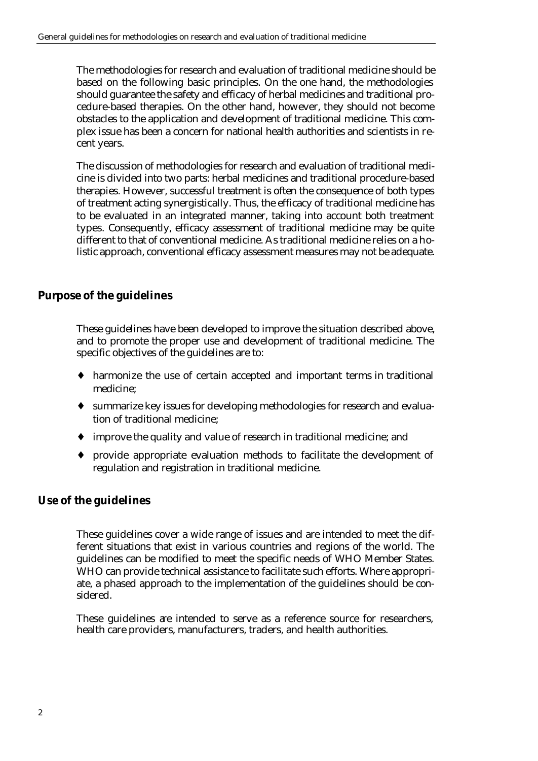The methodologies for research and evaluation of traditional medicine should be based on the following basic principles. On the one hand, the methodologies should guarantee the safety and efficacy of herbal medicines and traditional procedure-based therapies. On the other hand, however, they should not become obstacles to the application and development of traditional medicine. This complex issue has been a concern for national health authorities and scientists in recent years.

The discussion of methodologies for research and evaluation of traditional medicine is divided into two parts: herbal medicines and traditional procedure-based therapies. However, successful treatment is often the consequence of both types of treatment acting synergistically. Thus, the efficacy of traditional medicine has to be evaluated in an integrated manner, taking into account both treatment types. Consequently, efficacy assessment of traditional medicine may be quite different to that of conventional medicine. As traditional medicine relies on a holistic approach, conventional efficacy assessment measures may not be adequate.

## **Purpose of the guidelines**

These guidelines have been developed to improve the situation described above, and to promote the proper use and development of traditional medicine. The specific objectives of the guidelines are to:

- ♦ harmonize the use of certain accepted and important terms in traditional medicine;
- ♦ summarize key issues for developing methodologies for research and evaluation of traditional medicine;
- ♦ improve the quality and value of research in traditional medicine; and
- ♦ provide appropriate evaluation methods to facilitate the development of regulation and registration in traditional medicine.

## **Use of the guidelines**

These guidelines cover a wide range of issues and are intended to meet the different situations that exist in various countries and regions of the world. The guidelines can be modified to meet the specific needs of WHO Member States. WHO can provide technical assistance to facilitate such efforts. Where appropriate, a phased approach to the implementation of the guidelines should be considered.

These guidelines are intended to serve as a reference source for researchers, health care providers, manufacturers, traders, and health authorities.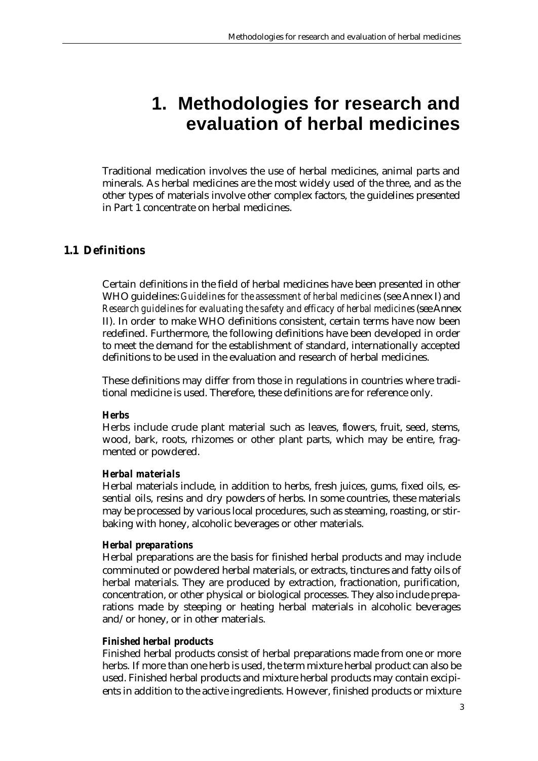# **1. Methodologies for research and evaluation of herbal medicines**

Traditional medication involves the use of herbal medicines, animal parts and minerals. As herbal medicines are the most widely used of the three, and as the other types of materials involve other complex factors, the guidelines presented in Part 1 concentrate on herbal medicines.

## **1.1 Definitions**

Certain definitions in the field of herbal medicines have been presented in other WHO guidelines: *Guidelines for the assessment of herbal medicines* (see Annex I) and *Research guidelines for evaluating the safety and efficacy of herbal medicines* (see Annex II). In order to make WHO definitions consistent, certain terms have now been redefined. Furthermore, the following definitions have been developed in order to meet the demand for the establishment of standard, internationally accepted definitions to be used in the evaluation and research of herbal medicines.

These definitions may differ from those in regulations in countries where traditional medicine is used. Therefore, these definitions are for reference only.

### *Herbs*

Herbs include crude plant material such as leaves, flowers, fruit, seed, stems, wood, bark, roots, rhizomes or other plant parts, which may be entire, fragmented or powdered.

### *Herbal materials*

Herbal materials include, in addition to herbs, fresh juices, gums, fixed oils, essential oils, resins and dry powders of herbs. In some countries, these materials may be processed by various local procedures, such as steaming, roasting, or stirbaking with honey, alcoholic beverages or other materials.

### *Herbal preparations*

Herbal preparations are the basis for finished herbal products and may include comminuted or powdered herbal materials, or extracts, tinctures and fatty oils of herbal materials. They are produced by extraction, fractionation, purification, concentration, or other physical or biological processes. They also include preparations made by steeping or heating herbal materials in alcoholic beverages and/or honey, or in other materials.

### *Finished herbal products*

Finished herbal products consist of herbal preparations made from one or more herbs. If more than one herb is used, the term mixture herbal product can also be used. Finished herbal products and mixture herbal products may contain excipients in addition to the active ingredients. However, finished products or mixture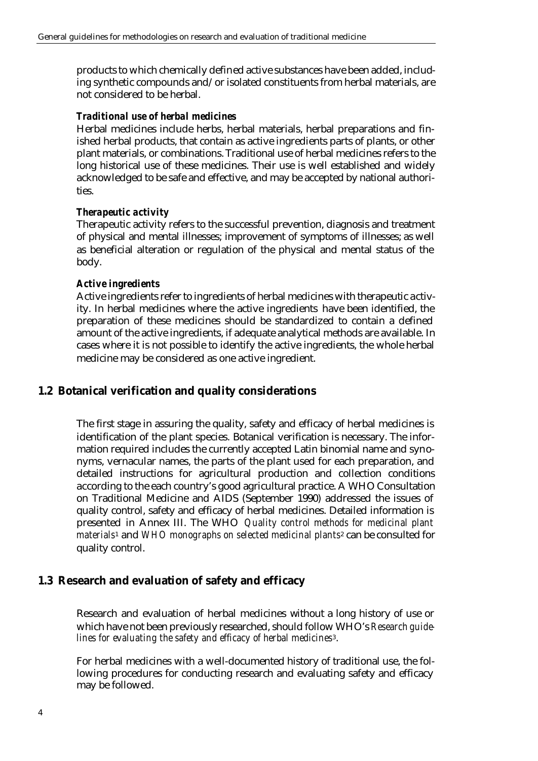products to which chemically defined active substances have been added, including synthetic compounds and/or isolated constituents from herbal materials, are not considered to be herbal.

### *Traditional use of herbal medicines*

Herbal medicines include herbs, herbal materials, herbal preparations and finished herbal products, that contain as active ingredients parts of plants, or other plant materials, or combinations. Traditional use of herbal medicines refers to the long historical use of these medicines. Their use is well established and widely acknowledged to be safe and effective, and may be accepted by national authorities.

### *Therapeutic activity*

Therapeutic activity refers to the successful prevention, diagnosis and treatment of physical and mental illnesses; improvement of symptoms of illnesses; as well as beneficial alteration or regulation of the physical and mental status of the body.

### *Active ingredients*

Active ingredients refer to ingredients of herbal medicines with therapeutic activity. In herbal medicines where the active ingredients have been identified, the preparation of these medicines should be standardized to contain a defined amount of the active ingredients, if adequate analytical methods are available. In cases where it is not possible to identify the active ingredients, the whole herbal medicine may be considered as one active ingredient.

## **1.2 Botanical verification and quality considerations**

The first stage in assuring the quality, safety and efficacy of herbal medicines is identification of the plant species. Botanical verification is necessary. The information required includes the currently accepted Latin binomial name and synonyms, vernacular names, the parts of the plant used for each preparation, and detailed instructions for agricultural production and collection conditions according to the each country's good agricultural practice. A WHO Consultation on Traditional Medicine and AIDS (September 1990) addressed the issues of quality control, safety and efficacy of herbal medicines. Detailed information is presented in Annex III. The WHO *Quality control methods for medicinal plant materials*1 and *WHO monographs on selected medicinal plants*2 can be consulted for quality control.

### **1.3 Research and evaluation of safety and efficacy**

Research and evaluation of herbal medicines without a long history of use or which have not been previously researched, should follow WHO's *Research guidelines for evaluating the safety and efficacy of herbal medicines*3.

For herbal medicines with a well-documented history of traditional use, the following procedures for conducting research and evaluating safety and efficacy may be followed.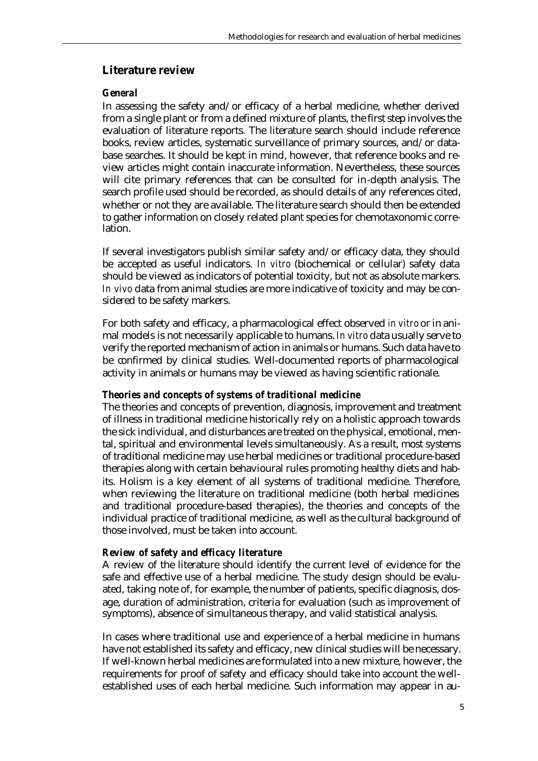### **Literature review**

### *General*

In assessing the safety and/or efficacy of a herbal medicine, whether derived from a single plant or from a defined mixture of plants, the first step involves the evaluation of literature reports. The literature search should include reference books, review articles, systematic surveillance of primary sources, and/or database searches. It should be kept in mind, however, that reference books and review articles might contain inaccurate information. Nevertheless, these sources will cite primary references that can be consulted for in-depth analysis. The search profile used should be recorded, as should details of any references cited, whether or not they are available. The literature search should then be extended to gather information on closely related plant species for chemotaxonomic correlation.

If several investigators publish similar safety and/or efficacy data, they should be accepted as useful indicators. *In vitro* (biochemical or cellular) safety data should be viewed as indicators of potential toxicity, but not as absolute markers. *In vivo* data from animal studies are more indicative of toxicity and may be considered to be safety markers.

For both safety and efficacy, a pharmacological effect observed *in vitro* or in animal models is not necessarily applicable to humans. *In vitro* data usually serve to verify the reported mechanism of action in animals or humans. Such data have to be confirmed by clinical studies. Well-documented reports of pharmacological activity in animals or humans may be viewed as having scientific rationale.

### *Theories and concepts of systems of traditional medicine*

The theories and concepts of prevention, diagnosis, improvement and treatment of illness in traditional medicine historically rely on a holistic approach towards the sick individual, and disturbances are treated on the physical, emotional, mental, spiritual and environmental levels simultaneously. As a result, most systems of traditional medicine may use herbal medicines or traditional procedure-based therapies along with certain behavioural rules promoting healthy diets and habits. Holism is a key element of all systems of traditional medicine. Therefore, when reviewing the literature on traditional medicine (both herbal medicines and traditional procedure-based therapies), the theories and concepts of the individual practice of traditional medicine, as well as the cultural background of those involved, must be taken into account.

### *Review of safety and efficacy literature*

A review of the literature should identify the current level of evidence for the safe and effective use of a herbal medicine. The study design should be evaluated, taking note of, for example, the number of patients, specific diagnosis, dosage, duration of administration, criteria for evaluation (such as improvement of symptoms), absence of simultaneous therapy, and valid statistical analysis.

In cases where traditional use and experience of a herbal medicine in humans have not established its safety and efficacy, new clinical studies will be necessary. If well-known herbal medicines are formulated into a new mixture, however, the requirements for proof of safety and efficacy should take into account the wellestablished uses of each herbal medicine. Such information may appear in au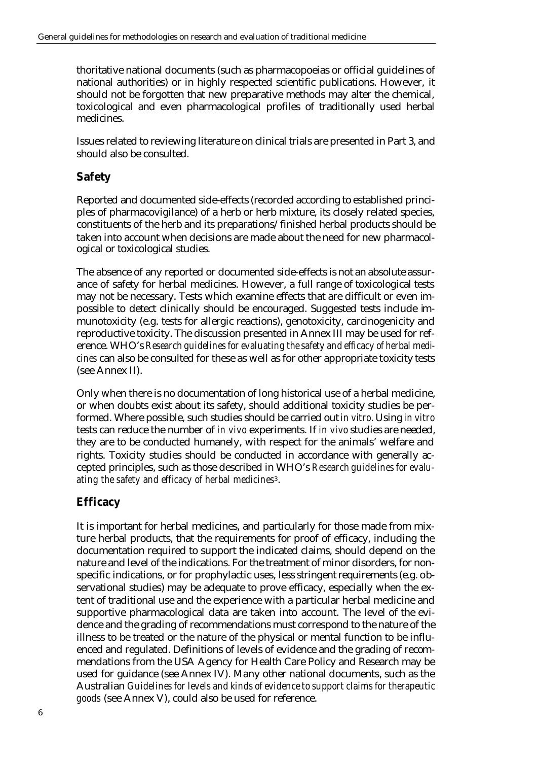thoritative national documents (such as pharmacopoeias or official guidelines of national authorities) or in highly respected scientific publications. However, it should not be forgotten that new preparative methods may alter the chemical, toxicological and even pharmacological profiles of traditionally used herbal medicines.

Issues related to reviewing literature on clinical trials are presented in Part 3, and should also be consulted.

# **Safety**

Reported and documented side-effects (recorded according to established principles of pharmacovigilance) of a herb or herb mixture, its closely related species, constituents of the herb and its preparations/finished herbal products should be taken into account when decisions are made about the need for new pharmacological or toxicological studies.

The absence of any reported or documented side-effects is not an absolute assurance of safety for herbal medicines. However, a full range of toxicological tests may not be necessary. Tests which examine effects that are difficult or even impossible to detect clinically should be encouraged. Suggested tests include immunotoxicity (e.g. tests for allergic reactions), genotoxicity, carcinogenicity and reproductive toxicity. The discussion presented in Annex III may be used for reference. WHO's *Research guidelines for evaluating the safety and efficacy of herbal medicines* can also be consulted for these as well as for other appropriate toxicity tests (see Annex II).

Only when there is no documentation of long historical use of a herbal medicine, or when doubts exist about its safety, should additional toxicity studies be performed. Where possible, such studies should be carried out *in vitro*. Using *in vitro* tests can reduce the number of *in vivo* experiments. If *in vivo* studies are needed, they are to be conducted humanely, with respect for the animals' welfare and rights. Toxicity studies should be conducted in accordance with generally accepted principles, such as those described in WHO's *Research guidelines for evaluating the safety and efficacy of herbal medicines*3.

## **Efficacy**

It is important for herbal medicines, and particularly for those made from mixture herbal products, that the requirements for proof of efficacy, including the documentation required to support the indicated claims, should depend on the nature and level of the indications. For the treatment of minor disorders, for nonspecific indications, or for prophylactic uses, less stringent requirements (e.g. observational studies) may be adequate to prove efficacy, especially when the extent of traditional use and the experience with a particular herbal medicine and supportive pharmacological data are taken into account. The level of the evidence and the grading of recommendations must correspond to the nature of the illness to be treated or the nature of the physical or mental function to be influenced and regulated. Definitions of levels of evidence and the grading of recommendations from the USA Agency for Health Care Policy and Research may be used for guidance (see Annex IV). Many other national documents, such as the Australian *Guidelines for levels and kinds of evidence to support claims for therapeutic goods* (see Annex V), could also be used for reference.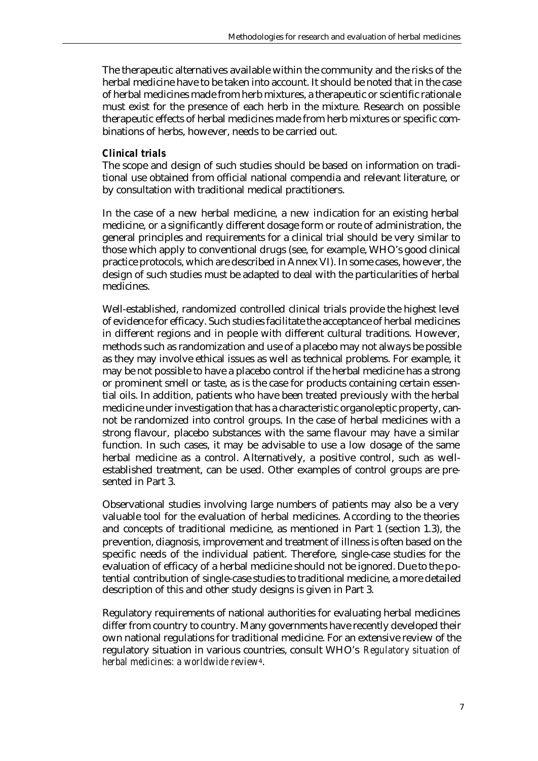The therapeutic alternatives available within the community and the risks of the herbal medicine have to be taken into account. It should be noted that in the case of herbal medicines made from herb mixtures, a therapeutic or scientific rationale must exist for the presence of each herb in the mixture. Research on possible therapeutic effects of herbal medicines made from herb mixtures or specific combinations of herbs, however, needs to be carried out.

### *Clinical trials*

The scope and design of such studies should be based on information on traditional use obtained from official national compendia and relevant literature, or by consultation with traditional medical practitioners.

In the case of a new herbal medicine, a new indication for an existing herbal medicine, or a significantly different dosage form or route of administration, the general principles and requirements for a clinical trial should be very similar to those which apply to conventional drugs (see, for example, WHO's good clinical practice protocols, which are described in Annex VI). In some cases, however, the design of such studies must be adapted to deal with the particularities of herbal medicines.

Well-established, randomized controlled clinical trials provide the highest level of evidence for efficacy. Such studies facilitate the acceptance of herbal medicines in different regions and in people with different cultural traditions. However, methods such as randomization and use of a placebo may not always be possible as they may involve ethical issues as well as technical problems. For example, it may be not possible to have a placebo control if the herbal medicine has a strong or prominent smell or taste, as is the case for products containing certain essential oils. In addition, patients who have been treated previously with the herbal medicine under investigation that has a characteristic organoleptic property, cannot be randomized into control groups. In the case of herbal medicines with a strong flavour, placebo substances with the same flavour may have a similar function. In such cases, it may be advisable to use a low dosage of the same herbal medicine as a control. Alternatively, a positive control, such as wellestablished treatment, can be used. Other examples of control groups are presented in Part 3.

Observational studies involving large numbers of patients may also be a very valuable tool for the evaluation of herbal medicines. According to the theories and concepts of traditional medicine, as mentioned in Part 1 (section 1.3), the prevention, diagnosis, improvement and treatment of illness is often based on the specific needs of the individual patient. Therefore, single-case studies for the evaluation of efficacy of a herbal medicine should not be ignored. Due to the potential contribution of single-case studies to traditional medicine, a more detailed description of this and other study designs is given in Part 3.

Regulatory requirements of national authorities for evaluating herbal medicines differ from country to country. Many governments have recently developed their own national regulations for traditional medicine. For an extensive review of the regulatory situation in various countries, consult WHO's *Regulatory situation of herbal medicines: a worldwide review*4.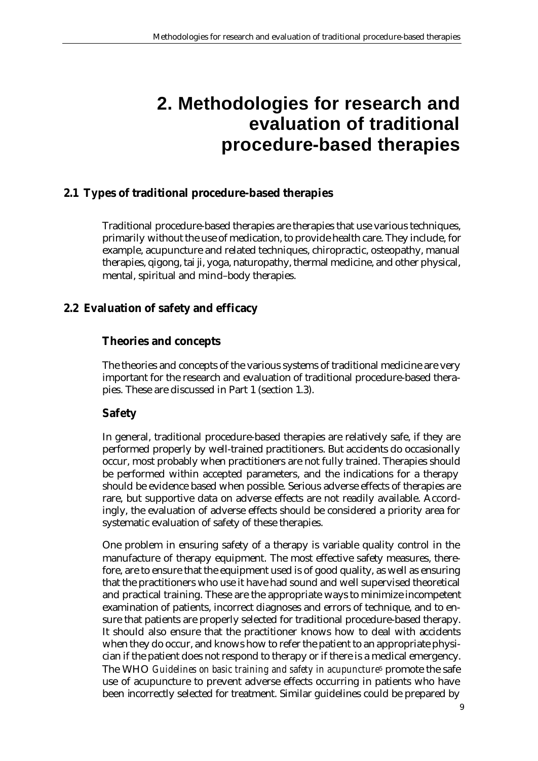# **2. Methodologies for research and evaluation of traditional procedure-based therapies**

# **2.1 Types of traditional procedure-based therapies**

Traditional procedure-based therapies are therapies that use various techniques, primarily without the use of medication, to provide health care. They include, for example, acupuncture and related techniques, chiropractic, osteopathy, manual therapies, qigong, tai ji, yoga, naturopathy, thermal medicine, and other physical, mental, spiritual and mind–body therapies.

## **2.2 Evaluation of safety and efficacy**

# **Theories and concepts**

The theories and concepts of the various systems of traditional medicine are very important for the research and evaluation of traditional procedure-based therapies. These are discussed in Part 1 (section 1.3).

## **Safety**

In general, traditional procedure-based therapies are relatively safe, if they are performed properly by well-trained practitioners. But accidents do occasionally occur, most probably when practitioners are not fully trained. Therapies should be performed within accepted parameters, and the indications for a therapy should be evidence based when possible. Serious adverse effects of therapies are rare, but supportive data on adverse effects are not readily available. Accordingly, the evaluation of adverse effects should be considered a priority area for systematic evaluation of safety of these therapies.

One problem in ensuring safety of a therapy is variable quality control in the manufacture of therapy equipment. The most effective safety measures, therefore, are to ensure that the equipment used is of good quality, as well as ensuring that the practitioners who use it have had sound and well supervised theoretical and practical training. These are the appropriate ways to minimize incompetent examination of patients, incorrect diagnoses and errors of technique, and to ensure that patients are properly selected for traditional procedure-based therapy. It should also ensure that the practitioner knows how to deal with accidents when they do occur, and knows how to refer the patient to an appropriate physician if the patient does not respond to therapy or if there is a medical emergency. The WHO *Guidelines on basic training and safety in acupuncture*<sup>5</sup> promote the safe use of acupuncture to prevent adverse effects occurring in patients who have been incorrectly selected for treatment. Similar guidelines could be prepared by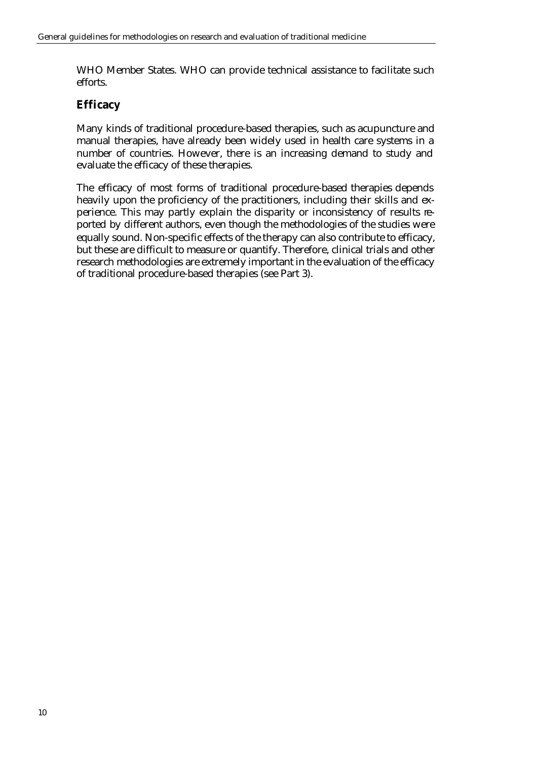WHO Member States. WHO can provide technical assistance to facilitate such efforts.

## **Efficacy**

Many kinds of traditional procedure-based therapies, such as acupuncture and manual therapies, have already been widely used in health care systems in a number of countries. However, there is an increasing demand to study and evaluate the efficacy of these therapies.

The efficacy of most forms of traditional procedure-based therapies depends heavily upon the proficiency of the practitioners, including their skills and experience. This may partly explain the disparity or inconsistency of results reported by different authors, even though the methodologies of the studies were equally sound. Non-specific effects of the therapy can also contribute to efficacy, but these are difficult to measure or quantify. Therefore, clinical trials and other research methodologies are extremely important in the evaluation of the efficacy of traditional procedure-based therapies (see Part 3).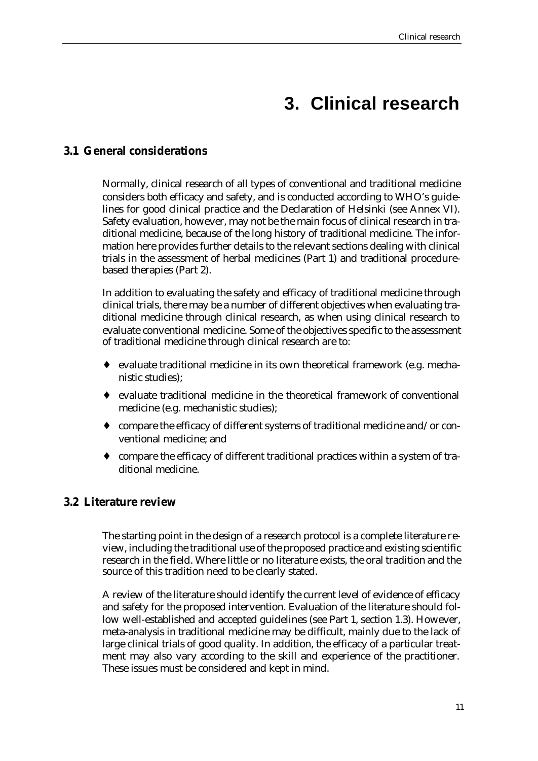# **3. Clinical research**

# **3.1 General considerations**

Normally, clinical research of all types of conventional and traditional medicine considers both efficacy and safety, and is conducted according to WHO's guidelines for good clinical practice and the Declaration of Helsinki (see Annex VI). Safety evaluation, however, may not be the main focus of clinical research in traditional medicine, because of the long history of traditional medicine. The information here provides further details to the relevant sections dealing with clinical trials in the assessment of herbal medicines (Part 1) and traditional procedurebased therapies (Part 2).

In addition to evaluating the safety and efficacy of traditional medicine through clinical trials, there may be a number of different objectives when evaluating traditional medicine through clinical research, as when using clinical research to evaluate conventional medicine. Some of the objectives specific to the assessment of traditional medicine through clinical research are to:

- ♦ evaluate traditional medicine in its own theoretical framework (e.g. mechanistic studies);
- ♦ evaluate traditional medicine in the theoretical framework of conventional medicine (e.g. mechanistic studies);
- ♦ compare the efficacy of different systems of traditional medicine and/or conventional medicine; and
- ♦ compare the efficacy of different traditional practices within a system of traditional medicine.

## **3.2 Literature review**

The starting point in the design of a research protocol is a complete literature review, including the traditional use of the proposed practice and existing scientific research in the field. Where little or no literature exists, the oral tradition and the source of this tradition need to be clearly stated.

A review of the literature should identify the current level of evidence of efficacy and safety for the proposed intervention. Evaluation of the literature should follow well-established and accepted guidelines (see Part 1, section 1.3). However, meta-analysis in traditional medicine may be difficult, mainly due to the lack of large clinical trials of good quality. In addition, the efficacy of a particular treatment may also vary according to the skill and experience of the practitioner. These issues must be considered and kept in mind.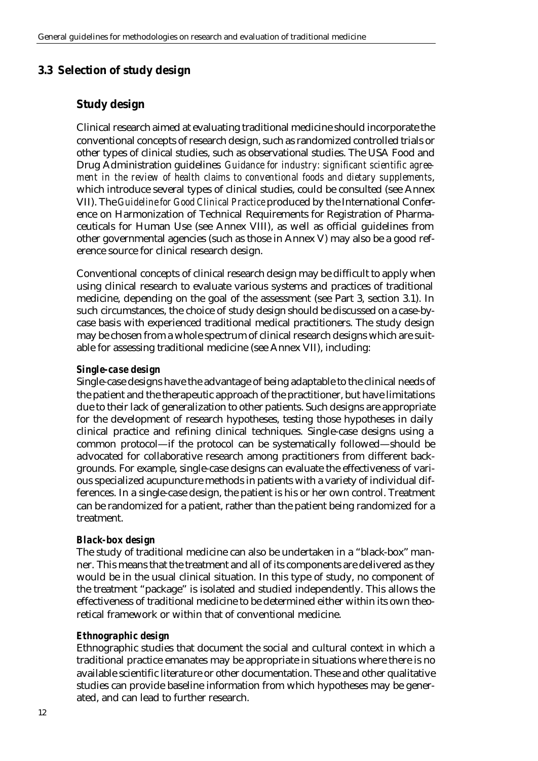# **3.3 Selection of study design**

# **Study design**

Clinical research aimed at evaluating traditional medicine should incorporate the conventional concepts of research design, such as randomized controlled trials or other types of clinical studies, such as observational studies. The USA Food and Drug Administration guidelines *Guidance for industry: significant scientific agreement in the review of health claims to conventional foods and dietary supplements*, which introduce several types of clinical studies, could be consulted (see Annex VII). The *Guideline for Good Clinical Practice* produced by the International Conference on Harmonization of Technical Requirements for Registration of Pharmaceuticals for Human Use (see Annex VIII), as well as official guidelines from other governmental agencies (such as those in Annex V) may also be a good reference source for clinical research design.

Conventional concepts of clinical research design may be difficult to apply when using clinical research to evaluate various systems and practices of traditional medicine, depending on the goal of the assessment (see Part 3, section 3.1). In such circumstances, the choice of study design should be discussed on a case-bycase basis with experienced traditional medical practitioners. The study design may be chosen from a whole spectrum of clinical research designs which are suitable for assessing traditional medicine (see Annex VII), including:

### *Single-case design*

Single-case designs have the advantage of being adaptable to the clinical needs of the patient and the therapeutic approach of the practitioner, but have limitations due to their lack of generalization to other patients. Such designs are appropriate for the development of research hypotheses, testing those hypotheses in daily clinical practice and refining clinical techniques. Single-case designs using a common protocol—if the protocol can be systematically followed—should be advocated for collaborative research among practitioners from different backgrounds. For example, single-case designs can evaluate the effectiveness of various specialized acupuncture methods in patients with a variety of individual differences. In a single-case design, the patient is his or her own control. Treatment can be randomized for a patient, rather than the patient being randomized for a treatment.

### *Black-box design*

The study of traditional medicine can also be undertaken in a "black-box" manner. This means that the treatment and all of its components are delivered as they would be in the usual clinical situation. In this type of study, no component of the treatment "package" is isolated and studied independently. This allows the effectiveness of traditional medicine to be determined either within its own theoretical framework or within that of conventional medicine.

### *Ethnographic design*

Ethnographic studies that document the social and cultural context in which a traditional practice emanates may be appropriate in situations where there is no available scientific literature or other documentation. These and other qualitative studies can provide baseline information from which hypotheses may be generated, and can lead to further research.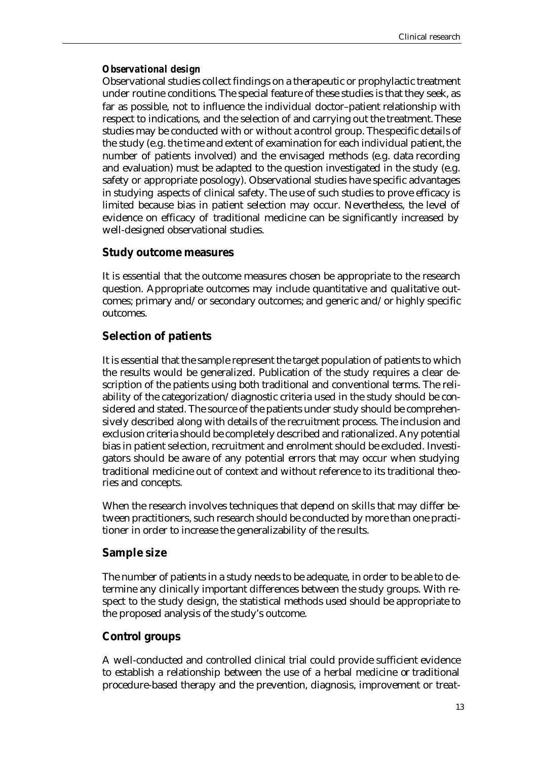### *Observational design*

Observational studies collect findings on a therapeutic or prophylactic treatment under routine conditions. The special feature of these studies is that they seek, as far as possible, not to influence the individual doctor–patient relationship with respect to indications, and the selection of and carrying out the treatment. These studies may be conducted with or without a control group. The specific details of the study (e.g. the time and extent of examination for each individual patient, the number of patients involved) and the envisaged methods (e.g. data recording and evaluation) must be adapted to the question investigated in the study (e.g. safety or appropriate posology). Observational studies have specific advantages in studying aspects of clinical safety. The use of such studies to prove efficacy is limited because bias in patient selection may occur. Nevertheless, the level of evidence on efficacy of traditional medicine can be significantly increased by well-designed observational studies.

## **Study outcome measures**

It is essential that the outcome measures chosen be appropriate to the research question. Appropriate outcomes may include quantitative and qualitative outcomes; primary and/or secondary outcomes; and generic and/or highly specific outcomes.

# **Selection of patients**

It is essential that the sample represent the target population of patients to which the results would be generalized. Publication of the study requires a clear description of the patients using both traditional and conventional terms. The reliability of the categorization/diagnostic criteria used in the study should be considered and stated. The source of the patients under study should be comprehensively described along with details of the recruitment process. The inclusion and exclusion criteria should be completely described and rationalized. Any potential bias in patient selection, recruitment and enrolment should be excluded. Investigators should be aware of any potential errors that may occur when studying traditional medicine out of context and without reference to its traditional theories and concepts.

When the research involves techniques that depend on skills that may differ between practitioners, such research should be conducted by more than one practitioner in order to increase the generalizability of the results.

## **Sample size**

The number of patients in a study needs to be adequate, in order to be able to determine any clinically important differences between the study groups. With respect to the study design, the statistical methods used should be appropriate to the proposed analysis of the study's outcome.

# **Control groups**

A well-conducted and controlled clinical trial could provide sufficient evidence to establish a relationship between the use of a herbal medicine or traditional procedure-based therapy and the prevention, diagnosis, improvement or treat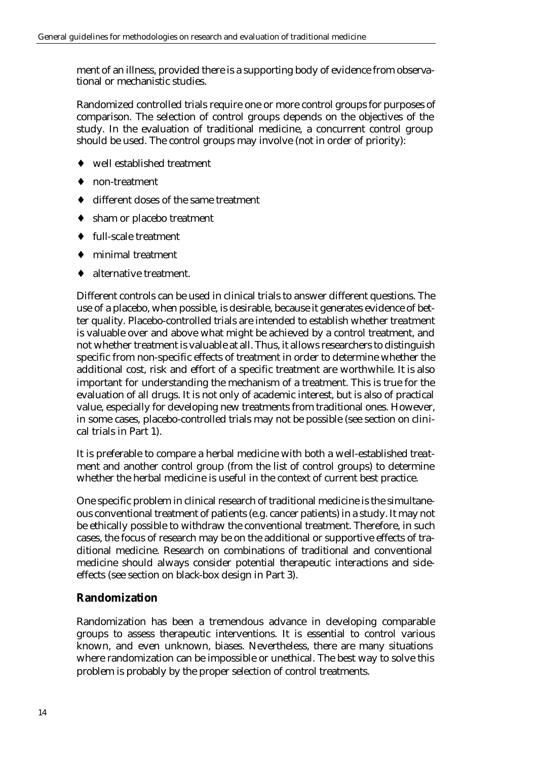ment of an illness, provided there is a supporting body of evidence from observational or mechanistic studies.

Randomized controlled trials require one or more control groups for purposes of comparison. The selection of control groups depends on the objectives of the study. In the evaluation of traditional medicine, a concurrent control group should be used. The control groups may involve (not in order of priority):

- ♦ well established treatment
- ♦ non-treatment
- different doses of the same treatment
- ♦ sham or placebo treatment
- ♦ full-scale treatment
- minimal treatment
- alternative treatment.

Different controls can be used in clinical trials to answer different questions. The use of a placebo, when possible, is desirable, because it generates evidence of better quality. Placebo-controlled trials are intended to establish whether treatment is valuable over and above what might be achieved by a control treatment, and not whether treatment is valuable at all. Thus, it allows researchers to distinguish specific from non-specific effects of treatment in order to determine whether the additional cost, risk and effort of a specific treatment are worthwhile. It is also important for understanding the mechanism of a treatment. This is true for the evaluation of all drugs. It is not only of academic interest, but is also of practical value, especially for developing new treatments from traditional ones. However, in some cases, placebo-controlled trials may not be possible (see section on clinical trials in Part 1).

It is preferable to compare a herbal medicine with both a well-established treatment and another control group (from the list of control groups) to determine whether the herbal medicine is useful in the context of current best practice.

One specific problem in clinical research of traditional medicine is the simultaneous conventional treatment of patients (e.g. cancer patients) in a study. It may not be ethically possible to withdraw the conventional treatment. Therefore, in such cases, the focus of research may be on the additional or supportive effects of traditional medicine. Research on combinations of traditional and conventional medicine should always consider potential therapeutic interactions and sideeffects (see section on black-box design in Part 3).

## **Randomization**

Randomization has been a tremendous advance in developing comparable groups to assess therapeutic interventions. It is essential to control various known, and even unknown, biases. Nevertheless, there are many situations where randomization can be impossible or unethical. The best way to solve this problem is probably by the proper selection of control treatments.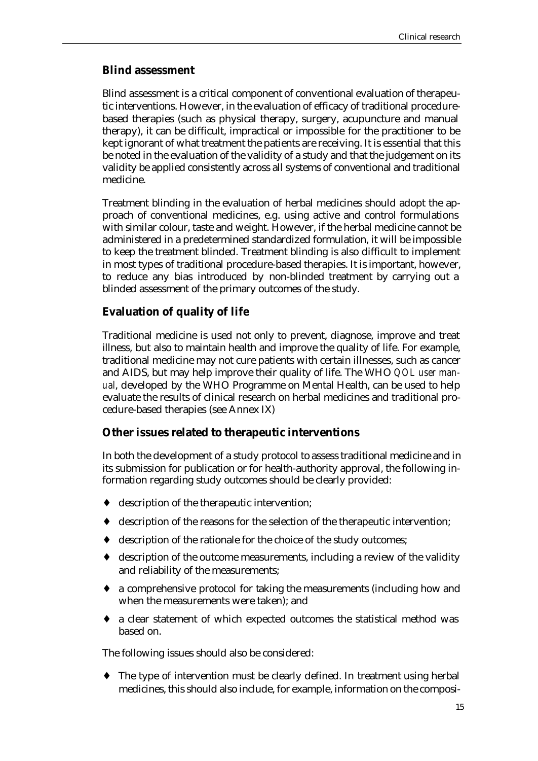### **Blind assessment**

Blind assessment is a critical component of conventional evaluation of therapeutic interventions. However, in the evaluation of efficacy of traditional procedurebased therapies (such as physical therapy, surgery, acupuncture and manual therapy), it can be difficult, impractical or impossible for the practitioner to be kept ignorant of what treatment the patients are receiving. It is essential that this be noted in the evaluation of the validity of a study and that the judgement on its validity be applied consistently across all systems of conventional and traditional medicine.

Treatment blinding in the evaluation of herbal medicines should adopt the approach of conventional medicines, e.g. using active and control formulations with similar colour, taste and weight. However, if the herbal medicine cannot be administered in a predetermined standardized formulation, it will be impossible to keep the treatment blinded. Treatment blinding is also difficult to implement in most types of traditional procedure-based therapies. It is important, however, to reduce any bias introduced by non-blinded treatment by carrying out a blinded assessment of the primary outcomes of the study.

## **Evaluation of quality of life**

Traditional medicine is used not only to prevent, diagnose, improve and treat illness, but also to maintain health and improve the quality of life. For example, traditional medicine may not cure patients with certain illnesses, such as cancer and AIDS, but may help improve their quality of life. The WHO *QOL user manual*, developed by the WHO Programme on Mental Health, can be used to help evaluate the results of clinical research on herbal medicines and traditional procedure-based therapies (see Annex IX)

## **Other issues related to therapeutic interventions**

In both the development of a study protocol to assess traditional medicine and in its submission for publication or for health-authority approval, the following information regarding study outcomes should be clearly provided:

- ♦ description of the therapeutic intervention;
- ♦ description of the reasons for the selection of the therapeutic intervention;
- ♦ description of the rationale for the choice of the study outcomes;
- ♦ description of the outcome measurements, including a review of the validity and reliability of the measurements;
- ♦ a comprehensive protocol for taking the measurements (including how and when the measurements were taken); and
- ♦ a clear statement of which expected outcomes the statistical method was based on.

The following issues should also be considered:

♦ The type of intervention must be clearly defined. In treatment using herbal medicines, this should also include, for example, information on the composi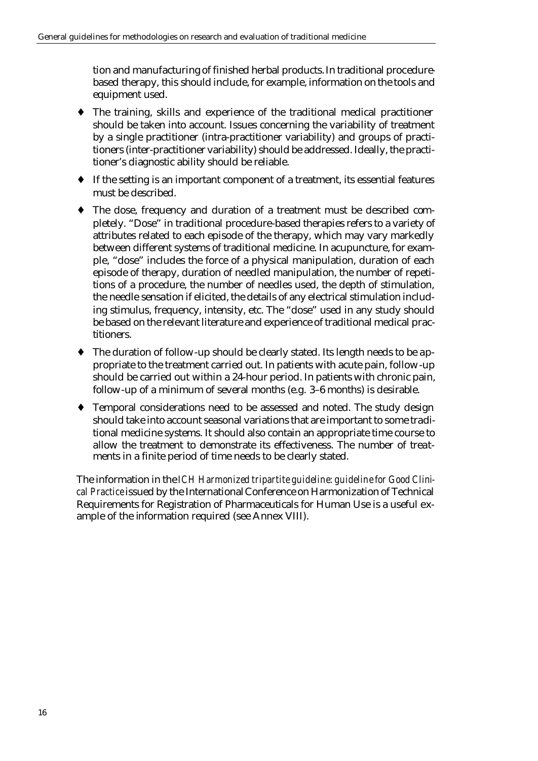tion and manufacturing of finished herbal products. In traditional procedurebased therapy, this should include, for example, information on the tools and equipment used.

- ♦ The training, skills and experience of the traditional medical practitioner should be taken into account. Issues concerning the variability of treatment by a single practitioner (intra-practitioner variability) and groups of practitioners (inter-practitioner variability) should be addressed. Ideally, the practitioner's diagnostic ability should be reliable.
- ♦ If the setting is an important component of a treatment, its essential features must be described.
- The dose, frequency and duration of a treatment must be described completely. "Dose" in traditional procedure-based therapies refers to a variety of attributes related to each episode of the therapy, which may vary markedly between different systems of traditional medicine. In acupuncture, for example, "dose" includes the force of a physical manipulation, duration of each episode of therapy, duration of needled manipulation, the number of repetitions of a procedure, the number of needles used, the depth of stimulation, the needle sensation if elicited, the details of any electrical stimulation including stimulus, frequency, intensity, etc. The "dose" used in any study should be based on the relevant literature and experience of traditional medical practitioners.
- ♦ The duration of follow-up should be clearly stated. Its length needs to be appropriate to the treatment carried out. In patients with acute pain, follow-up should be carried out within a 24-hour period. In patients with chronic pain, follow-up of a minimum of several months (e.g. 3–6 months) is desirable.
- ♦ Temporal considerations need to be assessed and noted. The study design should take into account seasonal variations that are important to some traditional medicine systems. It should also contain an appropriate time course to allow the treatment to demonstrate its effectiveness. The number of treatments in a finite period of time needs to be clearly stated.

The information in the *ICH Harmonized tripartite guideline: guideline for Good Clinical Practice* issued by the International Conference on Harmonization of Technical Requirements for Registration of Pharmaceuticals for Human Use is a useful example of the information required (see Annex VIII).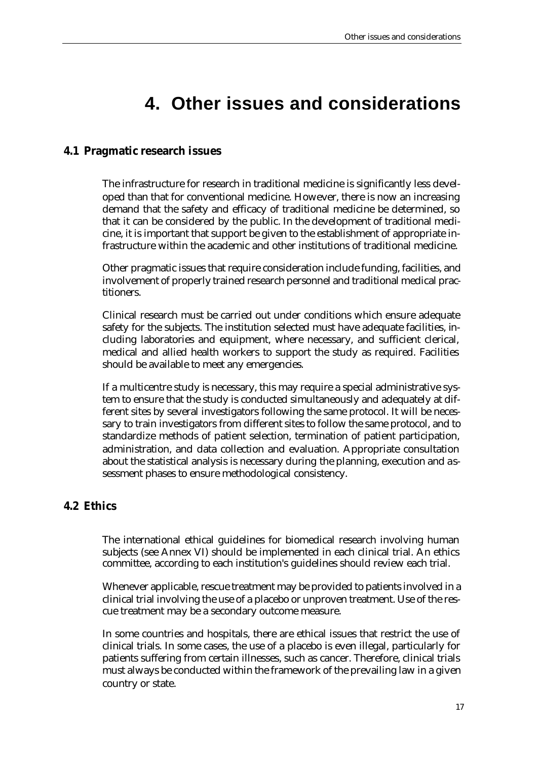# **4. Other issues and considerations**

## **4.1 Pragmatic research issues**

The infrastructure for research in traditional medicine is significantly less developed than that for conventional medicine. However, there is now an increasing demand that the safety and efficacy of traditional medicine be determined, so that it can be considered by the public. In the development of traditional medicine, it is important that support be given to the establishment of appropriate infrastructure within the academic and other institutions of traditional medicine.

Other pragmatic issues that require consideration include funding, facilities, and involvement of properly trained research personnel and traditional medical practitioners.

Clinical research must be carried out under conditions which ensure adequate safety for the subjects. The institution selected must have adequate facilities, including laboratories and equipment, where necessary, and sufficient clerical, medical and allied health workers to support the study as required. Facilities should be available to meet any emergencies.

If a multicentre study is necessary, this may require a special administrative system to ensure that the study is conducted simultaneously and adequately at different sites by several investigators following the same protocol. It will be necessary to train investigators from different sites to follow the same protocol, and to standardize methods of patient selection, termination of patient participation, administration, and data collection and evaluation. Appropriate consultation about the statistical analysis is necessary during the planning, execution and assessment phases to ensure methodological consistency.

## **4.2 Ethics**

The international ethical guidelines for biomedical research involving human subjects (see Annex VI) should be implemented in each clinical trial. An ethics committee, according to each institution's guidelines should review each trial.

Whenever applicable, rescue treatment may be provided to patients involved in a clinical trial involving the use of a placebo or unproven treatment. Use of the rescue treatment may be a secondary outcome measure.

In some countries and hospitals, there are ethical issues that restrict the use of clinical trials. In some cases, the use of a placebo is even illegal, particularly for patients suffering from certain illnesses, such as cancer. Therefore, clinical trials must always be conducted within the framework of the prevailing law in a given country or state.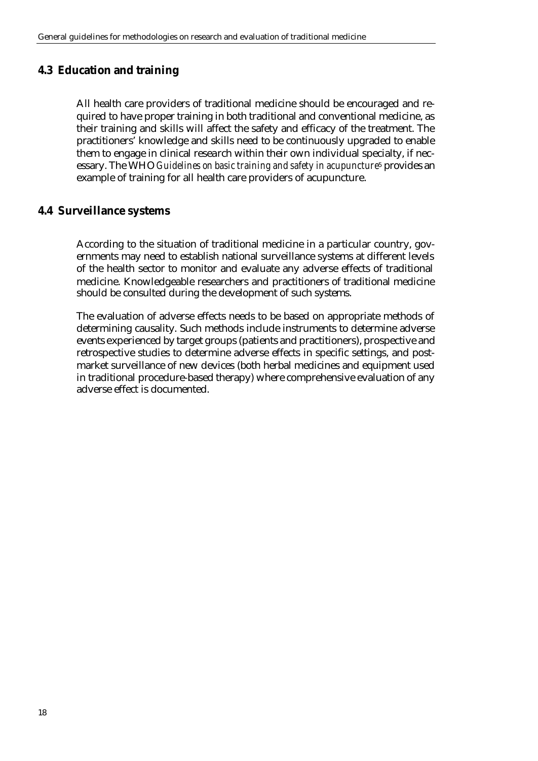## **4.3 Education and training**

All health care providers of traditional medicine should be encouraged and required to have proper training in both traditional and conventional medicine, as their training and skills will affect the safety and efficacy of the treatment. The practitioners' knowledge and skills need to be continuously upgraded to enable them to engage in clinical research within their own individual specialty, if necessary. The WHO *Guidelines on basic training and safety in acupuncture*5 provides an example of training for all health care providers of acupuncture.

## **4.4 Surveillance systems**

According to the situation of traditional medicine in a particular country, governments may need to establish national surveillance systems at different levels of the health sector to monitor and evaluate any adverse effects of traditional medicine. Knowledgeable researchers and practitioners of traditional medicine should be consulted during the development of such systems.

The evaluation of adverse effects needs to be based on appropriate methods of determining causality. Such methods include instruments to determine adverse events experienced by target groups (patients and practitioners), prospective and retrospective studies to determine adverse effects in specific settings, and postmarket surveillance of new devices (both herbal medicines and equipment used in traditional procedure-based therapy) where comprehensive evaluation of any adverse effect is documented.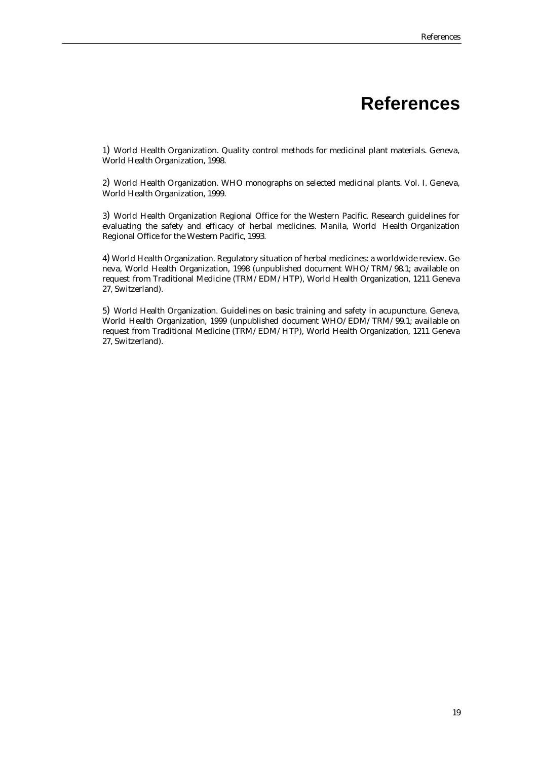# **References**

1) World Health Organization. Quality control methods for medicinal plant materials. Geneva, World Health Organization, 1998.

2) World Health Organization. WHO monographs on selected medicinal plants. Vol. I. Geneva, World Health Organization, 1999.

3) World Health Organization Regional Office for the Western Pacific. Research guidelines for evaluating the safety and efficacy of herbal medicines. Manila, World Health Organization Regional Office for the Western Pacific, 1993.

4) World Health Organization. Regulatory situation of herbal medicines: a worldwide review. Geneva, World Health Organization, 1998 (unpublished document WHO/TRM/98.1; available on request from Traditional Medicine (TRM/EDM/HTP), World Health Organization, 1211 Geneva 27, Switzerland).

5) World Health Organization. Guidelines on basic training and safety in acupuncture. Geneva, World Health Organization, 1999 (unpublished document WHO/EDM/TRM/99.1; available on request from Traditional Medicine (TRM/EDM/HTP), World Health Organization, 1211 Geneva 27, Switzerland).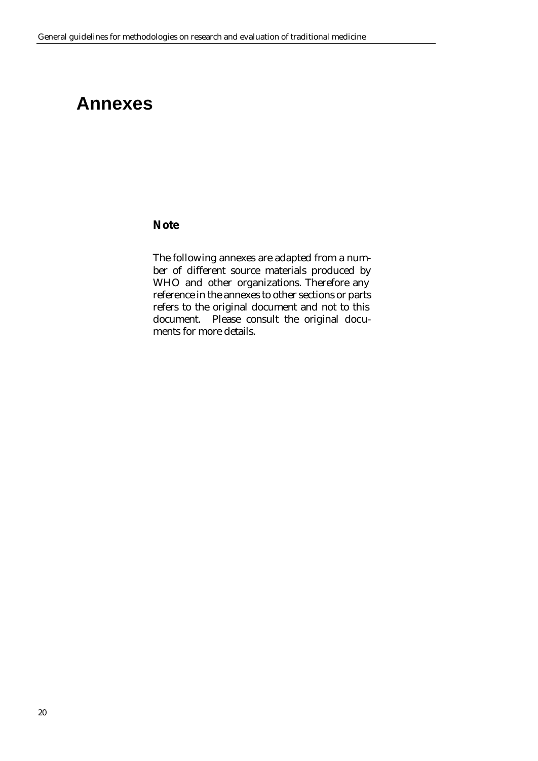# **Annexes**

### **Note**

The following annexes are adapted from a number of different source materials produced by WHO and other organizations. Therefore any reference in the annexes to other sections or parts refers to the original document and not to this document. Please consult the original documents for more details.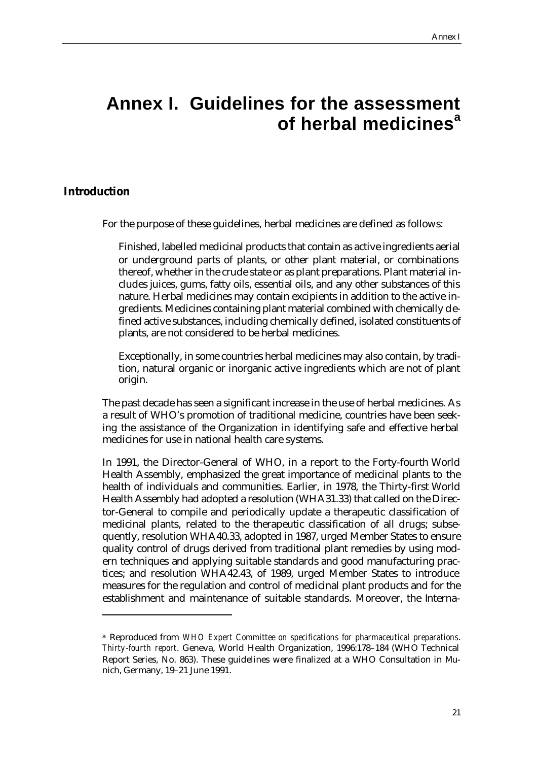# **Annex I. Guidelines for the assessment of herbal medicines<sup>a</sup>**

## **Introduction**

 $\overline{a}$ 

For the purpose of these guidelines, herbal medicines are defined as follows:

Finished, labelled medicinal products that contain as active ingredients aerial or underground parts of plants, or other plant material, or combinations thereof, whether in the crude state or as plant preparations. Plant material includes juices, gums, fatty oils, essential oils, and any other substances of this nature. Herbal medicines may contain excipients in addition to the active ingredients. Medicines containing plant material combined with chemically defined active substances, including chemically defined, isolated constituents of plants, are not considered to be herbal medicines.

Exceptionally, in some countries herbal medicines may also contain, by tradition, natural organic or inorganic active ingredients which are not of plant origin.

The past decade has seen a significant increase in the use of herbal medicines. As a result of WHO's promotion of traditional medicine, countries have been seeking the assistance of the Organization in identifying safe and effective herbal medicines for use in national health care systems.

In 1991, the Director-General of WHO, in a report to the Forty-fourth World Health Assembly, emphasized the great importance of medicinal plants to the health of individuals and communities. Earlier, in 1978, the Thirty-first World Health Assembly had adopted a resolution (WHA31.33) that called on the Director-General to compile and periodically update a therapeutic classification of medicinal plants, related to the therapeutic classification of all drugs; subsequently, resolution WHA40.33, adopted in 1987, urged Member States to ensure quality control of drugs derived from traditional plant remedies by using modern techniques and applying suitable standards and good manufacturing practices; and resolution WHA42.43, of 1989, urged Member States to introduce measures for the regulation and control of medicinal plant products and for the establishment and maintenance of suitable standards. Moreover, the Interna-

<sup>a</sup> Reproduced from *WHO Expert Committee on specifications for pharmaceutical preparations*. *Thirty-fourth report*. Geneva, World Health Organization, 1996:178–184 (WHO Technical Report Series, No. 863). These guidelines were finalized at a WHO Consultation in Munich, Germany, 19–21 June 1991.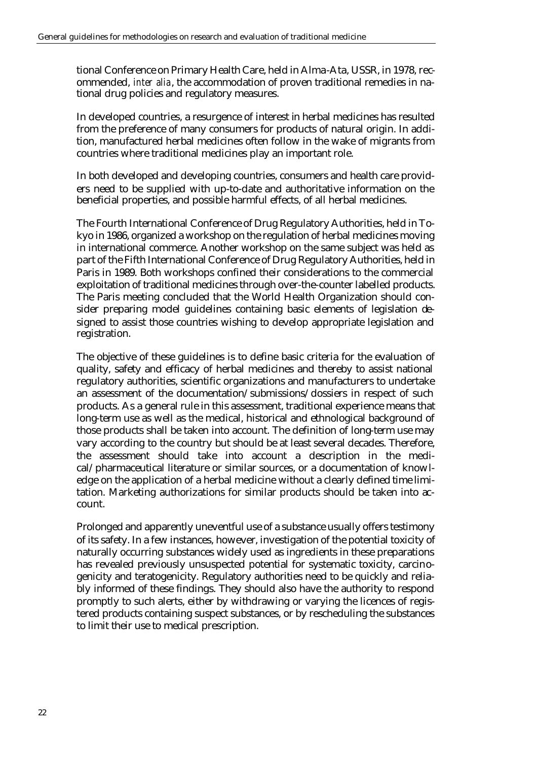tional Conference on Primary Health Care, held in Alma-Ata, USSR, in 1978, recommended, *inter alia*, the accommodation of proven traditional remedies in national drug policies and regulatory measures.

In developed countries, a resurgence of interest in herbal medicines has resulted from the preference of many consumers for products of natural origin. In addition, manufactured herbal medicines often follow in the wake of migrants from countries where traditional medicines play an important role.

In both developed and developing countries, consumers and health care providers need to be supplied with up-to-date and authoritative information on the beneficial properties, and possible harmful effects, of all herbal medicines.

The Fourth International Conference of Drug Regulatory Authorities, held in Tokyo in 1986, organized a workshop on the regulation of herbal medicines moving in international commerce. Another workshop on the same subject was held as part of the Fifth International Conference of Drug Regulatory Authorities, held in Paris in 1989. Both workshops confined their considerations to the commercial exploitation of traditional medicines through over-the-counter labelled products. The Paris meeting concluded that the World Health Organization should consider preparing model guidelines containing basic elements of legislation designed to assist those countries wishing to develop appropriate legislation and registration.

The objective of these guidelines is to define basic criteria for the evaluation of quality, safety and efficacy of herbal medicines and thereby to assist national regulatory authorities, scientific organizations and manufacturers to undertake an assessment of the documentation/submissions/dossiers in respect of such products. As a general rule in this assessment, traditional experience means that long-term use as well as the medical, historical and ethnological background of those products shall be taken into account. The definition of long-term use may vary according to the country but should be at least several decades. Therefore, the assessment should take into account a description in the medical/pharmaceutical literature or similar sources, or a documentation of knowledge on the application of a herbal medicine without a clearly defined time limitation. Marketing authorizations for similar products should be taken into account.

Prolonged and apparently uneventful use of a substance usually offers testimony of its safety. In a few instances, however, investigation of the potential toxicity of naturally occurring substances widely used as ingredients in these preparations has revealed previously unsuspected potential for systematic toxicity, carcinogenicity and teratogenicity. Regulatory authorities need to be quickly and reliably informed of these findings. They should also have the authority to respond promptly to such alerts, either by withdrawing or varying the licences of registered products containing suspect substances, or by rescheduling the substances to limit their use to medical prescription.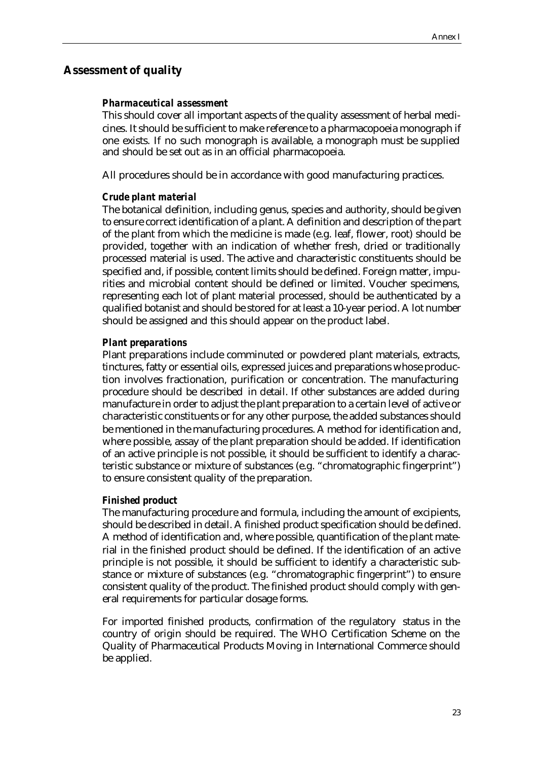### **Assessment of quality**

### *Pharmaceutical assessment*

This should cover all important aspects of the quality assessment of herbal medicines. It should be sufficient to make reference to a pharmacopoeia monograph if one exists. If no such monograph is available, a monograph must be supplied and should be set out as in an official pharmacopoeia.

All procedures should be in accordance with good manufacturing practices.

#### *Crude plant material*

The botanical definition, including genus, species and authority, should be given to ensure correct identification of a plant. A definition and description of the part of the plant from which the medicine is made (e.g. leaf, flower, root) should be provided, together with an indication of whether fresh, dried or traditionally processed material is used. The active and characteristic constituents should be specified and, if possible, content limits should be defined. Foreign matter, impurities and microbial content should be defined or limited. Voucher specimens, representing each lot of plant material processed, should be authenticated by a qualified botanist and should be stored for at least a 10-year period. A lot number should be assigned and this should appear on the product label.

#### *Plant preparations*

Plant preparations include comminuted or powdered plant materials, extracts, tinctures, fatty or essential oils, expressed juices and preparations whose production involves fractionation, purification or concentration. The manufacturing procedure should be described in detail. If other substances are added during manufacture in order to adjust the plant preparation to a certain level of active or characteristic constituents or for any other purpose, the added substances should be mentioned in the manufacturing procedures. A method for identification and, where possible, assay of the plant preparation should be added. If identification of an active principle is not possible, it should be sufficient to identify a characteristic substance or mixture of substances (e.g. "chromatographic fingerprint") to ensure consistent quality of the preparation.

#### *Finished product*

The manufacturing procedure and formula, including the amount of excipients, should be described in detail. A finished product specification should be defined. A method of identification and, where possible, quantification of the plant material in the finished product should be defined. If the identification of an active principle is not possible, it should be sufficient to identify a characteristic substance or mixture of substances (e.g. "chromatographic fingerprint") to ensure consistent quality of the product. The finished product should comply with general requirements for particular dosage forms.

For imported finished products, confirmation of the regulatory status in the country of origin should be required. The WHO Certification Scheme on the Quality of Pharmaceutical Products Moving in International Commerce should be applied.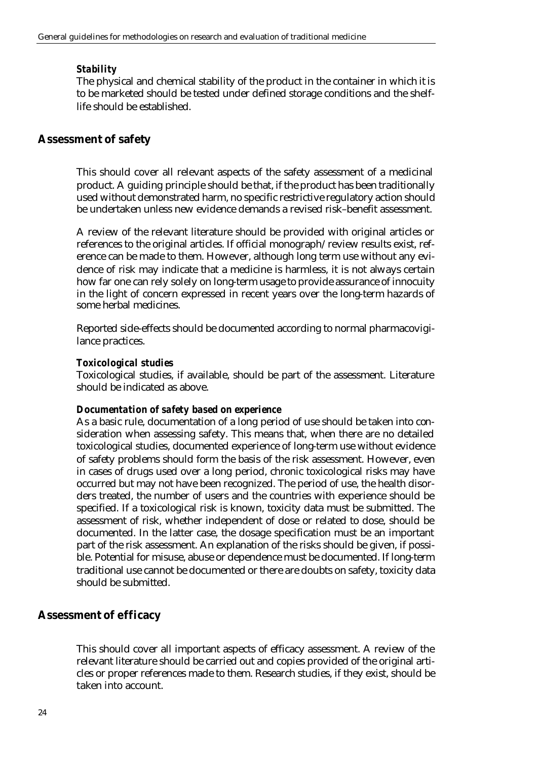### *Stability*

The physical and chemical stability of the product in the container in which it is to be marketed should be tested under defined storage conditions and the shelflife should be established.

## **Assessment of safety**

This should cover all relevant aspects of the safety assessment of a medicinal product. A guiding principle should be that, if the product has been traditionally used without demonstrated harm, no specific restrictive regulatory action should be undertaken unless new evidence demands a revised risk–benefit assessment.

A review of the relevant literature should be provided with original articles or references to the original articles. If official monograph/review results exist, reference can be made to them. However, although long term use without any evidence of risk may indicate that a medicine is harmless, it is not always certain how far one can rely solely on long-term usage to provide assurance of innocuity in the light of concern expressed in recent years over the long-term hazards of some herbal medicines.

Reported side-effects should be documented according to normal pharmacovigilance practices.

### *Toxicological studies*

Toxicological studies, if available, should be part of the assessment. Literature should be indicated as above.

### *Documentation of safety based on experience*

As a basic rule, documentation of a long period of use should be taken into consideration when assessing safety. This means that, when there are no detailed toxicological studies, documented experience of long-term use without evidence of safety problems should form the basis of the risk assessment. However, even in cases of drugs used over a long period, chronic toxicological risks may have occurred but may not have been recognized. The period of use, the health disorders treated, the number of users and the countries with experience should be specified. If a toxicological risk is known, toxicity data must be submitted. The assessment of risk, whether independent of dose or related to dose, should be documented. In the latter case, the dosage specification must be an important part of the risk assessment. An explanation of the risks should be given, if possible. Potential for misuse, abuse or dependence must be documented. If long-term traditional use cannot be documented or there are doubts on safety, toxicity data should be submitted.

### **Assessment of efficacy**

This should cover all important aspects of efficacy assessment. A review of the relevant literature should be carried out and copies provided of the original articles or proper references made to them. Research studies, if they exist, should be taken into account.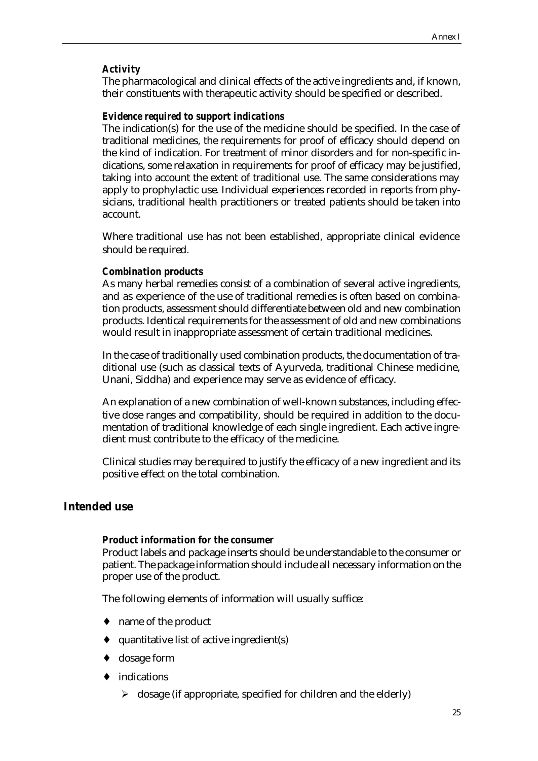### *Activity*

The pharmacological and clinical effects of the active ingredients and, if known, their constituents with therapeutic activity should be specified or described.

#### *Evidence required to support indications*

The indication(s) for the use of the medicine should be specified. In the case of traditional medicines, the requirements for proof of efficacy should depend on the kind of indication. For treatment of minor disorders and for non-specific indications, some relaxation in requirements for proof of efficacy may be justified, taking into account the extent of traditional use. The same considerations may apply to prophylactic use. Individual experiences recorded in reports from physicians, traditional health practitioners or treated patients should be taken into account.

Where traditional use has not been established, appropriate clinical evidence should be required.

### *Combination products*

As many herbal remedies consist of a combination of several active ingredients, and as experience of the use of traditional remedies is often based on combination products, assessment should differentiate between old and new combination products. Identical requirements for the assessment of old and new combinations would result in inappropriate assessment of certain traditional medicines.

In the case of traditionally used combination products, the documentation of traditional use (such as classical texts of Ayurveda, traditional Chinese medicine, Unani, Siddha) and experience may serve as evidence of efficacy.

An explanation of a new combination of well-known substances, including effective dose ranges and compatibility, should be required in addition to the documentation of traditional knowledge of each single ingredient. Each active ingredient must contribute to the efficacy of the medicine.

Clinical studies may be required to justify the efficacy of a new ingredient and its positive effect on the total combination.

### **Intended use**

#### *Product information for the consumer*

Product labels and package inserts should be understandable to the consumer or patient. The package information should include all necessary information on the proper use of the product.

The following elements of information will usually suffice:

- name of the product
- quantitative list of active ingredient(s)
- dosage form
- ♦ indications
	- $\triangleright$  dosage (if appropriate, specified for children and the elderly)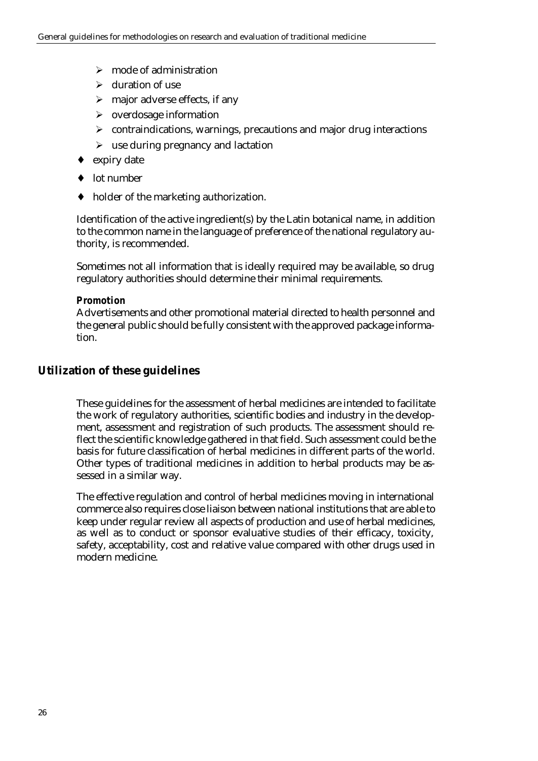- $\triangleright$  mode of administration
- $\triangleright$  duration of use
- $\triangleright$  major adverse effects, if any
- $\triangleright$  overdosage information
- $\triangleright$  contraindications, warnings, precautions and major drug interactions
- $\triangleright$  use during pregnancy and lactation
- ♦ expiry date
- ♦ lot number
- ♦ holder of the marketing authorization.

Identification of the active ingredient(s) by the Latin botanical name, in addition to the common name in the language of preference of the national regulatory authority, is recommended.

Sometimes not all information that is ideally required may be available, so drug regulatory authorities should determine their minimal requirements.

### *Promotion*

Advertisements and other promotional material directed to health personnel and the general public should be fully consistent with the approved package information.

## **Utilization of these guidelines**

These guidelines for the assessment of herbal medicines are intended to facilitate the work of regulatory authorities, scientific bodies and industry in the development, assessment and registration of such products. The assessment should reflect the scientific knowledge gathered in that field. Such assessment could be the basis for future classification of herbal medicines in different parts of the world. Other types of traditional medicines in addition to herbal products may be assessed in a similar way.

The effective regulation and control of herbal medicines moving in international commerce also requires close liaison between national institutions that are able to keep under regular review all aspects of production and use of herbal medicines, as well as to conduct or sponsor evaluative studies of their efficacy, toxicity, safety, acceptability, cost and relative value compared with other drugs used in modern medicine.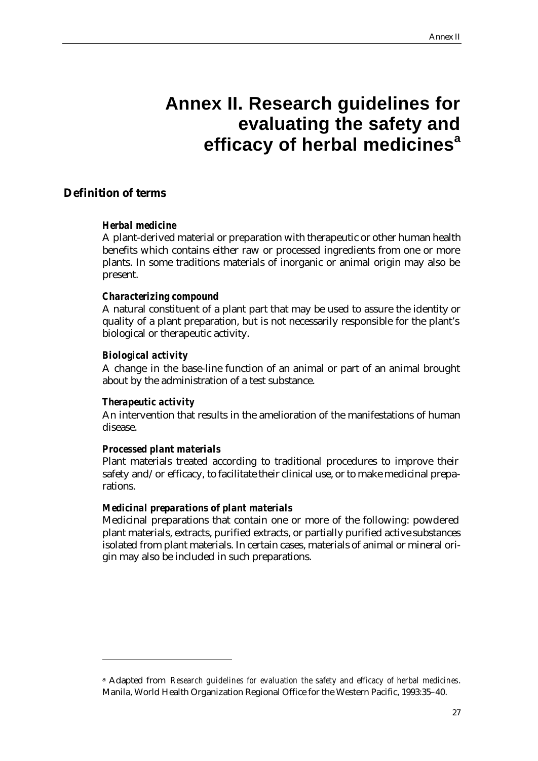# **Annex II. Research guidelines for evaluating the safety and efficacy of herbal medicines<sup>a</sup>**

## **Definition of terms**

### *Herbal medicine*

A plant-derived material or preparation with therapeutic or other human health benefits which contains either raw or processed ingredients from one or more plants. In some traditions materials of inorganic or animal origin may also be present.

### *Characterizing compound*

A natural constituent of a plant part that may be used to assure the identity or quality of a plant preparation, but is not necessarily responsible for the plant's biological or therapeutic activity.

### *Biological activity*

A change in the base-line function of an animal or part of an animal brought about by the administration of a test substance.

### *Therapeutic activity*

 $\overline{a}$ 

An intervention that results in the amelioration of the manifestations of human disease.

## *Processed plant materials*

Plant materials treated according to traditional procedures to improve their safety and/or efficacy, to facilitate their clinical use, or to make medicinal preparations.

## *Medicinal preparations of plant materials*

Medicinal preparations that contain one or more of the following: powdered plant materials, extracts, purified extracts, or partially purified active substances isolated from plant materials. In certain cases, materials of animal or mineral origin may also be included in such preparations.

<sup>a</sup> Adapted from *Research guidelines for evaluation the safety and efficacy of herbal medicines*. Manila, World Health Organization Regional Office for the Western Pacific, 1993:35–40.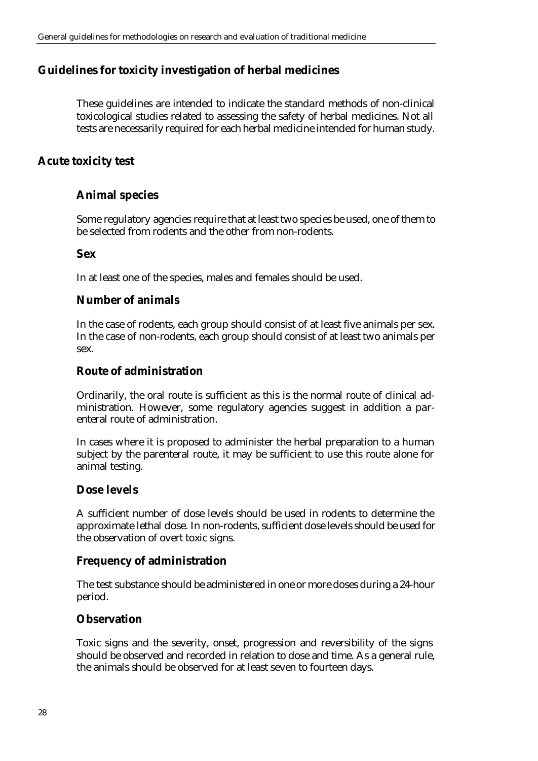## **Guidelines for toxicity investigation of herbal medicines**

These guidelines are intended to indicate the standard methods of non-clinical toxicological studies related to assessing the safety of herbal medicines. Not all tests are necessarily required for each herbal medicine intended for human study.

## **Acute toxicity test**

## **Animal species**

Some regulatory agencies require that at least two species be used, one of them to be selected from rodents and the other from non-rodents.

### **Sex**

In at least one of the species, males and females should be used.

## **Number of animals**

In the case of rodents, each group should consist of at least five animals per sex. In the case of non-rodents, each group should consist of at least two animals per sex.

### **Route of administration**

Ordinarily, the oral route is sufficient as this is the normal route of clinical administration. However, some regulatory agencies suggest in addition a parenteral route of administration.

In cases where it is proposed to administer the herbal preparation to a human subject by the parenteral route, it may be sufficient to use this route alone for animal testing.

## **Dose levels**

A sufficient number of dose levels should be used in rodents to determine the approximate lethal dose. In non-rodents, sufficient dose levels should be used for the observation of overt toxic signs.

## **Frequency of administration**

The test substance should be administered in one or more doses during a 24-hour period.

### **Observation**

Toxic signs and the severity, onset, progression and reversibility of the signs should be observed and recorded in relation to dose and time. As a general rule, the animals should be observed for at least seven to fourteen days.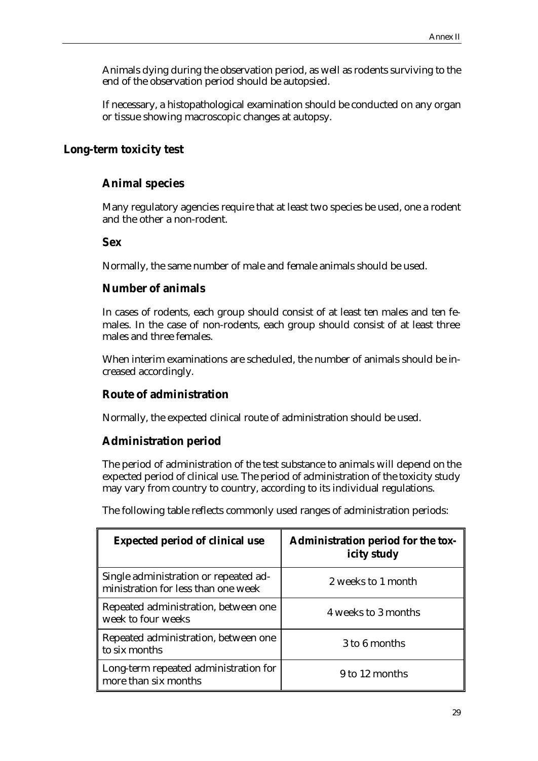Animals dying during the observation period, as well as rodents surviving to the end of the observation period should be autopsied.

If necessary, a histopathological examination should be conducted on any organ or tissue showing macroscopic changes at autopsy.

### **Long-term toxicity test**

## **Animal species**

Many regulatory agencies require that at least two species be used, one a rodent and the other a non-rodent.

### **Sex**

Normally, the same number of male and female animals should be used.

### **Number of animals**

In cases of rodents, each group should consist of at least ten males and ten females. In the case of non-rodents, each group should consist of at least three males and three females.

When interim examinations are scheduled, the number of animals should be increased accordingly.

## **Route of administration**

Normally, the expected clinical route of administration should be used.

## **Administration period**

The period of administration of the test substance to animals will depend on the expected period of clinical use. The period of administration of the toxicity study may vary from country to country, according to its individual regulations.

The following table reflects commonly used ranges of administration periods:

| <b>Expected period of clinical use</b>                                       | <b>Administration period for the tox-</b><br>icity study |
|------------------------------------------------------------------------------|----------------------------------------------------------|
| Single administration or repeated ad-<br>ministration for less than one week | 2 weeks to 1 month                                       |
| Repeated administration, between one<br>week to four weeks                   | 4 weeks to 3 months                                      |
| Repeated administration, between one<br>to six months                        | 3 to 6 months                                            |
| Long-term repeated administration for<br>more than six months                | 9 to 12 months                                           |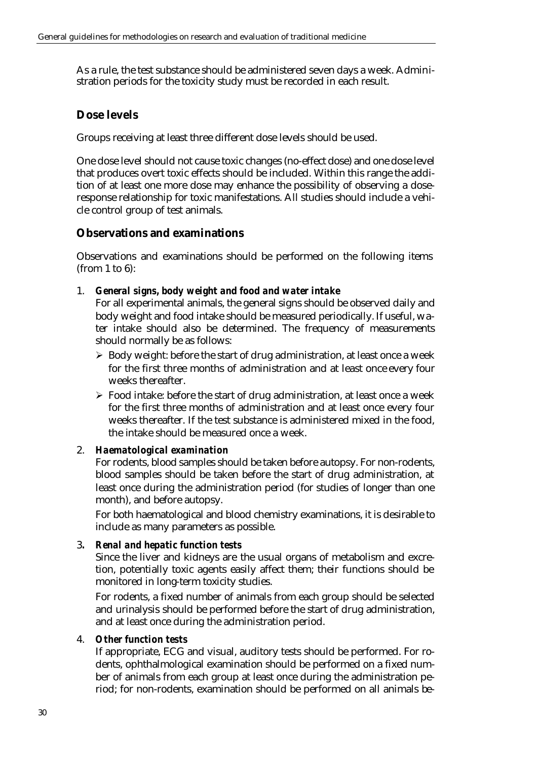As a rule, the test substance should be administered seven days a week. Administration periods for the toxicity study must be recorded in each result.

## **Dose levels**

Groups receiving at least three different dose levels should be used.

One dose level should not cause toxic changes (no-effect dose) and one dose level that produces overt toxic effects should be included. Within this range the addition of at least one more dose may enhance the possibility of observing a doseresponse relationship for toxic manifestations. All studies should include a vehicle control group of test animals.

### **Observations and examinations**

Observations and examinations should be performed on the following items (from 1 to 6):

1. *General signs, body weight and food and water intake*

For all experimental animals, the general signs should be observed daily and body weight and food intake should be measured periodically. If useful, water intake should also be determined. The frequency of measurements should normally be as follows:

- ÿ Body weight: before the start of drug administration, at least once a week for the first three months of administration and at least once every four weeks thereafter.
- $\triangleright$  Food intake: before the start of drug administration, at least once a week for the first three months of administration and at least once every four weeks thereafter. If the test substance is administered mixed in the food, the intake should be measured once a week.

### 2. *Haematological examination*

For rodents, blood samples should be taken before autopsy. For non-rodents, blood samples should be taken before the start of drug administration, at least once during the administration period (for studies of longer than one month), and before autopsy.

For both haematological and blood chemistry examinations, it is desirable to include as many parameters as possible.

### 3*. Renal and hepatic function tests*

Since the liver and kidneys are the usual organs of metabolism and excretion, potentially toxic agents easily affect them; their functions should be monitored in long-term toxicity studies.

For rodents, a fixed number of animals from each group should be selected and urinalysis should be performed before the start of drug administration, and at least once during the administration period.

### 4. *Other function tests*

If appropriate, ECG and visual, auditory tests should be performed. For rodents, ophthalmological examination should be performed on a fixed number of animals from each group at least once during the administration period; for non-rodents, examination should be performed on all animals be-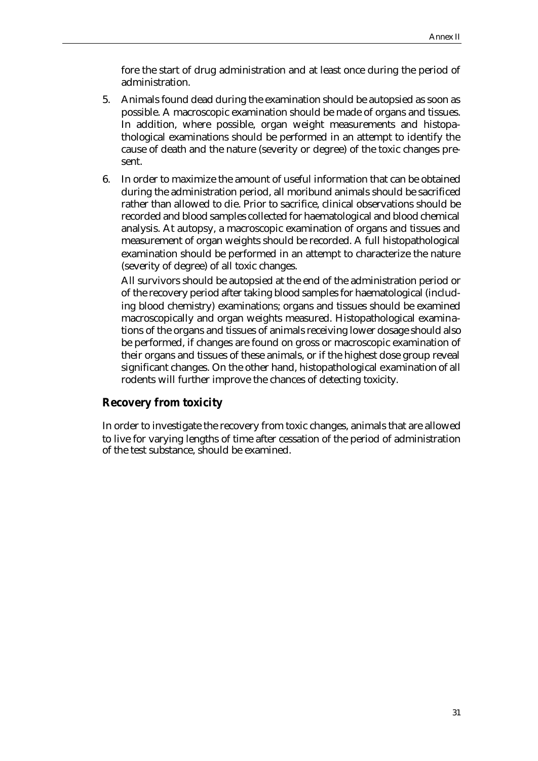fore the start of drug administration and at least once during the period of administration.

- 5. Animals found dead during the examination should be autopsied as soon as possible. A macroscopic examination should be made of organs and tissues. In addition, where possible, organ weight measurements and histopathological examinations should be performed in an attempt to identify the cause of death and the nature (severity or degree) of the toxic changes present.
- 6. In order to maximize the amount of useful information that can be obtained during the administration period, all moribund animals should be sacrificed rather than allowed to die. Prior to sacrifice, clinical observations should be recorded and blood samples collected for haematological and blood chemical analysis. At autopsy, a macroscopic examination of organs and tissues and measurement of organ weights should be recorded. A full histopathological examination should be performed in an attempt to characterize the nature (severity of degree) of all toxic changes.

All survivors should be autopsied at the end of the administration period or of the recovery period after taking blood samples for haematological (including blood chemistry) examinations; organs and tissues should be examined macroscopically and organ weights measured. Histopathological examinations of the organs and tissues of animals receiving lower dosage should also be performed, if changes are found on gross or macroscopic examination of their organs and tissues of these animals, or if the highest dose group reveal significant changes. On the other hand, histopathological examination of all rodents will further improve the chances of detecting toxicity.

#### **Recovery from toxicity**

In order to investigate the recovery from toxic changes, animals that are allowed to live for varying lengths of time after cessation of the period of administration of the test substance, should be examined.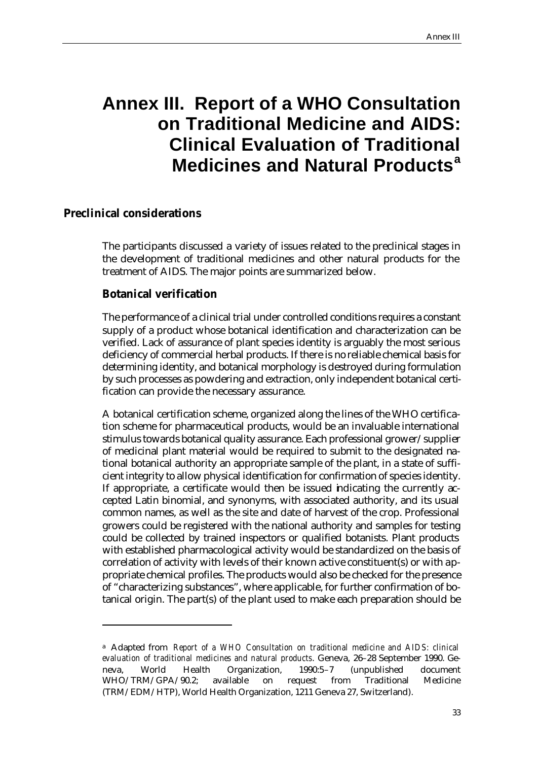# **Annex III. Report of a WHO Consultation on Traditional Medicine and AIDS: Clinical Evaluation of Traditional Medicines and Natural Products<sup>a</sup>**

#### **Preclinical considerations**

 $\overline{a}$ 

The participants discussed a variety of issues related to the preclinical stages in the development of traditional medicines and other natural products for the treatment of AIDS. The major points are summarized below.

#### **Botanical verification**

The performance of a clinical trial under controlled conditions requires a constant supply of a product whose botanical identification and characterization can be verified. Lack of assurance of plant species identity is arguably the most serious deficiency of commercial herbal products. If there is no reliable chemical basis for determining identity, and botanical morphology is destroyed during formulation by such processes as powdering and extraction, only independent botanical certification can provide the necessary assurance.

A botanical certification scheme, organized along the lines of the WHO certification scheme for pharmaceutical products, would be an invaluable international stimulus towards botanical quality assurance. Each professional grower/supplier of medicinal plant material would be required to submit to the designated national botanical authority an appropriate sample of the plant, in a state of sufficient integrity to allow physical identification for confirmation of species identity. If appropriate, a certificate would then be issued indicating the currently accepted Latin binomial, and synonyms, with associated authority, and its usual common names, as well as the site and date of harvest of the crop. Professional growers could be registered with the national authority and samples for testing could be collected by trained inspectors or qualified botanists. Plant products with established pharmacological activity would be standardized on the basis of correlation of activity with levels of their known active constituent(s) or with appropriate chemical profiles. The products would also be checked for the presence of "characterizing substances", where applicable, for further confirmation of botanical origin. The part(s) of the plant used to make each preparation should be

<sup>a</sup> Adapted from *Report of a WHO Consultation on traditional medicine and AIDS: clinical evaluation of traditional medicines and natural products*. Geneva, 26–28 September 1990. Geneva, World Health Organization, 1990:5–7 (unpublished document WHO/TRM/GPA/90.2; available on request from Traditional Medicine (TRM/EDM/HTP), World Health Organization, 1211 Geneva 27, Switzerland).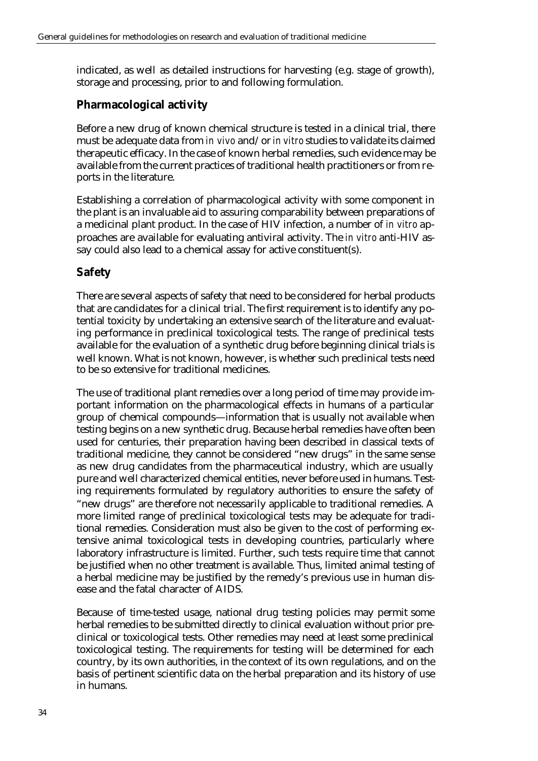indicated, as well as detailed instructions for harvesting (e.g. stage of growth), storage and processing, prior to and following formulation.

## **Pharmacological activity**

Before a new drug of known chemical structure is tested in a clinical trial, there must be adequate data from *in vivo* and/or *in vitro* studies to validate its claimed therapeutic efficacy. In the case of known herbal remedies, such evidence may be available from the current practices of traditional health practitioners or from reports in the literature.

Establishing a correlation of pharmacological activity with some component in the plant is an invaluable aid to assuring comparability between preparations of a medicinal plant product. In the case of HIV infection, a number of *in vitro* approaches are available for evaluating antiviral activity. The *in vitro* anti-HIV assay could also lead to a chemical assay for active constituent(s).

## **Safety**

There are several aspects of safety that need to be considered for herbal products that are candidates for a clinical trial. The first requirement is to identify any potential toxicity by undertaking an extensive search of the literature and evaluating performance in preclinical toxicological tests. The range of preclinical tests available for the evaluation of a synthetic drug before beginning clinical trials is well known. What is not known, however, is whether such preclinical tests need to be so extensive for traditional medicines.

The use of traditional plant remedies over a long period of time may provide important information on the pharmacological effects in humans of a particular group of chemical compounds—information that is usually not available when testing begins on a new synthetic drug. Because herbal remedies have often been used for centuries, their preparation having been described in classical texts of traditional medicine, they cannot be considered "new drugs" in the same sense as new drug candidates from the pharmaceutical industry, which are usually pure and well characterized chemical entities, never before used in humans. Testing requirements formulated by regulatory authorities to ensure the safety of "new drugs" are therefore not necessarily applicable to traditional remedies. A more limited range of preclinical toxicological tests may be adequate for traditional remedies. Consideration must also be given to the cost of performing extensive animal toxicological tests in developing countries, particularly where laboratory infrastructure is limited. Further, such tests require time that cannot be justified when no other treatment is available. Thus, limited animal testing of a herbal medicine may be justified by the remedy's previous use in human disease and the fatal character of AIDS.

Because of time-tested usage, national drug testing policies may permit some herbal remedies to be submitted directly to clinical evaluation without prior preclinical or toxicological tests. Other remedies may need at least some preclinical toxicological testing. The requirements for testing will be determined for each country, by its own authorities, in the context of its own regulations, and on the basis of pertinent scientific data on the herbal preparation and its history of use in humans.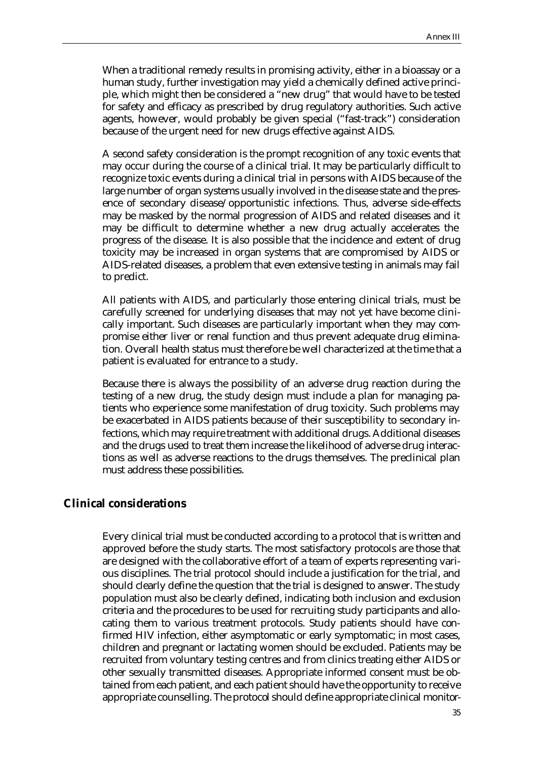When a traditional remedy results in promising activity, either in a bioassay or a human study, further investigation may yield a chemically defined active principle, which might then be considered a "new drug" that would have to be tested for safety and efficacy as prescribed by drug regulatory authorities. Such active agents, however, would probably be given special ("fast-track") consideration because of the urgent need for new drugs effective against AIDS.

A second safety consideration is the prompt recognition of any toxic events that may occur during the course of a clinical trial. It may be particularly difficult to recognize toxic events during a clinical trial in persons with AIDS because of the large number of organ systems usually involved in the disease state and the presence of secondary disease/opportunistic infections. Thus, adverse side-effects may be masked by the normal progression of AIDS and related diseases and it may be difficult to determine whether a new drug actually accelerates the progress of the disease. It is also possible that the incidence and extent of drug toxicity may be increased in organ systems that are compromised by AIDS or AIDS-related diseases, a problem that even extensive testing in animals may fail to predict.

All patients with AIDS, and particularly those entering clinical trials, must be carefully screened for underlying diseases that may not yet have become clinically important. Such diseases are particularly important when they may compromise either liver or renal function and thus prevent adequate drug elimination. Overall health status must therefore be well characterized at the time that a patient is evaluated for entrance to a study.

Because there is always the possibility of an adverse drug reaction during the testing of a new drug, the study design must include a plan for managing patients who experience some manifestation of drug toxicity. Such problems may be exacerbated in AIDS patients because of their susceptibility to secondary infections, which may require treatment with additional drugs. Additional diseases and the drugs used to treat them increase the likelihood of adverse drug interactions as well as adverse reactions to the drugs themselves. The preclinical plan must address these possibilities.

#### **Clinical considerations**

Every clinical trial must be conducted according to a protocol that is written and approved before the study starts. The most satisfactory protocols are those that are designed with the collaborative effort of a team of experts representing various disciplines. The trial protocol should include a justification for the trial, and should clearly define the question that the trial is designed to answer. The study population must also be clearly defined, indicating both inclusion and exclusion criteria and the procedures to be used for recruiting study participants and allocating them to various treatment protocols. Study patients should have confirmed HIV infection, either asymptomatic or early symptomatic; in most cases, children and pregnant or lactating women should be excluded. Patients may be recruited from voluntary testing centres and from clinics treating either AIDS or other sexually transmitted diseases. Appropriate informed consent must be obtained from each patient, and each patient should have the opportunity to receive appropriate counselling. The protocol should define appropriate clinical monitor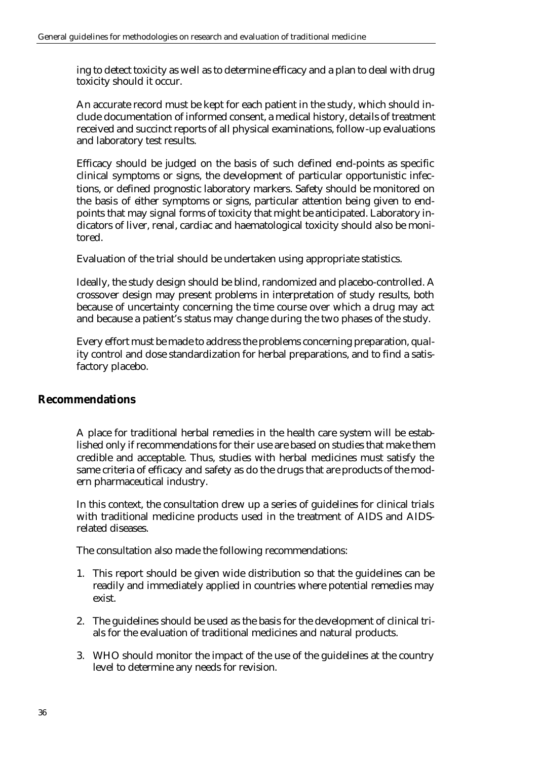ing to detect toxicity as well as to determine efficacy and a plan to deal with drug toxicity should it occur.

An accurate record must be kept for each patient in the study, which should include documentation of informed consent, a medical history, details of treatment received and succinct reports of all physical examinations, follow-up evaluations and laboratory test results.

Efficacy should be judged on the basis of such defined end-points as specific clinical symptoms or signs, the development of particular opportunistic infections, or defined prognostic laboratory markers. Safety should be monitored on the basis of either symptoms or signs, particular attention being given to endpoints that may signal forms of toxicity that might be anticipated. Laboratory indicators of liver, renal, cardiac and haematological toxicity should also be monitored.

Evaluation of the trial should be undertaken using appropriate statistics.

Ideally, the study design should be blind, randomized and placebo-controlled. A crossover design may present problems in interpretation of study results, both because of uncertainty concerning the time course over which a drug may act and because a patient's status may change during the two phases of the study.

Every effort must be made to address the problems concerning preparation, quality control and dose standardization for herbal preparations, and to find a satisfactory placebo.

#### **Recommendations**

A place for traditional herbal remedies in the health care system will be established only if recommendations for their use are based on studies that make them credible and acceptable. Thus, studies with herbal medicines must satisfy the same criteria of efficacy and safety as do the drugs that are products of the modern pharmaceutical industry.

In this context, the consultation drew up a series of guidelines for clinical trials with traditional medicine products used in the treatment of AIDS and AIDSrelated diseases.

The consultation also made the following recommendations:

- 1. This report should be given wide distribution so that the guidelines can be readily and immediately applied in countries where potential remedies may exist.
- 2. The guidelines should be used as the basis for the development of clinical trials for the evaluation of traditional medicines and natural products.
- 3. WHO should monitor the impact of the use of the guidelines at the country level to determine any needs for revision.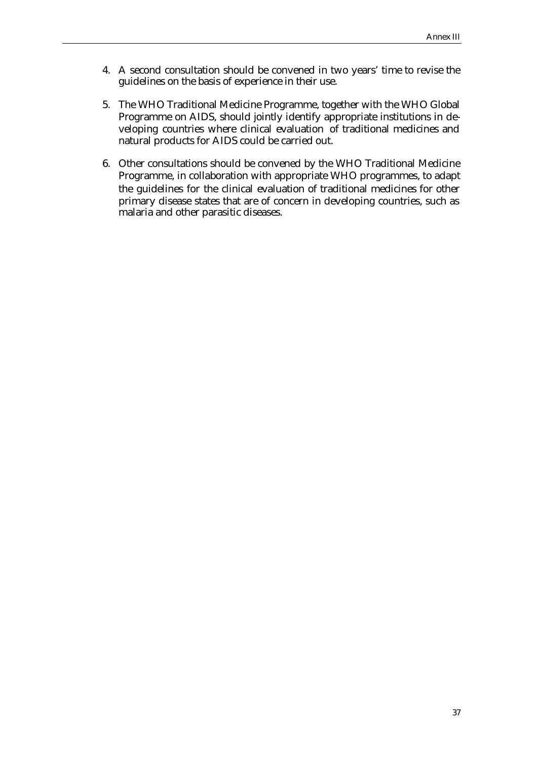- 4. A second consultation should be convened in two years' time to revise the guidelines on the basis of experience in their use.
- 5. The WHO Traditional Medicine Programme, together with the WHO Global Programme on AIDS, should jointly identify appropriate institutions in developing countries where clinical evaluation of traditional medicines and natural products for AIDS could be carried out.
- 6. Other consultations should be convened by the WHO Traditional Medicine Programme, in collaboration with appropriate WHO programmes, to adapt the guidelines for the clinical evaluation of traditional medicines for other primary disease states that are of concern in developing countries, such as malaria and other parasitic diseases.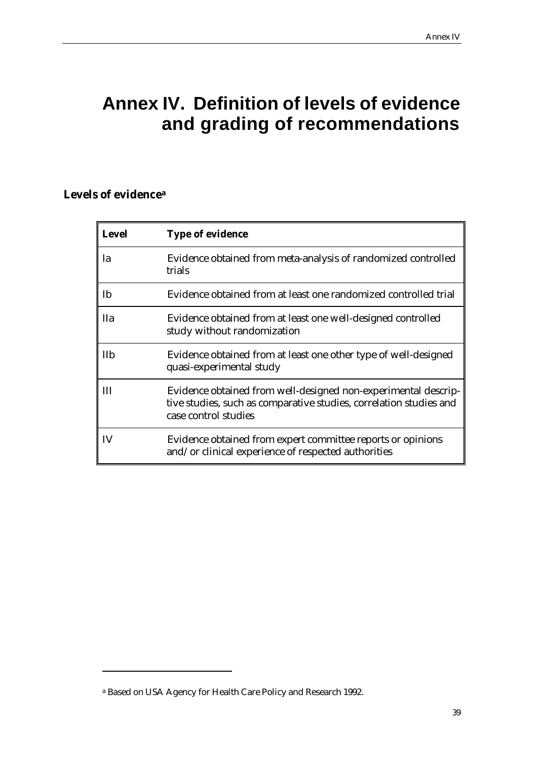# **Annex IV. Definition of levels of evidence and grading of recommendations**

# **Levels of evidence<sup>a</sup>**

 $\overline{a}$ 

| <b>Level</b> | <b>Type of evidence</b>                                                                                                                                      |
|--------------|--------------------------------------------------------------------------------------------------------------------------------------------------------------|
| Ia           | Evidence obtained from meta-analysis of randomized controlled<br>trials                                                                                      |
| Ib           | Evidence obtained from at least one randomized controlled trial                                                                                              |
| <b>IIa</b>   | Evidence obtained from at least one well-designed controlled<br>study without randomization                                                                  |
| IIb          | Evidence obtained from at least one other type of well-designed<br>quasi-experimental study                                                                  |
| Ш            | Evidence obtained from well-designed non-experimental descrip-<br>tive studies, such as comparative studies, correlation studies and<br>case control studies |
| IV           | Evidence obtained from expert committee reports or opinions<br>and/or clinical experience of respected authorities                                           |

a Based on USA Agency for Health Care Policy and Research 1992.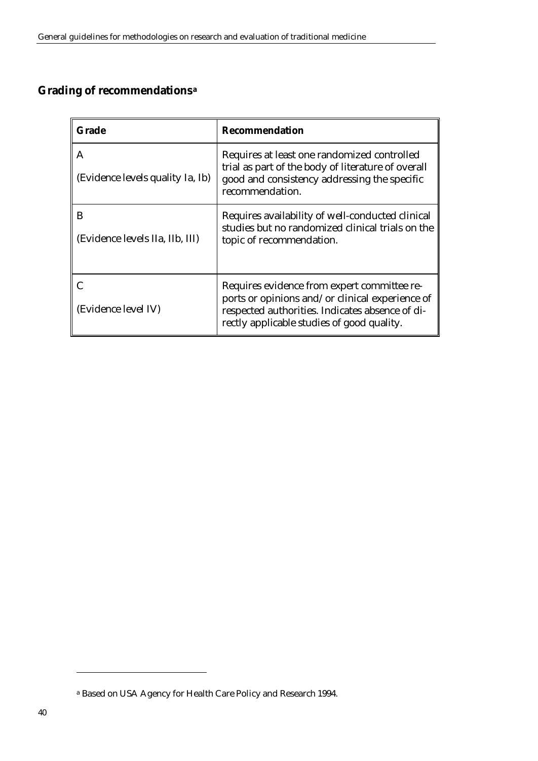# **Grading of recommendations<sup>a</sup>**

| Grade                                 | Recommendation                                                                                                                                                                                  |
|---------------------------------------|-------------------------------------------------------------------------------------------------------------------------------------------------------------------------------------------------|
| A<br>(Evidence levels quality Ia, Ib) | Requires at least one randomized controlled<br>trial as part of the body of literature of overall<br>good and consistency addressing the specific<br>recommendation.                            |
| B<br>(Evidence levels IIa, IIb, III)  | Requires availability of well-conducted clinical<br>studies but no randomized clinical trials on the<br>topic of recommendation.                                                                |
| (Evidence level IV)                   | Requires evidence from expert committee re-<br>ports or opinions and/or clinical experience of<br>respected authorities. Indicates absence of di-<br>rectly applicable studies of good quality. |

 $\overline{a}$ 

a Based on USA Agency for Health Care Policy and Research 1994.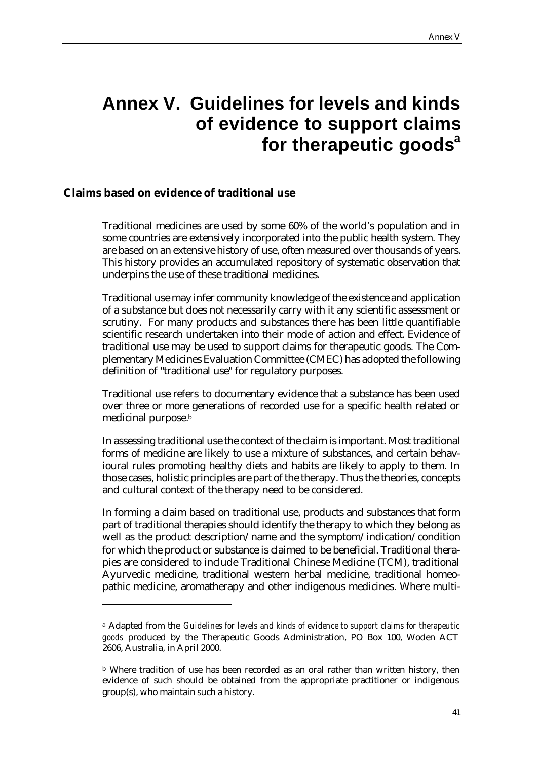# **Annex V. Guidelines for levels and kinds of evidence to support claims for therapeutic goods<sup>a</sup>**

#### **Claims based on evidence of traditional use**

 $\overline{a}$ 

Traditional medicines are used by some 60% of the world's population and in some countries are extensively incorporated into the public health system. They are based on an extensive history of use, often measured over thousands of years. This history provides an accumulated repository of systematic observation that underpins the use of these traditional medicines.

Traditional use may infer community knowledge of the existence and application of a substance but does not necessarily carry with it any scientific assessment or scrutiny. For many products and substances there has been little quantifiable scientific research undertaken into their mode of action and effect. Evidence of traditional use may be used to support claims for therapeutic goods. The Complementary Medicines Evaluation Committee (CMEC) has adopted the following definition of "traditional use" for regulatory purposes.

Traditional use refers to documentary evidence that a substance has been used over three or more generations of recorded use for a specific health related or medicinal purpose.<sup>b</sup>

In assessing traditional use the context of the claim is important. Most traditional forms of medicine are likely to use a mixture of substances, and certain behavioural rules promoting healthy diets and habits are likely to apply to them. In those cases, holistic principles are part of the therapy. Thus the theories, concepts and cultural context of the therapy need to be considered.

In forming a claim based on traditional use, products and substances that form part of traditional therapies should identify the therapy to which they belong as well as the product description/name and the symptom/indication/condition for which the product or substance is claimed to be beneficial. Traditional therapies are considered to include Traditional Chinese Medicine (TCM), traditional Ayurvedic medicine, traditional western herbal medicine, traditional homeopathic medicine, aromatherapy and other indigenous medicines. Where multi-

<sup>a</sup> Adapted from the *Guidelines for levels and kinds of evidence to support claims for therapeutic goods* produced by the Therapeutic Goods Administration, PO Box 100, Woden ACT 2606, Australia, in April 2000.

<sup>b</sup> Where tradition of use has been recorded as an oral rather than written history, then evidence of such should be obtained from the appropriate practitioner or indigenous group(s), who maintain such a history.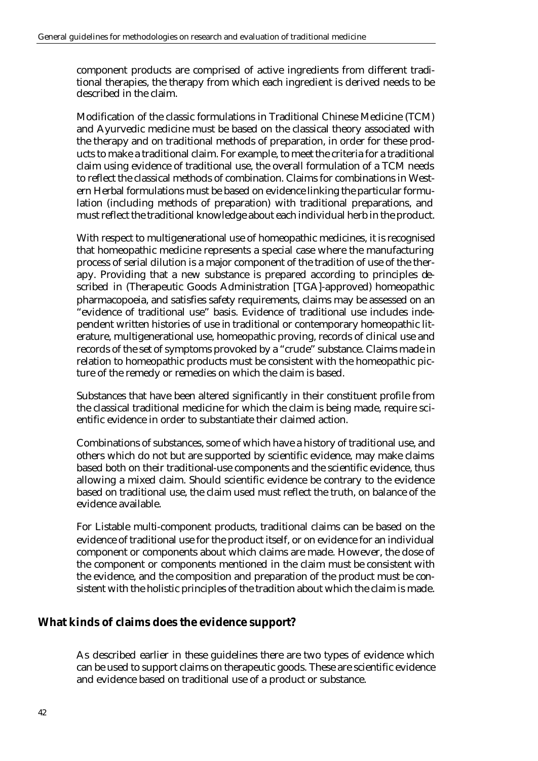component products are comprised of active ingredients from different traditional therapies, the therapy from which each ingredient is derived needs to be described in the claim.

Modification of the classic formulations in Traditional Chinese Medicine (TCM) and Ayurvedic medicine must be based on the classical theory associated with the therapy and on traditional methods of preparation, in order for these products to make a traditional claim. For example, to meet the criteria for a traditional claim using evidence of traditional use, the overall formulation of a TCM needs to reflect the classical methods of combination. Claims for combinations in Western Herbal formulations must be based on evidence linking the particular formulation (including methods of preparation) with traditional preparations, and must reflect the traditional knowledge about each individual herb in the product.

With respect to multigenerational use of homeopathic medicines, it is recognised that homeopathic medicine represents a special case where the manufacturing process of serial dilution is a major component of the tradition of use of the therapy. Providing that a new substance is prepared according to principles described in (Therapeutic Goods Administration [TGA]-approved) homeopathic pharmacopoeia, and satisfies safety requirements, claims may be assessed on an "evidence of traditional use" basis. Evidence of traditional use includes independent written histories of use in traditional or contemporary homeopathic literature, multigenerational use, homeopathic proving, records of clinical use and records of the set of symptoms provoked by a "crude" substance. Claims made in relation to homeopathic products must be consistent with the homeopathic picture of the remedy or remedies on which the claim is based.

Substances that have been altered significantly in their constituent profile from the classical traditional medicine for which the claim is being made, require scientific evidence in order to substantiate their claimed action.

Combinations of substances, some of which have a history of traditional use, and others which do not but are supported by scientific evidence, may make claims based both on their traditional-use components and the scientific evidence, thus allowing a mixed claim. Should scientific evidence be contrary to the evidence based on traditional use, the claim used must reflect the truth, on balance of the evidence available.

For Listable multi-component products, traditional claims can be based on the evidence of traditional use for the product itself, or on evidence for an individual component or components about which claims are made. However, the dose of the component or components mentioned in the claim must be consistent with the evidence, and the composition and preparation of the product must be consistent with the holistic principles of the tradition about which the claim is made.

## **What kinds of claims does the evidence support?**

As described earlier in these guidelines there are two types of evidence which can be used to support claims on therapeutic goods. These are scientific evidence and evidence based on traditional use of a product or substance.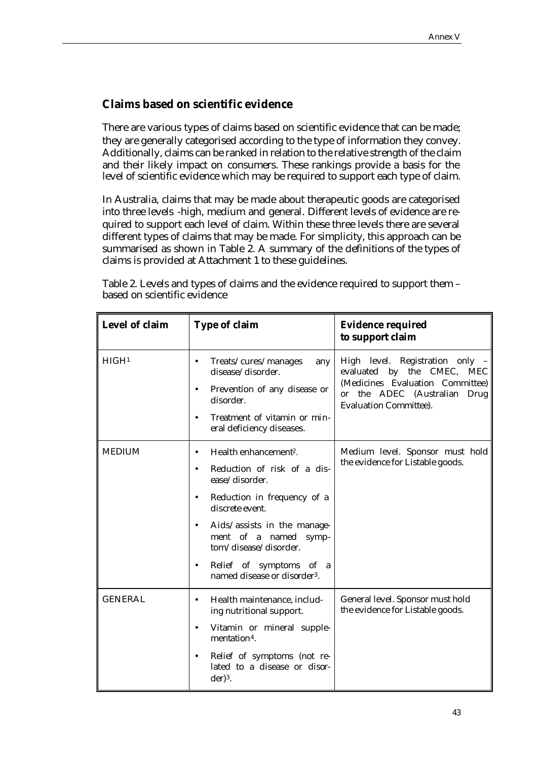## **Claims based on scientific evidence**

There are various types of claims based on scientific evidence that can be made; they are generally categorised according to the type of information they convey. Additionally, claims can be ranked in relation to the relative strength of the claim and their likely impact on consumers. These rankings provide a basis for the level of scientific evidence which may be required to support each type of claim.

In Australia, claims that may be made about therapeutic goods are categorised into three levels -high, medium and general. Different levels of evidence are required to support each level of claim. Within these three levels there are several different types of claims that may be made. For simplicity, this approach can be summarised as shown in Table 2. A summary of the definitions of the types of claims is provided at Attachment 1 to these guidelines.

Table 2. Levels and types of claims and the evidence required to support them – based on scientific evidence

| Level of claim    | <b>Type of claim</b>                                                                                                                                                                                                                                                                                                                                             | <b>Evidence required</b><br>to support claim                                                                                                                                               |
|-------------------|------------------------------------------------------------------------------------------------------------------------------------------------------------------------------------------------------------------------------------------------------------------------------------------------------------------------------------------------------------------|--------------------------------------------------------------------------------------------------------------------------------------------------------------------------------------------|
| HIGH <sup>1</sup> | Treats/cures/manages<br>$\bullet$<br>any<br>disease/disorder.<br>Prevention of any disease or<br>$\bullet$<br>disorder.<br>Treatment of vitamin or min-<br>$\bullet$<br>eral deficiency diseases.                                                                                                                                                                | High level. Registration only -<br>evaluated by the CMEC,<br><b>MEC</b><br>(Medicines Evaluation Committee)<br>the ADEC (Australian Drug<br>$\mathbf{or}$<br><b>Evaluation Committee).</b> |
| <b>MEDIUM</b>     | Health enhancement <sup>2</sup> .<br>$\bullet$<br>Reduction of risk of a dis-<br>$\bullet$<br>ease/disorder.<br>Reduction in frequency of a<br>$\bullet$<br>discrete event.<br>Aids/assists in the manage-<br>$\bullet$<br>ment of a named<br>symp-<br>tom/disease/disorder.<br>Relief of symptoms of a<br>$\bullet$<br>named disease or disorder <sup>3</sup> . | Medium level. Sponsor must hold<br>the evidence for Listable goods.                                                                                                                        |
| <b>GENERAL</b>    | Health maintenance, includ-<br>$\bullet$<br>ing nutritional support.<br>Vitamin or mineral supple-<br>$\bullet$<br>mentation <sup>4</sup> .<br>Relief of symptoms (not re-<br>$\bullet$<br>lated to a disease or disor-<br>$der)3$ .                                                                                                                             | General level. Sponsor must hold<br>the evidence for Listable goods.                                                                                                                       |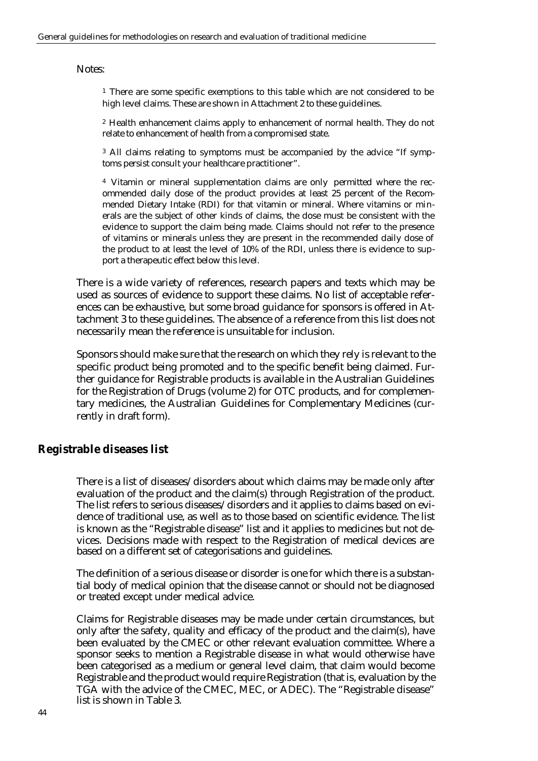Notes:

<sup>1</sup> There are some specific exemptions to this table which are not considered to be high level claims. These are shown in Attachment 2 to these guidelines.

<sup>2</sup> Health enhancement claims apply to enhancement of normal health. They do not relate to enhancement of health from a compromised state.

<sup>3</sup> All claims relating to symptoms must be accompanied by the advice "If symptoms persist consult your healthcare practitioner".

<sup>4</sup> Vitamin or mineral supplementation claims are only permitted where the recommended daily dose of the product provides at least 25 percent of the Recommended Dietary Intake (RDI) for that vitamin or mineral. Where vitamins or minerals are the subject of other kinds of claims, the dose must be consistent with the evidence to support the claim being made. Claims should not refer to the presence of vitamins or minerals unless they are present in the recommended daily dose of the product to at least the level of 10% of the RDI, unless there is evidence to support a therapeutic effect below this level.

There is a wide variety of references, research papers and texts which may be used as sources of evidence to support these claims. No list of acceptable references can be exhaustive, but some broad guidance for sponsors is offered in Attachment 3 to these guidelines. The absence of a reference from this list does not necessarily mean the reference is unsuitable for inclusion.

Sponsors should make sure that the research on which they rely is relevant to the specific product being promoted and to the specific benefit being claimed. Further guidance for Registrable products is available in the Australian Guidelines for the Registration of Drugs (volume 2) for OTC products, and for complementary medicines, the Australian Guidelines for Complementary Medicines (currently in draft form).

#### **Registrable diseases list**

There is a list of diseases/disorders about which claims may be made only after evaluation of the product and the claim(s) through Registration of the product. The list refers to serious diseases/disorders and it applies to claims based on evidence of traditional use, as well as to those based on scientific evidence. The list is known as the "Registrable disease" list and it applies to medicines but not devices. Decisions made with respect to the Registration of medical devices are based on a different set of categorisations and guidelines.

The definition of a serious disease or disorder is one for which there is a substantial body of medical opinion that the disease cannot or should not be diagnosed or treated except under medical advice.

Claims for Registrable diseases may be made under certain circumstances, but only after the safety, quality and efficacy of the product and the claim(s), have been evaluated by the CMEC or other relevant evaluation committee. Where a sponsor seeks to mention a Registrable disease in what would otherwise have been categorised as a medium or general level claim, that claim would become Registrable and the product would require Registration (that is, evaluation by the TGA with the advice of the CMEC, MEC, or ADEC). The "Registrable disease" list is shown in Table 3.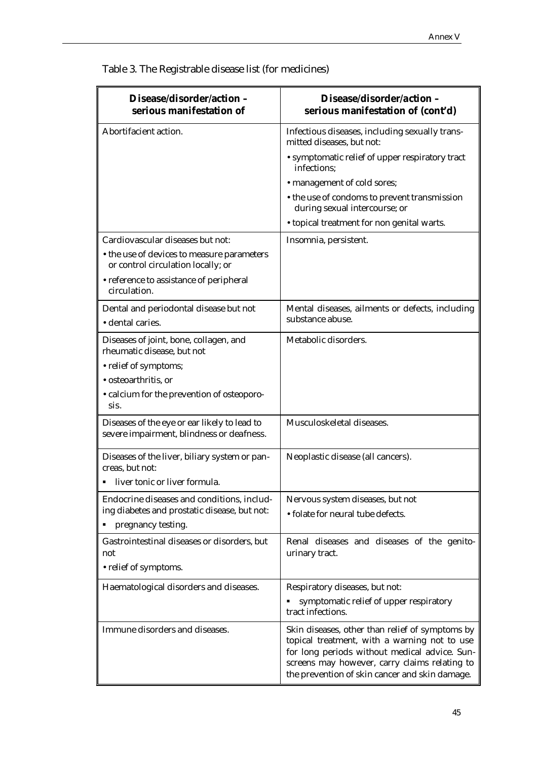**Disease/disorder/action – serious manifestation of Disease/disorder/action – serious manifestation of (cont'd)** Abortifacient action. The state of the last including sexually transmitted diseases, but not: • symptomatic relief of upper respiratory tract infections; • management of cold sores; • the use of condoms to prevent transmission during sexual intercourse; or • topical treatment for non genital warts. Cardiovascular diseases but not: • the use of devices to measure parameters or control circulation locally; or • reference to assistance of peripheral circulation. Insomnia, persistent. Dental and periodontal disease but not • dental caries. Mental diseases, ailments or defects, including substance abuse. Diseases of joint, bone, collagen, and rheumatic disease, but not • relief of symptoms; • osteoarthritis, or • calcium for the prevention of osteoporosis. Metabolic disorders. Diseases of the eye or ear likely to lead to severe impairment, blindness or deafness. Musculoskeletal diseases. Diseases of the liver, biliary system or pancreas, but not: **EXECUTE:** liver tonic or liver formula Neoplastic disease (all cancers). Endocrine diseases and conditions, including diabetes and prostatic disease, but not: pregnancy testing. Nervous system diseases, but not • folate for neural tube defects. Gastrointestinal diseases or disorders, but not • relief of symptoms. Renal diseases and diseases of the genitourinary tract. Haematological disorders and diseases. | Respiratory diseases, but not: **Symptomatic relief of upper respiratory** tract infections. Immune disorders and diseases. Skin diseases, other than relief of symptoms by topical treatment, with a warning not to use for long periods without medical advice. Sunscreens may however, carry claims relating to the prevention of skin cancer and skin damage.

Table 3. The Registrable disease list (for medicines)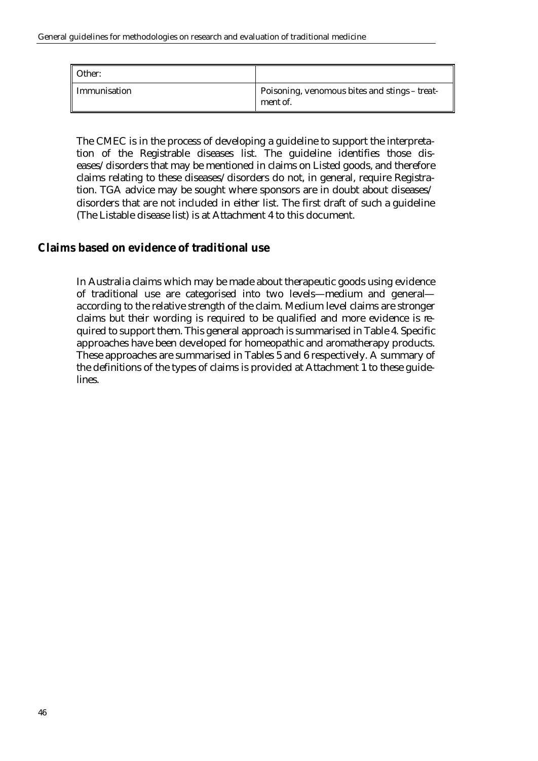| Other:       |                                                           |
|--------------|-----------------------------------------------------------|
| Immunisation | Poisoning, venomous bites and stings - treat-<br>ment of. |

The CMEC is in the process of developing a guideline to support the interpretation of the Registrable diseases list. The guideline identifies those diseases/disorders that may be mentioned in claims on Listed goods, and therefore claims relating to these diseases/disorders do not, in general, require Registration. TGA advice may be sought where sponsors are in doubt about diseases/ disorders that are not included in either list. The first draft of such a guideline (The Listable disease list) is at Attachment 4 to this document.

## **Claims based on evidence of traditional use**

In Australia claims which may be made about therapeutic goods using evidence of traditional use are categorised into two levels—medium and general according to the relative strength of the claim. Medium level claims are stronger claims but their wording is required to be qualified and more evidence is required to support them. This general approach is summarised in Table 4. Specific approaches have been developed for homeopathic and aromatherapy products. These approaches are summarised in Tables 5 and 6 respectively. A summary of the definitions of the types of claims is provided at Attachment 1 to these guidelines.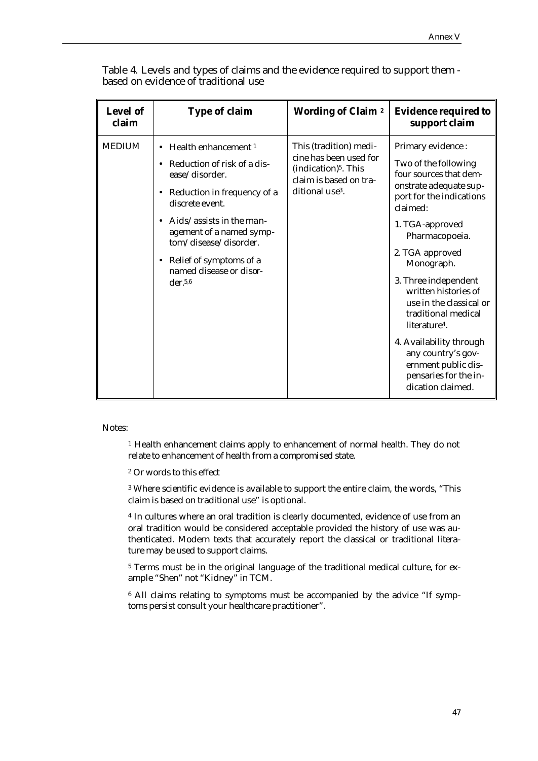| <b>Level of</b><br>claim | <b>Type of claim</b>                                                                                                                                                                                                                                                                                             | <b>Wording of Claim 2</b>                                                                                                                     | <b>Evidence required to</b><br>support claim                                                                                                                                                                                                                                                                                                                                                                                                                     |
|--------------------------|------------------------------------------------------------------------------------------------------------------------------------------------------------------------------------------------------------------------------------------------------------------------------------------------------------------|-----------------------------------------------------------------------------------------------------------------------------------------------|------------------------------------------------------------------------------------------------------------------------------------------------------------------------------------------------------------------------------------------------------------------------------------------------------------------------------------------------------------------------------------------------------------------------------------------------------------------|
| <b>MEDIUM</b>            | Health enhancement <sup>1</sup><br>Reduction of risk of a dis-<br>ease/disorder.<br>Reduction in frequency of a<br>$\bullet$<br>discrete event.<br>Aids/assists in the man-<br>$\bullet$<br>agement of a named symp-<br>tom/disease/disorder.<br>• Relief of symptoms of a<br>named disease or disor-<br>der.5,6 | This (tradition) medi-<br>cine has been used for<br>(indication) <sup>5</sup> . This<br>claim is based on tra-<br>ditional use <sup>3</sup> . | Primary evidence:<br>Two of the following<br>four sources that dem-<br>onstrate adequate sup-<br>port for the indications<br>claimed:<br>1. TGA-approved<br>Pharmacopoeia.<br>2. TGA approved<br>Monograph.<br>3. Three independent<br>written histories of<br>use in the classical or<br>traditional medical<br>literature <sup>4</sup> .<br>4. Availability through<br>any country's gov-<br>ernment public dis-<br>pensaries for the in-<br>dication claimed. |

Table 4. Levels and types of claims and the evidence required to support them based on evidence of traditional use

Notes:

<sup>1</sup> Health enhancement claims apply to enhancement of normal health. They do not relate to enhancement of health from a compromised state.

<sup>2</sup> Or words to this effect

<sup>3</sup>Where scientific evidence is available to support the entire claim, the words, "This claim is based on traditional use" is optional.

<sup>4</sup> In cultures where an oral tradition is clearly documented, evidence of use from an oral tradition would be considered acceptable provided the history of use was authenticated. Modern texts that accurately report the classical or traditional literature may be used to support claims.

5 Terms must be in the original language of the traditional medical culture, for example "Shen" not "Kidney" in TCM.

6 All claims relating to symptoms must be accompanied by the advice "If symptoms persist consult your healthcare practitioner".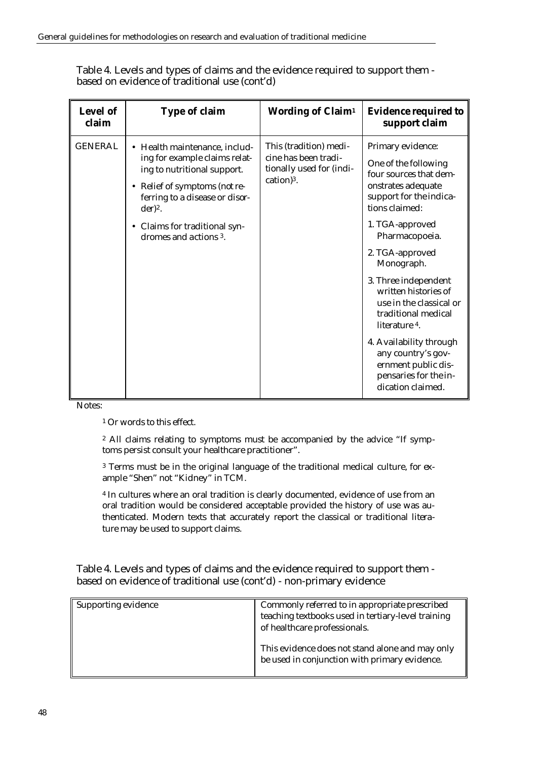| Level of<br>claim | <b>Type of claim</b>                                                                                                                                                                                                                    | <b>Wording of Claim<sup>1</sup></b>                                                        | <b>Evidence required to</b><br>support claim                                                                                                                                                                                                                                                                                                                                                                                                          |
|-------------------|-----------------------------------------------------------------------------------------------------------------------------------------------------------------------------------------------------------------------------------------|--------------------------------------------------------------------------------------------|-------------------------------------------------------------------------------------------------------------------------------------------------------------------------------------------------------------------------------------------------------------------------------------------------------------------------------------------------------------------------------------------------------------------------------------------------------|
| <b>GENERAL</b>    | • Health maintenance, includ-<br>ing for example claims relat-<br>ing to nutritional support.<br>• Relief of symptoms (not re-<br>ferring to a disease or disor-<br>$der)2$ .<br>• Claims for traditional syn-<br>dromes and actions 3. | This (tradition) medi-<br>cine has been tradi-<br>tionally used for (indi-<br>$cation)3$ . | Primary evidence:<br>One of the following<br>four sources that dem-<br>onstrates adequate<br>support for the indica-<br>tions claimed:<br>1. TGA-approved<br>Pharmacopoeia.<br>2. TGA-approved<br>Monograph.<br>3. Three independent<br>written histories of<br>use in the classical or<br>traditional medical<br>literature 4.<br>4. Availability through<br>any country's gov-<br>ernment public dis-<br>pensaries for the in-<br>dication claimed. |

Table 4. Levels and types of claims and the evidence required to support them based on evidence of traditional use (cont'd)

Notes:

<sup>1</sup> Or words to this effect.

2 All claims relating to symptoms must be accompanied by the advice "If symptoms persist consult your healthcare practitioner".

3 Terms must be in the original language of the traditional medical culture, for example "Shen" not "Kidney" in TCM.

<sup>4</sup> In cultures where an oral tradition is clearly documented, evidence of use from an oral tradition would be considered acceptable provided the history of use was authenticated. Modern texts that accurately report the classical or traditional literature may be used to support claims.

Table 4. Levels and types of claims and the evidence required to support them based on evidence of traditional use (cont'd) - non-primary evidence

| Supporting evidence | Commonly referred to in appropriate prescribed<br>teaching textbooks used in tertiary-level training<br>of healthcare professionals. |
|---------------------|--------------------------------------------------------------------------------------------------------------------------------------|
|                     | This evidence does not stand alone and may only<br>be used in conjunction with primary evidence.                                     |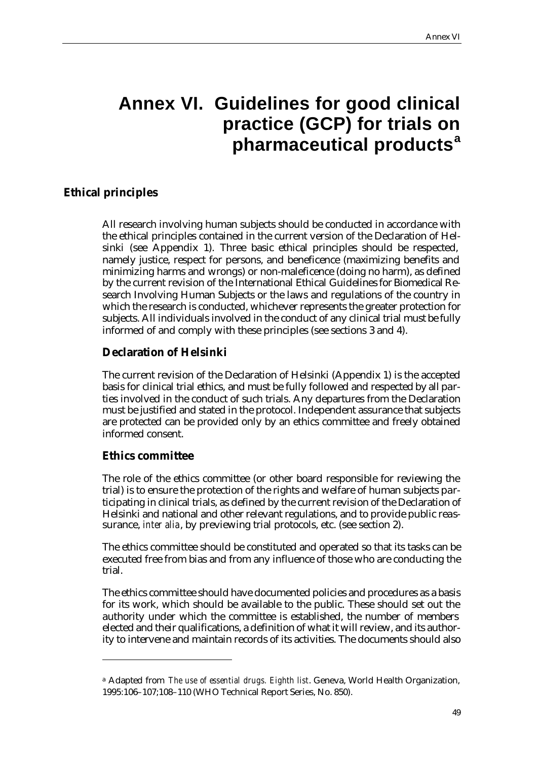# **Annex VI. Guidelines for good clinical practice (GCP) for trials on pharmaceutical products<sup>a</sup>**

#### **Ethical principles**

All research involving human subjects should be conducted in accordance with the ethical principles contained in the current version of the Declaration of Helsinki (see Appendix 1). Three basic ethical principles should be respected, namely justice, respect for persons, and beneficence (maximizing benefits and minimizing harms and wrongs) or non-maleficence (doing no harm), as defined by the current revision of the International Ethical Guidelines for Biomedical Research Involving Human Subjects or the laws and regulations of the country in which the research is conducted, whichever represents the greater protection for subjects. All individuals involved in the conduct of any clinical trial must be fully informed of and comply with these principles (see sections 3 and 4).

#### **Declaration of Helsinki**

The current revision of the Declaration of Helsinki (Appendix 1) is the accepted basis for clinical trial ethics, and must be fully followed and respected by all parties involved in the conduct of such trials. Any departures from the Declaration must be justified and stated in the protocol. Independent assurance that subjects are protected can be provided only by an ethics committee and freely obtained informed consent.

#### **Ethics committee**

 $\overline{a}$ 

The role of the ethics committee (or other board responsible for reviewing the trial) is to ensure the protection of the rights and welfare of human subjects participating in clinical trials, as defined by the current revision of the Declaration of Helsinki and national and other relevant regulations, and to provide public reassurance, *inter alia*, by previewing trial protocols, etc. (see section 2).

The ethics committee should be constituted and operated so that its tasks can be executed free from bias and from any influence of those who are conducting the trial.

The ethics committee should have documented policies and procedures as a basis for its work, which should be available to the public. These should set out the authority under which the committee is established, the number of members elected and their qualifications, a definition of what it will review, and its authority to intervene and maintain records of its activities. The documents should also

<sup>a</sup> Adapted from *The use of essential drugs. Eighth list*. Geneva, World Health Organization, 1995:106–107;108–110 (WHO Technical Report Series, No. 850).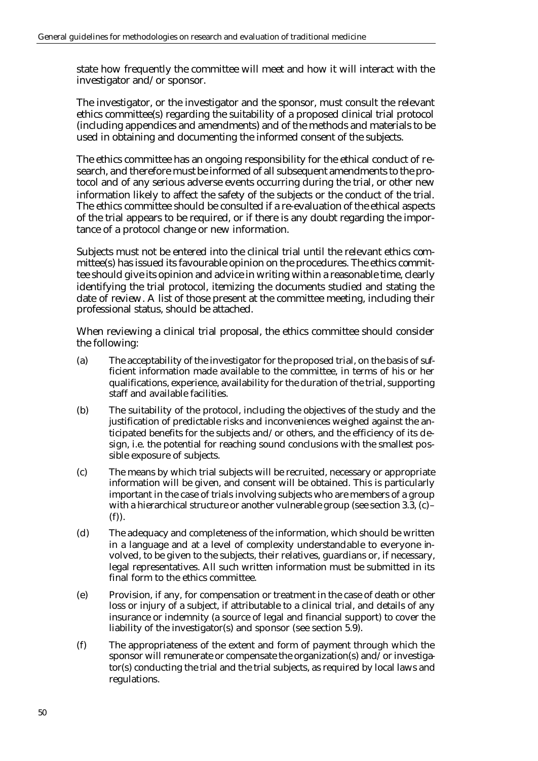state how frequently the committee will meet and how it will interact with the investigator and/or sponsor.

The investigator, or the investigator and the sponsor, must consult the relevant ethics committee(s) regarding the suitability of a proposed clinical trial protocol (including appendices and amendments) and of the methods and materials to be used in obtaining and documenting the informed consent of the subjects.

The ethics committee has an ongoing responsibility for the ethical conduct of research, and therefore must be informed of all subsequent amendments to the protocol and of any serious adverse events occurring during the trial, or other new information likely to affect the safety of the subjects or the conduct of the trial. The ethics committee should be consulted if a re-evaluation of the ethical aspects of the trial appears to be required, or if there is any doubt regarding the importance of a protocol change or new information.

Subjects must not be entered into the clinical trial until the relevant ethics committee(s) has issued its favourable opinion on the procedures. The ethics committee should give its opinion and advice in writing within a reasonable time, clearly identifying the trial protocol, itemizing the documents studied and stating the date of review. A list of those present at the committee meeting, including their professional status, should be attached.

When reviewing a clinical trial proposal, the ethics committee should consider the following:

- (a) The acceptability of the investigator for the proposed trial, on the basis of sufficient information made available to the committee, in terms of his or her qualifications, experience, availability for the duration of the trial, supporting staff and available facilities.
- (b) The suitability of the protocol, including the objectives of the study and the justification of predictable risks and inconveniences weighed against the anticipated benefits for the subjects and/or others, and the efficiency of its design, i.e. the potential for reaching sound conclusions with the smallest possible exposure of subjects.
- (c) The means by which trial subjects will be recruited, necessary or appropriate information will be given, and consent will be obtained. This is particularly important in the case of trials involving subjects who are members of a group with a hierarchical structure or another vulnerable group (see section 3.3, (c)– (f)).
- (d) The adequacy and completeness of the information, which should be written in a language and at a level of complexity understandable to everyone involved, to be given to the subjects, their relatives, guardians or, if necessary, legal representatives. All such written information must be submitted in its final form to the ethics committee.
- (e) Provision, if any, for compensation or treatment in the case of death or other loss or injury of a subject, if attributable to a clinical trial, and details of any insurance or indemnity (a source of legal and financial support) to cover the liability of the investigator(s) and sponsor (see section 5.9).
- (f) The appropriateness of the extent and form of payment through which the sponsor will remunerate or compensate the organization(s) and/or investigator(s) conducting the trial and the trial subjects, as required by local laws and regulations.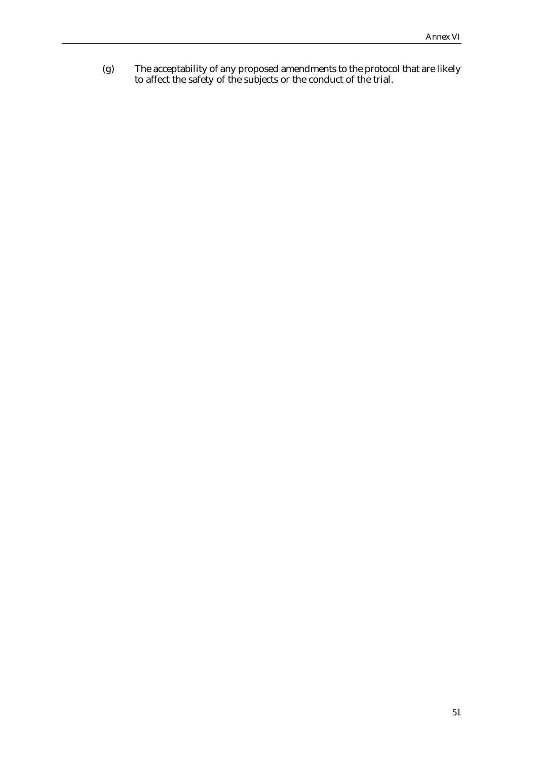(g) The acceptability of any proposed amendments to the protocol that are likely to affect the safety of the subjects or the conduct of the trial.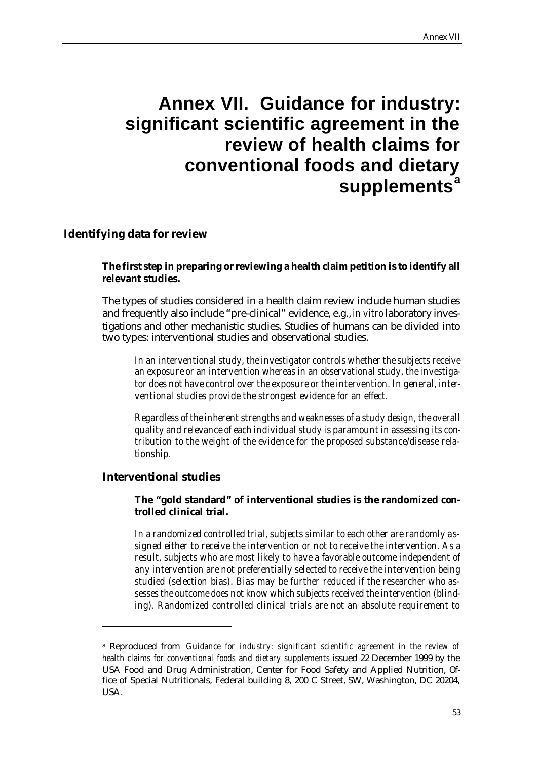# **Annex VII. Guidance for industry: significant scientific agreement in the review of health claims for conventional foods and dietary supplements<sup>a</sup>**

#### **Identifying data for review**

#### **The first step in preparing or reviewing a health claim petition is to identify all relevant studies.**

The types of studies considered in a health claim review include human studies and frequently also include "pre-clinical" evidence, e.g., *in vitro* laboratory investigations and other mechanistic studies. Studies of humans can be divided into two types: interventional studies and observational studies.

*In an interventional study, the investigator controls whether the subjects receive an exposure or an intervention whereas in an observational study, the investigator does not have control over the exposure or the intervention. In general, interventional studies provide the strongest evidence for an effect.*

*Regardless of the inherent strengths and weaknesses of a study design, the overall quality and relevance of each individual study is paramount in assessing its contribution to the weight of the evidence for the proposed substance/disease relationship.* 

#### **Interventional studies**

 $\overline{a}$ 

#### **The "gold standard" of interventional studies is the randomized controlled clinical trial.**

*In a randomized controlled trial, subjects similar to each other are randomly assigned either to receive the intervention or not to receive the intervention. As a result, subjects who are most likely to have a favorable outcome independent of any intervention are not preferentially selected to receive the intervention being studied (selection bias). Bias may be further reduced if the researcher who assesses the outcome does not know which subjects received the intervention (blinding). Randomized controlled clinical trials are not an absolute requirement to* 

<sup>a</sup> Reproduced from *Guidance for industry: significant scientific agreement in the review of health claims for conventional foods and dietary supplements* issued 22 December 1999 by the USA Food and Drug Administration, Center for Food Safety and Applied Nutrition, Office of Special Nutritionals, Federal building 8, 200 C Street, SW, Washington, DC 20204, USA.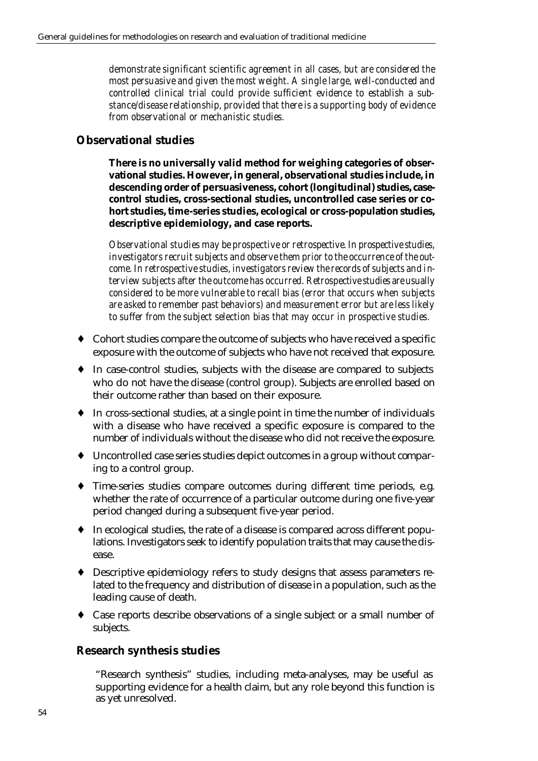*demonstrate significant scientific agreement in all cases, but are considered the most persuasive and given the most weight. A single large, well-conducted and controlled clinical trial could provide sufficient evidence to establish a substance/disease relationship, provided that there is a supporting body of evidence from observational or mechanistic studies.* 

#### **Observational studies**

**There is no universally valid method for weighing categories of observational studies. However, in general, observational studies include, in descending order of persuasiveness, cohort (longitudinal) studies, casecontrol studies, cross-sectional studies, uncontrolled case series or cohort studies, time-series studies, ecological or cross-population studies, descriptive epidemiology, and case reports.** 

*Observational studies may be prospective or retrospective. In prospective studies, investigators recruit subjects and observe them prior to the occurrence of the outcome. In retrospective studies, investigators review the records of subjects and interview subjects after the outcome has occurred. Retrospective studies are usually considered to be more vulnerable to recall bias (error that occurs when subjects are asked to remember past behaviors) and measurement error but are less likely to suffer from the subject selection bias that may occur in prospective studies.* 

- ♦ Cohort studies compare the outcome of subjects who have received a specific exposure with the outcome of subjects who have not received that exposure.
- ♦ In case-control studies, subjects with the disease are compared to subjects who do not have the disease (control group). Subjects are enrolled based on their outcome rather than based on their exposure.
- ♦ In cross-sectional studies, at a single point in time the number of individuals with a disease who have received a specific exposure is compared to the number of individuals without the disease who did not receive the exposure.
- ♦ Uncontrolled case series studies depict outcomes in a group without comparing to a control group.
- ♦ Time-series studies compare outcomes during different time periods, e.g. whether the rate of occurrence of a particular outcome during one five-year period changed during a subsequent five-year period.
- ♦ In ecological studies, the rate of a disease is compared across different populations. Investigators seek to identify population traits that may cause the disease.
- ♦ Descriptive epidemiology refers to study designs that assess parameters related to the frequency and distribution of disease in a population, such as the leading cause of death.
- ♦ Case reports describe observations of a single subject or a small number of subjects.

#### **Research synthesis studies**

"Research synthesis" studies, including meta-analyses, may be useful as supporting evidence for a health claim, but any role beyond this function is as yet unresolved.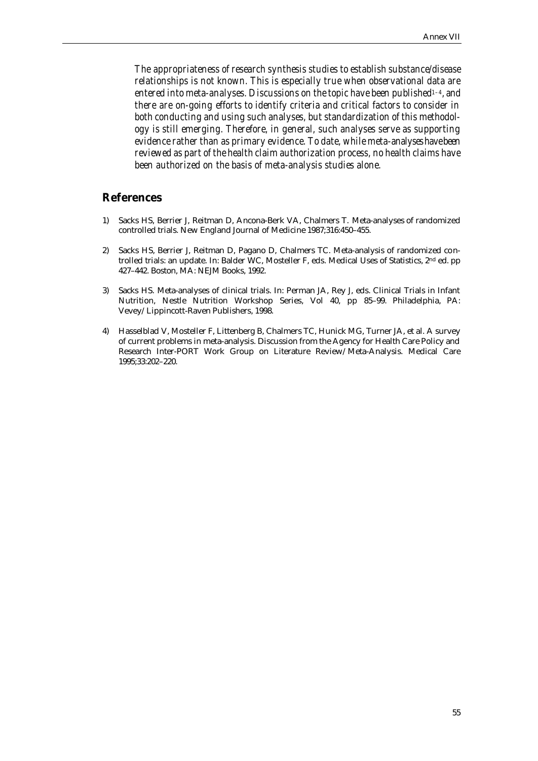*The appropriateness of research synthesis studies to establish substance/disease relationships is not known. This is especially true when observational data are entered into meta-analyses. Discussions on the topic have been published1–4, and there are on-going efforts to identify criteria and critical factors to consider in both conducting and using such analyses, but standardization of this methodology is still emerging. Therefore, in general, such analyses serve as supporting evidence rather than as primary evidence. To date, while meta-analyses have been reviewed as part of the health claim authorization process, no health claims have been authorized on the basis of meta-analysis studies alone.*

#### **References**

- 1) Sacks HS, Berrier J, Reitman D, Ancona-Berk VA, Chalmers T. Meta-analyses of randomized controlled trials. New England Journal of Medicine 1987;316:450–455.
- 2) Sacks HS, Berrier J, Reitman D, Pagano D, Chalmers TC. Meta-analysis of randomized controlled trials: an update. In: Balder WC, Mosteller F, eds. Medical Uses of Statistics, 2<sup>nd</sup> ed. pp 427–442. Boston, MA: NEJM Books, 1992.
- 3) Sacks HS. Meta-analyses of clinical trials. In: Perman JA, Rey J, eds. Clinical Trials in Infant Nutrition, Nestle Nutrition Workshop Series, Vol 40, pp 85–99. Philadelphia, PA: Vevey/Lippincott-Raven Publishers, 1998.
- 4) Hasselblad V, Mosteller F, Littenberg B, Chalmers TC, Hunick MG, Turner JA, et al. A survey of current problems in meta-analysis. Discussion from the Agency for Health Care Policy and Research Inter-PORT Work Group on Literature Review/Meta-Analysis. Medical Care 1995;33:202–220.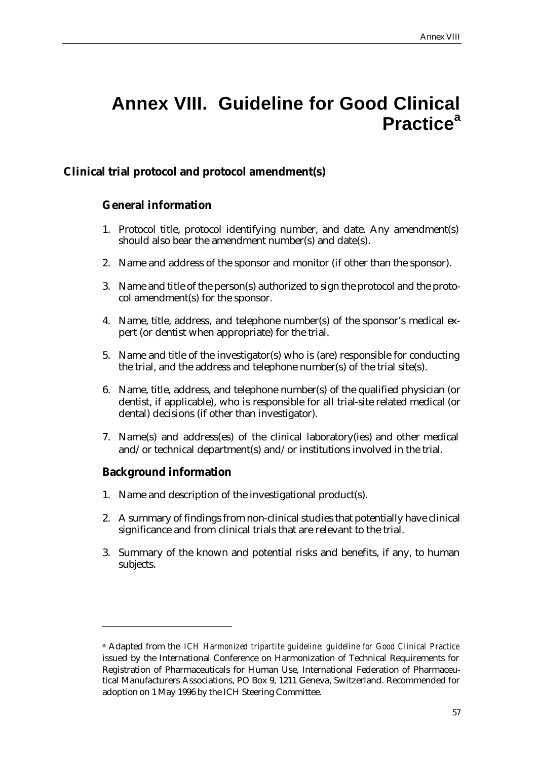# **Annex VIII. Guideline for Good Clinical Practice<sup>a</sup>**

## **Clinical trial protocol and protocol amendment(s)**

## **General information**

- 1. Protocol title, protocol identifying number, and date. Any amendment(s) should also bear the amendment number(s) and date(s).
- 2. Name and address of the sponsor and monitor (if other than the sponsor).
- 3. Name and title of the person(s) authorized to sign the protocol and the protocol amendment(s) for the sponsor.
- 4. Name, title, address, and telephone number(s) of the sponsor's medical expert (or dentist when appropriate) for the trial.
- 5. Name and title of the investigator(s) who is (are) responsible for conducting the trial, and the address and telephone number(s) of the trial site(s).
- 6. Name, title, address, and telephone number(s) of the qualified physician (or dentist, if applicable), who is responsible for all trial-site related medical (or dental) decisions (if other than investigator).
- 7. Name(s) and address(es) of the clinical laboratory(ies) and other medical and/or technical department(s) and/or institutions involved in the trial.

## **Background information**

 $\overline{a}$ 

- 1. Name and description of the investigational product(s).
- 2. A summary of findings from non-clinical studies that potentially have clinical significance and from clinical trials that are relevant to the trial.
- 3. Summary of the known and potential risks and benefits, if any, to human subjects.

<sup>a</sup> Adapted from the *ICH Harmonized tripartite guideline: guideline for Good Clinical Practice*  issued by the International Conference on Harmonization of Technical Requirements for Registration of Pharmaceuticals for Human Use, International Federation of Pharmaceutical Manufacturers Associations, PO Box 9, 1211 Geneva, Switzerland. Recommended for adoption on 1 May 1996 by the ICH Steering Committee.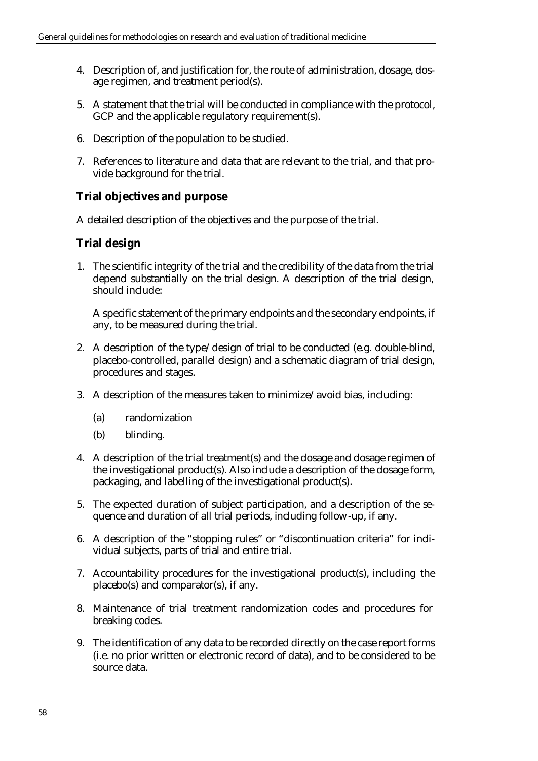- 4. Description of, and justification for, the route of administration, dosage, dosage regimen, and treatment period(s).
- 5. A statement that the trial will be conducted in compliance with the protocol, GCP and the applicable regulatory requirement(s).
- 6. Description of the population to be studied.
- 7. References to literature and data that are relevant to the trial, and that provide background for the trial.

## **Trial objectives and purpose**

A detailed description of the objectives and the purpose of the trial.

## **Trial design**

1. The scientific integrity of the trial and the credibility of the data from the trial depend substantially on the trial design. A description of the trial design, should include:

A specific statement of the primary endpoints and the secondary endpoints, if any, to be measured during the trial.

- 2. A description of the type/design of trial to be conducted (e.g. double-blind, placebo-controlled, parallel design) and a schematic diagram of trial design, procedures and stages.
- 3. A description of the measures taken to minimize/avoid bias, including:
	- (a) randomization
	- (b) blinding.
- 4. A description of the trial treatment(s) and the dosage and dosage regimen of the investigational product(s). Also include a description of the dosage form, packaging, and labelling of the investigational product(s).
- 5. The expected duration of subject participation, and a description of the sequence and duration of all trial periods, including follow-up, if any.
- 6. A description of the "stopping rules" or "discontinuation criteria" for individual subjects, parts of trial and entire trial.
- 7. Accountability procedures for the investigational product(s), including the placebo(s) and comparator(s), if any.
- 8. Maintenance of trial treatment randomization codes and procedures for breaking codes.
- 9. The identification of any data to be recorded directly on the case report forms (i.e. no prior written or electronic record of data), and to be considered to be source data.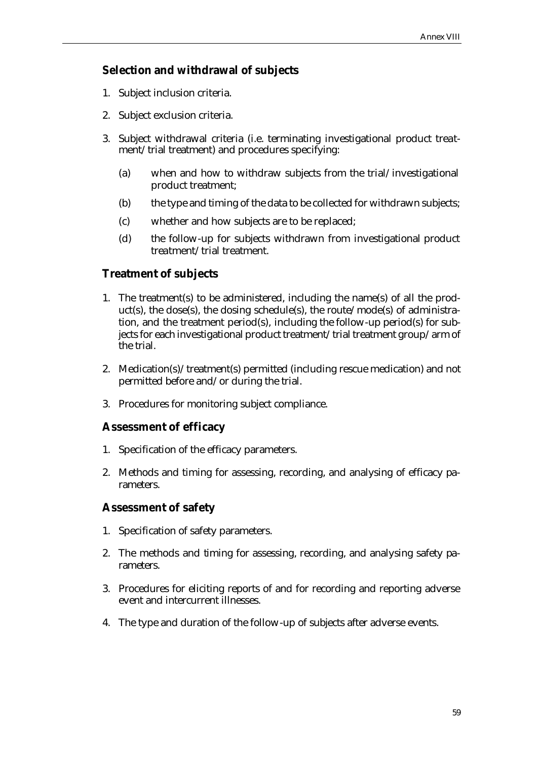## **Selection and withdrawal of subjects**

- 1. Subject inclusion criteria.
- 2. Subject exclusion criteria.
- 3. Subject withdrawal criteria (i.e. terminating investigational product treatment/trial treatment) and procedures specifying:
	- (a) when and how to withdraw subjects from the trial/investigational product treatment;
	- (b) the type and timing of the data to be collected for withdrawn subjects;
	- (c) whether and how subjects are to be replaced;
	- (d) the follow-up for subjects withdrawn from investigational product treatment/trial treatment.

## **Treatment of subjects**

- 1. The treatment(s) to be administered, including the name(s) of all the product(s), the dose(s), the dosing schedule(s), the route/mode(s) of administration, and the treatment period(s), including the follow-up period(s) for subjects for each investigational product treatment/trial treatment group/arm of the trial.
- 2. Medication(s)/treatment(s) permitted (including rescue medication) and not permitted before and/or during the trial.
- 3. Procedures for monitoring subject compliance.

## **Assessment of efficacy**

- 1. Specification of the efficacy parameters.
- 2. Methods and timing for assessing, recording, and analysing of efficacy parameters.

## **Assessment of safety**

- 1. Specification of safety parameters.
- 2. The methods and timing for assessing, recording, and analysing safety parameters.
- 3. Procedures for eliciting reports of and for recording and reporting adverse event and intercurrent illnesses.
- 4. The type and duration of the follow-up of subjects after adverse events.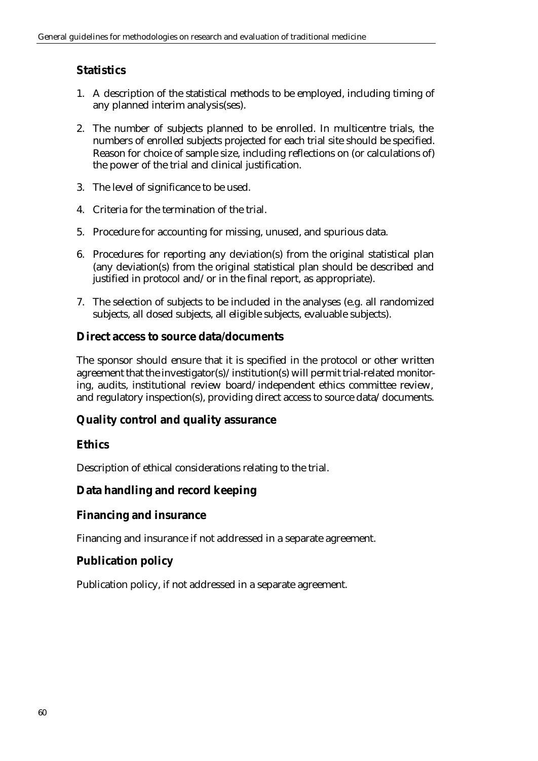# **Statistics**

- 1. A description of the statistical methods to be employed, including timing of any planned interim analysis(ses).
- 2. The number of subjects planned to be enrolled. In multicentre trials, the numbers of enrolled subjects projected for each trial site should be specified. Reason for choice of sample size, including reflections on (or calculations of) the power of the trial and clinical justification.
- 3. The level of significance to be used.
- 4. Criteria for the termination of the trial.
- 5. Procedure for accounting for missing, unused, and spurious data.
- 6. Procedures for reporting any deviation(s) from the original statistical plan (any deviation(s) from the original statistical plan should be described and justified in protocol and/or in the final report, as appropriate).
- 7. The selection of subjects to be included in the analyses (e.g. all randomized subjects, all dosed subjects, all eligible subjects, evaluable subjects).

#### **Direct access to source data/documents**

The sponsor should ensure that it is specified in the protocol or other written agreement that the investigator(s)/institution(s) will permit trial-related monitoring, audits, institutional review board/independent ethics committee review, and regulatory inspection(s), providing direct access to source data/documents.

## **Quality control and quality assurance**

## **Ethics**

Description of ethical considerations relating to the trial.

## **Data handling and record keeping**

#### **Financing and insurance**

Financing and insurance if not addressed in a separate agreement.

## **Publication policy**

Publication policy, if not addressed in a separate agreement.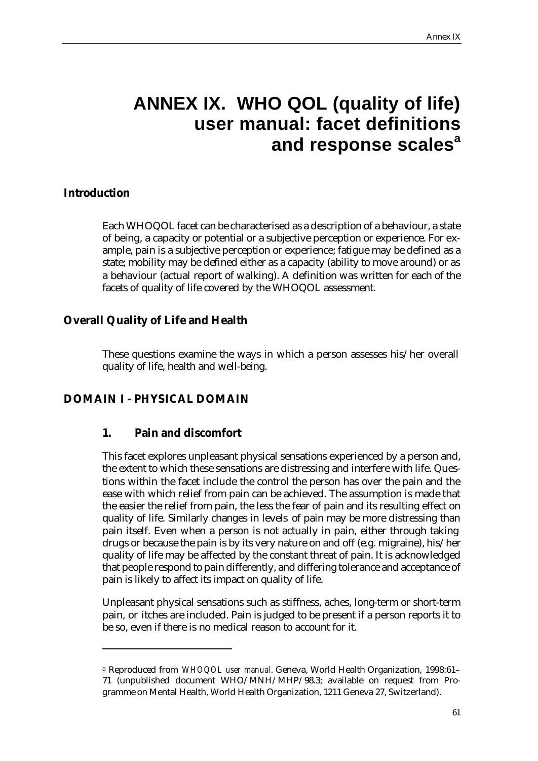# **ANNEX IX. WHO QOL (quality of life) user manual: facet definitions and response scales<sup>a</sup>**

#### **Introduction**

 $\overline{a}$ 

Each WHOQOL facet can be characterised as a description of a behaviour, a state of being, a capacity or potential or a subjective perception or experience. For example, pain is a subjective perception or experience; fatigue may be defined as a state; mobility may be defined either as a capacity (ability to move around) or as a behaviour (actual report of walking). A definition was written for each of the facets of quality of life covered by the WHOQOL assessment.

## **Overall Quality of Life and Health**

These questions examine the ways in which a person assesses his/her overall quality of life, health and well-being.

## **DOMAIN I - PHYSICAL DOMAIN**

#### **1. Pain and discomfort**

This facet explores unpleasant physical sensations experienced by a person and, the extent to which these sensations are distressing and interfere with life. Questions within the facet include the control the person has over the pain and the ease with which relief from pain can be achieved. The assumption is made that the easier the relief from pain, the less the fear of pain and its resulting effect on quality of life. Similarly changes in levels of pain may be more distressing than pain itself. Even when a person is not actually in pain, either through taking drugs or because the pain is by its very nature on and off (e.g. migraine), his/her quality of life may be affected by the constant threat of pain. It is acknowledged that people respond to pain differently, and differing tolerance and acceptance of pain is likely to affect its impact on quality of life.

Unpleasant physical sensations such as stiffness, aches, long-term or short-term pain, or itches are included. Pain is judged to be present if a person reports it to be so, even if there is no medical reason to account for it.

<sup>a</sup> Reproduced from *WHOQOL user manual*. Geneva, World Health Organization, 1998:61– 71 (unpublished document WHO/MNH/MHP/98.3; available on request from Programme on Mental Health, World Health Organization, 1211 Geneva 27, Switzerland).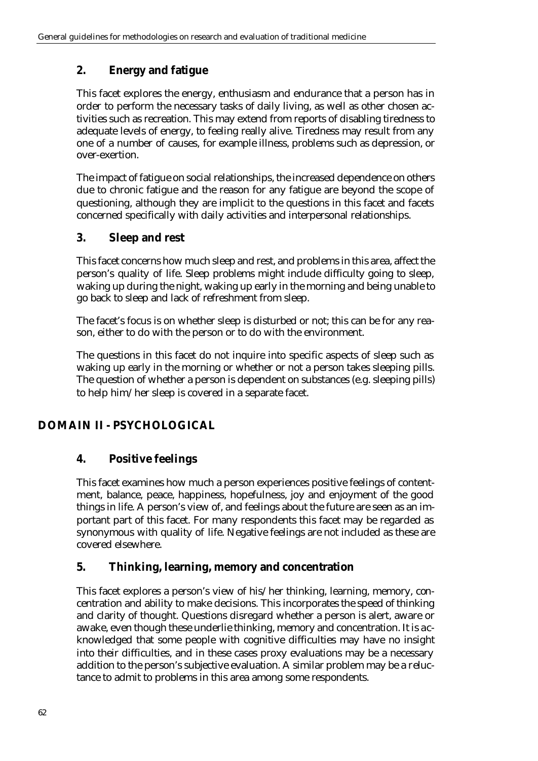# **2. Energy and fatigue**

This facet explores the energy, enthusiasm and endurance that a person has in order to perform the necessary tasks of daily living, as well as other chosen activities such as recreation. This may extend from reports of disabling tiredness to adequate levels of energy, to feeling really alive. Tiredness may result from any one of a number of causes, for example illness, problems such as depression, or over-exertion.

The impact of fatigue on social relationships, the increased dependence on others due to chronic fatigue and the reason for any fatigue are beyond the scope of questioning, although they are implicit to the questions in this facet and facets concerned specifically with daily activities and interpersonal relationships.

## **3. Sleep and rest**

This facet concerns how much sleep and rest, and problems in this area, affect the person's quality of life. Sleep problems might include difficulty going to sleep, waking up during the night, waking up early in the morning and being unable to go back to sleep and lack of refreshment from sleep.

The facet's focus is on whether sleep is disturbed or not; this can be for any reason, either to do with the person or to do with the environment.

The questions in this facet do not inquire into specific aspects of sleep such as waking up early in the morning or whether or not a person takes sleeping pills. The question of whether a person is dependent on substances (e.g. sleeping pills) to help him/her sleep is covered in a separate facet.

# **DOMAIN II - PSYCHOLOGICAL**

## **4. Positive feelings**

This facet examines how much a person experiences positive feelings of contentment, balance, peace, happiness, hopefulness, joy and enjoyment of the good things in life. A person's view of, and feelings about the future are seen as an important part of this facet. For many respondents this facet may be regarded as synonymous with quality of life. Negative feelings are not included as these are covered elsewhere.

## **5. Thinking, learning, memory and concentration**

This facet explores a person's view of his/her thinking, learning, memory, concentration and ability to make decisions. This incorporates the speed of thinking and clarity of thought. Questions disregard whether a person is alert, aware or awake, even though these underlie thinking, memory and concentration. It is acknowledged that some people with cognitive difficulties may have no insight into their difficulties, and in these cases proxy evaluations may be a necessary addition to the person's subjective evaluation. A similar problem may be a reluctance to admit to problems in this area among some respondents.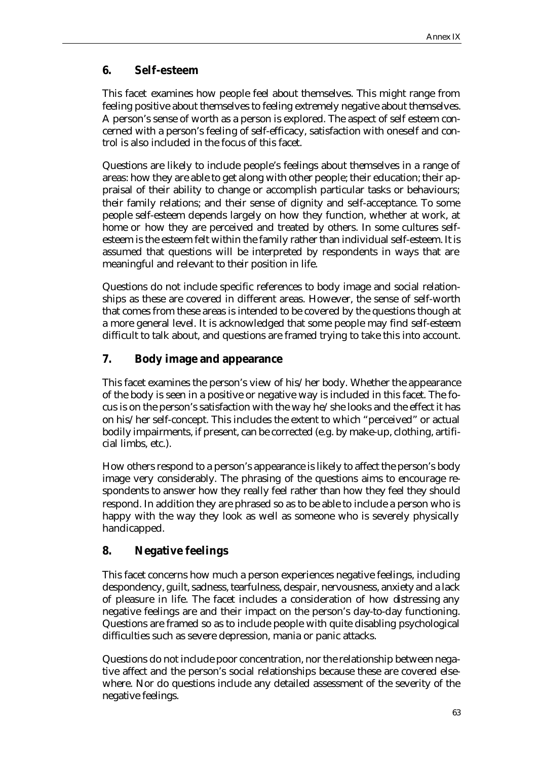## **6. Self-esteem**

This facet examines how people feel about themselves. This might range from feeling positive about themselves to feeling extremely negative about themselves. A person's sense of worth as a person is explored. The aspect of self esteem concerned with a person's feeling of self-efficacy, satisfaction with oneself and control is also included in the focus of this facet.

Questions are likely to include people's feelings about themselves in a range of areas: how they are able to get along with other people; their education; their appraisal of their ability to change or accomplish particular tasks or behaviours; their family relations; and their sense of dignity and self-acceptance. To some people self-esteem depends largely on how they function, whether at work, at home or how they are perceived and treated by others. In some cultures selfesteem is the esteem felt within the family rather than individual self-esteem. It is assumed that questions will be interpreted by respondents in ways that are meaningful and relevant to their position in life.

Questions do not include specific references to body image and social relationships as these are covered in different areas. However, the sense of self-worth that comes from these areas is intended to be covered by the questions though at a more general level. It is acknowledged that some people may find self-esteem difficult to talk about, and questions are framed trying to take this into account.

## **7. Body image and appearance**

This facet examines the person's view of his/her body. Whether the appearance of the body is seen in a positive or negative way is included in this facet. The focus is on the person's satisfaction with the way he/she looks and the effect it has on his/her self-concept. This includes the extent to which "perceived" or actual bodily impairments, if present, can be corrected (e.g. by make-up, clothing, artificial limbs, etc.).

How others respond to a person's appearance is likely to affect the person's body image very considerably. The phrasing of the questions aims to encourage respondents to answer how they really feel rather than how they feel they should respond. In addition they are phrased so as to be able to include a person who is happy with the way they look as well as someone who is severely physically handicapped.

## **8. Negative feelings**

This facet concerns how much a person experiences negative feelings, including despondency, guilt, sadness, tearfulness, despair, nervousness, anxiety and a lack of pleasure in life. The facet includes a consideration of how distressing any negative feelings are and their impact on the person's day-to-day functioning. Questions are framed so as to include people with quite disabling psychological difficulties such as severe depression, mania or panic attacks.

Questions do not include poor concentration, nor the relationship between negative affect and the person's social relationships because these are covered elsewhere. Nor do questions include any detailed assessment of the severity of the negative feelings.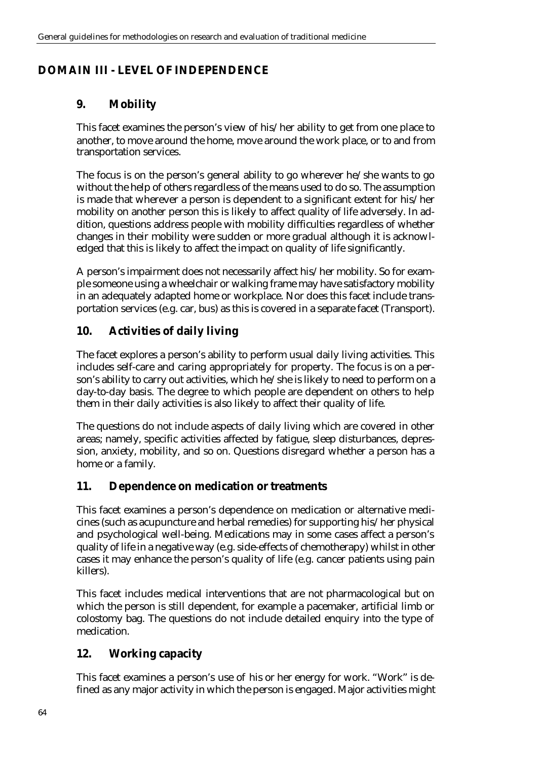## **DOMAIN III - LEVEL OF INDEPENDENCE**

## **9. Mobility**

This facet examines the person's view of his/her ability to get from one place to another, to move around the home, move around the work place, or to and from transportation services.

The focus is on the person's general ability to go wherever he/she wants to go without the help of others regardless of the means used to do so. The assumption is made that wherever a person is dependent to a significant extent for his/her mobility on another person this is likely to affect quality of life adversely. In addition, questions address people with mobility difficulties regardless of whether changes in their mobility were sudden or more gradual although it is acknowledged that this is likely to affect the impact on quality of life significantly.

A person's impairment does not necessarily affect his/her mobility. So for example someone using a wheelchair or walking frame may have satisfactory mobility in an adequately adapted home or workplace. Nor does this facet include transportation services (e.g. car, bus) as this is covered in a separate facet (Transport).

# **10. Activities of daily living**

The facet explores a person's ability to perform usual daily living activities. This includes self-care and caring appropriately for property. The focus is on a person's ability to carry out activities, which he/she is likely to need to perform on a day-to-day basis. The degree to which people are dependent on others to help them in their daily activities is also likely to affect their quality of life.

The questions do not include aspects of daily living which are covered in other areas; namely, specific activities affected by fatigue, sleep disturbances, depression, anxiety, mobility, and so on. Questions disregard whether a person has a home or a family.

## **11. Dependence on medication or treatments**

This facet examines a person's dependence on medication or alternative medicines (such as acupuncture and herbal remedies) for supporting his/her physical and psychological well-being. Medications may in some cases affect a person's quality of life in a negative way (e.g. side-effects of chemotherapy) whilst in other cases it may enhance the person's quality of life (e.g. cancer patients using pain killers).

This facet includes medical interventions that are not pharmacological but on which the person is still dependent, for example a pacemaker, artificial limb or colostomy bag. The questions do not include detailed enquiry into the type of medication.

## **12. Working capacity**

This facet examines a person's use of his or her energy for work. "Work" is defined as any major activity in which the person is engaged. Major activities might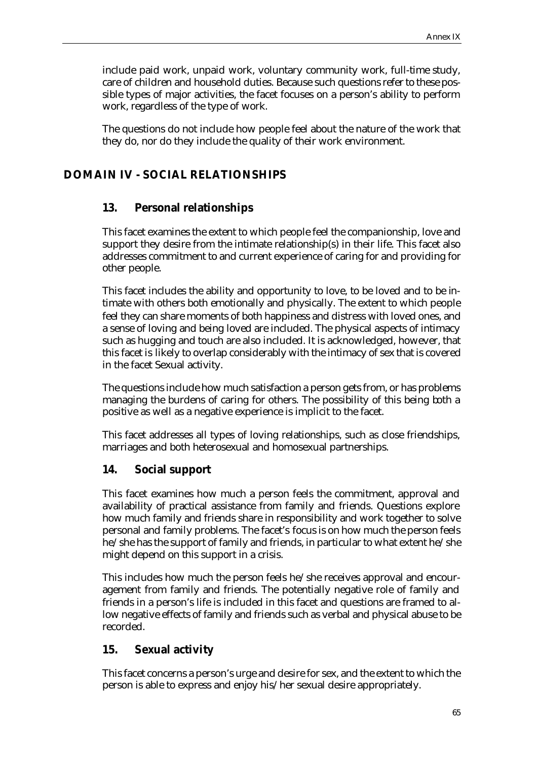include paid work, unpaid work, voluntary community work, full-time study, care of children and household duties. Because such questions refer to these possible types of major activities, the facet focuses on a person's ability to perform work, regardless of the type of work.

The questions do not include how people feel about the nature of the work that they do, nor do they include the quality of their work environment.

#### **DOMAIN IV - SOCIAL RELATIONSHIPS**

#### **13. Personal relationships**

This facet examines the extent to which people feel the companionship, love and support they desire from the intimate relationship(s) in their life. This facet also addresses commitment to and current experience of caring for and providing for other people.

This facet includes the ability and opportunity to love, to be loved and to be intimate with others both emotionally and physically. The extent to which people feel they can share moments of both happiness and distress with loved ones, and a sense of loving and being loved are included. The physical aspects of intimacy such as hugging and touch are also included. It is acknowledged, however, that this facet is likely to overlap considerably with the intimacy of sex that is covered in the facet Sexual activity.

The questions include how much satisfaction a person gets from, or has problems managing the burdens of caring for others. The possibility of this being both a positive as well as a negative experience is implicit to the facet.

This facet addresses all types of loving relationships, such as close friendships, marriages and both heterosexual and homosexual partnerships.

#### **14. Social support**

This facet examines how much a person feels the commitment, approval and availability of practical assistance from family and friends. Questions explore how much family and friends share in responsibility and work together to solve personal and family problems. The facet's focus is on how much the person feels he/she has the support of family and friends, in particular to what extent he/she might depend on this support in a crisis.

This includes how much the person feels he/she receives approval and encouragement from family and friends. The potentially negative role of family and friends in a person's life is included in this facet and questions are framed to allow negative effects of family and friends such as verbal and physical abuse to be recorded.

#### **15. Sexual activity**

This facet concerns a person's urge and desire for sex, and the extent to which the person is able to express and enjoy his/her sexual desire appropriately.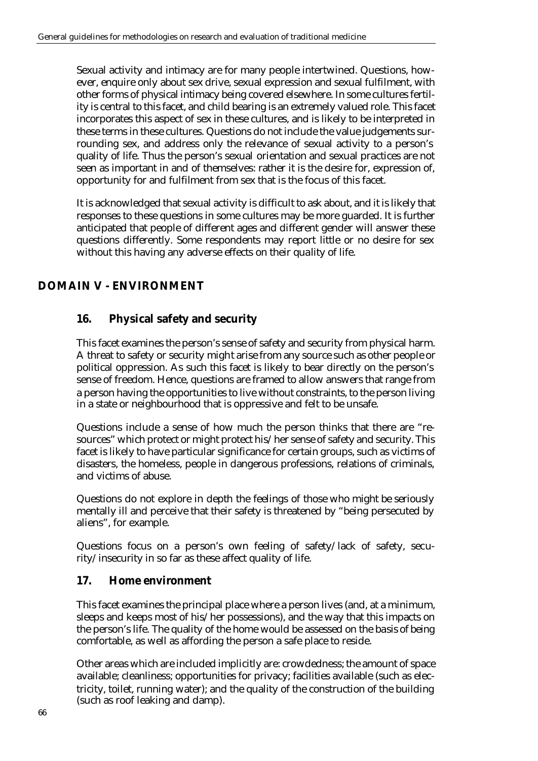Sexual activity and intimacy are for many people intertwined. Questions, however, enquire only about sex drive, sexual expression and sexual fulfilment, with other forms of physical intimacy being covered elsewhere. In some cultures fertility is central to this facet, and child bearing is an extremely valued role. This facet incorporates this aspect of sex in these cultures, and is likely to be interpreted in these terms in these cultures. Questions do not include the value judgements surrounding sex, and address only the relevance of sexual activity to a person's quality of life. Thus the person's sexual orientation and sexual practices are not seen as important in and of themselves: rather it is the desire for, expression of, opportunity for and fulfilment from sex that is the focus of this facet.

It is acknowledged that sexual activity is difficult to ask about, and it is likely that responses to these questions in some cultures may be more guarded. It is further anticipated that people of different ages and different gender will answer these questions differently. Some respondents may report little or no desire for sex without this having any adverse effects on their quality of life.

# **DOMAIN V - ENVIRONMENT**

## **16. Physical safety and security**

This facet examines the person's sense of safety and security from physical harm. A threat to safety or security might arise from any source such as other people or political oppression. As such this facet is likely to bear directly on the person's sense of freedom. Hence, questions are framed to allow answers that range from a person having the opportunities to live without constraints, to the person living in a state or neighbourhood that is oppressive and felt to be unsafe.

Questions include a sense of how much the person thinks that there are "resources" which protect or might protect his/her sense of safety and security. This facet is likely to have particular significance for certain groups, such as victims of disasters, the homeless, people in dangerous professions, relations of criminals, and victims of abuse.

Questions do not explore in depth the feelings of those who might be seriously mentally ill and perceive that their safety is threatened by "being persecuted by aliens", for example.

Questions focus on a person's own feeling of safety/lack of safety, security/insecurity in so far as these affect quality of life.

#### **17. Home environment**

This facet examines the principal place where a person lives (and, at a minimum, sleeps and keeps most of his/her possessions), and the way that this impacts on the person's life. The quality of the home would be assessed on the basis of being comfortable, as well as affording the person a safe place to reside.

Other areas which are included implicitly are: crowdedness; the amount of space available; cleanliness; opportunities for privacy; facilities available (such as electricity, toilet, running water); and the quality of the construction of the building (such as roof leaking and damp).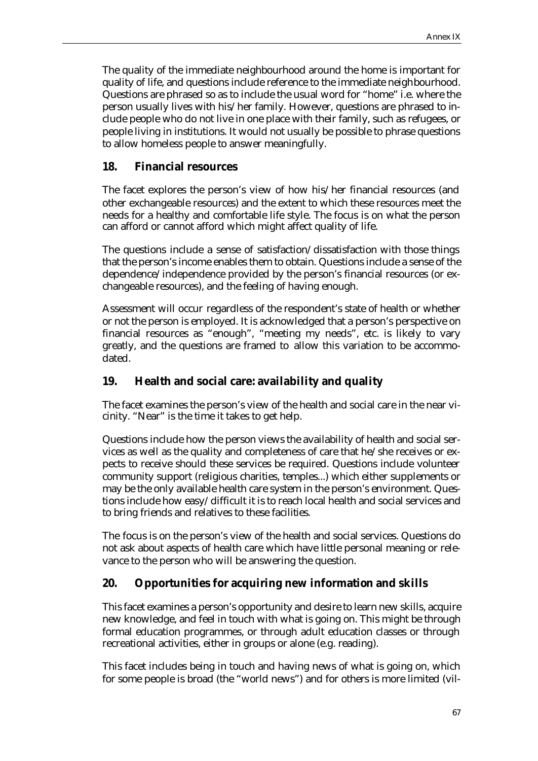The quality of the immediate neighbourhood around the home is important for quality of life, and questions include reference to the immediate neighbourhood. Questions are phrased so as to include the usual word for "home" i.e. where the person usually lives with his/her family. However, questions are phrased to include people who do not live in one place with their family, such as refugees, or people living in institutions. It would not usually be possible to phrase questions to allow homeless people to answer meaningfully.

## **18. Financial resources**

The facet explores the person's view of how his/her financial resources (and other exchangeable resources) and the extent to which these resources meet the needs for a healthy and comfortable life style. The focus is on what the person can afford or cannot afford which might affect quality of life.

The questions include a sense of satisfaction/dissatisfaction with those things that the person's income enables them to obtain. Questions include a sense of the dependence/independence provided by the person's financial resources (or exchangeable resources), and the feeling of having enough.

Assessment will occur regardless of the respondent's state of health or whether or not the person is employed. It is acknowledged that a person's perspective on financial resources as "enough", "meeting my needs", etc. is likely to vary greatly, and the questions are framed to allow this variation to be accommodated.

## **19. Health and social care: availability and quality**

The facet examines the person's view of the health and social care in the near vicinity. "Near" is the time it takes to get help.

Questions include how the person views the availability of health and social services as well as the quality and completeness of care that he/she receives or expects to receive should these services be required. Questions include volunteer community support (religious charities, temples...) which either supplements or may be the only available health care system in the person's environment. Questions include how easy/difficult it is to reach local health and social services and to bring friends and relatives to these facilities.

The focus is on the person's view of the health and social services. Questions do not ask about aspects of health care which have little personal meaning or relevance to the person who will be answering the question.

## **20. Opportunities for acquiring new information and skills**

This facet examines a person's opportunity and desire to learn new skills, acquire new knowledge, and feel in touch with what is going on. This might be through formal education programmes, or through adult education classes or through recreational activities, either in groups or alone (e.g. reading).

This facet includes being in touch and having news of what is going on, which for some people is broad (the "world news") and for others is more limited (vil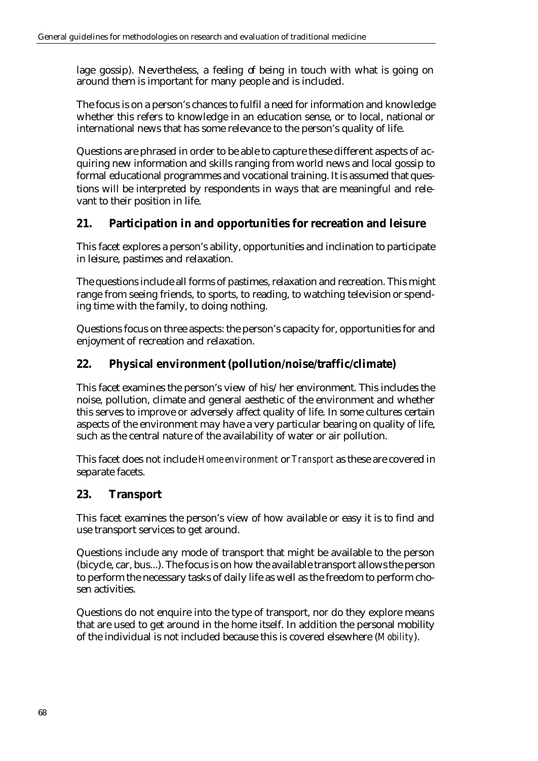lage gossip). Nevertheless, a feeling of being in touch with what is going on around them is important for many people and is included.

The focus is on a person's chances to fulfil a need for information and knowledge whether this refers to knowledge in an education sense, or to local, national or international news that has some relevance to the person's quality of life.

Questions are phrased in order to be able to capture these different aspects of acquiring new information and skills ranging from world news and local gossip to formal educational programmes and vocational training. It is assumed that questions will be interpreted by respondents in ways that are meaningful and relevant to their position in life.

# **21. Participation in and opportunities for recreation and leisure**

This facet explores a person's ability, opportunities and inclination to participate in leisure, pastimes and relaxation.

The questions include all forms of pastimes, relaxation and recreation. This might range from seeing friends, to sports, to reading, to watching television or spending time with the family, to doing nothing.

Questions focus on three aspects: the person's capacity for, opportunities for and enjoyment of recreation and relaxation.

# **22. Physical environment (pollution/noise/traffic/climate)**

This facet examines the person's view of his/her environment. This includes the noise, pollution, climate and general aesthetic of the environment and whether this serves to improve or adversely affect quality of life. In some cultures certain aspects of the environment may have a very particular bearing on quality of life, such as the central nature of the availability of water or air pollution.

This facet does not include *Home environment* or *Transport* as these are covered in separate facets.

## **23. Transport**

This facet examines the person's view of how available or easy it is to find and use transport services to get around.

Questions include any mode of transport that might be available to the person (bicycle, car, bus...). The focus is on how the available transport allows the person to perform the necessary tasks of daily life as well as the freedom to perform chosen activities.

Questions do not enquire into the type of transport, nor do they explore means that are used to get around in the home itself. In addition the personal mobility of the individual is not included because this is covered elsewhere (*Mobility*).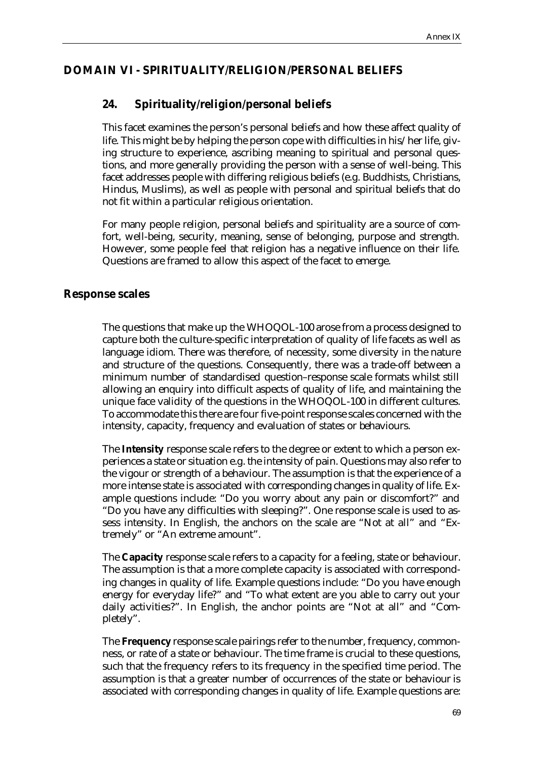### **DOMAIN VI - SPIRITUALITY/RELIGION/PERSONAL BELIEFS**

## **24. Spirituality/religion/personal beliefs**

This facet examines the person's personal beliefs and how these affect quality of life. This might be by helping the person cope with difficulties in his/her life, giving structure to experience, ascribing meaning to spiritual and personal questions, and more generally providing the person with a sense of well-being. This facet addresses people with differing religious beliefs (e.g. Buddhists, Christians, Hindus, Muslims), as well as people with personal and spiritual beliefs that do not fit within a particular religious orientation.

For many people religion, personal beliefs and spirituality are a source of comfort, well-being, security, meaning, sense of belonging, purpose and strength. However, some people feel that religion has a negative influence on their life. Questions are framed to allow this aspect of the facet to emerge.

#### **Response scales**

The questions that make up the WHOQOL-100 arose from a process designed to capture both the culture-specific interpretation of quality of life facets as well as language idiom. There was therefore, of necessity, some diversity in the nature and structure of the questions. Consequently, there was a trade-off between a minimum number of standardised question–response scale formats whilst still allowing an enquiry into difficult aspects of quality of life, and maintaining the unique face validity of the questions in the WHOQOL-100 in different cultures. To accommodate this there are four five-point response scales concerned with the intensity, capacity, frequency and evaluation of states or behaviours.

The **Intensity** response scale refers to the degree or extent to which a person experiences a state or situation e.g. the intensity of pain. Questions may also refer to the vigour or strength of a behaviour. The assumption is that the experience of a more intense state is associated with corresponding changes in quality of life. Example questions include: "Do you worry about any pain or discomfort?" and "Do you have any difficulties with sleeping?". One response scale is used to assess intensity. In English, the anchors on the scale are "Not at all" and "Extremely" or "An extreme amount".

The **Capacity** response scale refers to a capacity for a feeling, state or behaviour. The assumption is that a more complete capacity is associated with corresponding changes in quality of life. Example questions include: "Do you have enough energy for everyday life?" and "To what extent are you able to carry out your daily activities?". In English, the anchor points are "Not at all" and "Completely".

The **Frequency** response scale pairings refer to the number, frequency, commonness, or rate of a state or behaviour. The time frame is crucial to these questions, such that the frequency refers to its frequency in the specified time period. The assumption is that a greater number of occurrences of the state or behaviour is associated with corresponding changes in quality of life. Example questions are: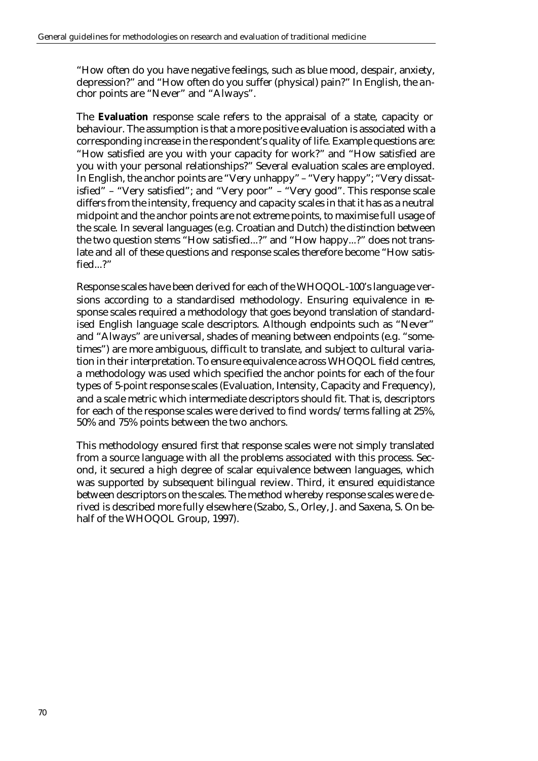"How often do you have negative feelings, such as blue mood, despair, anxiety, depression?" and "How often do you suffer (physical) pain?" In English, the anchor points are "Never" and "Always".

The **Evaluation** response scale refers to the appraisal of a state, capacity or behaviour. The assumption is that a more positive evaluation is associated with a corresponding increase in the respondent's quality of life. Example questions are: "How satisfied are you with your capacity for work?" and "How satisfied are you with your personal relationships?" Several evaluation scales are employed. In English, the anchor points are "Very unhappy" – "Very happy"; "Very dissatisfied" – "Very satisfied"; and "Very poor" – "Very good". This response scale differs from the intensity, frequency and capacity scales in that it has as a neutral midpoint and the anchor points are not extreme points, to maximise full usage of the scale. In several languages (e.g. Croatian and Dutch) the distinction between the two question stems "How satisfied...?" and "How happy...?" does not translate and all of these questions and response scales therefore become "How satisfied...?"

Response scales have been derived for each of the WHOQOL-100's language versions according to a standardised methodology. Ensuring equivalence in response scales required a methodology that goes beyond translation of standardised English language scale descriptors. Although endpoints such as "Never" and "Always" are universal, shades of meaning between endpoints (e.g. "sometimes") are more ambiguous, difficult to translate, and subject to cultural variation in their interpretation. To ensure equivalence across WHOQOL field centres, a methodology was used which specified the anchor points for each of the four types of 5-point response scales (Evaluation, Intensity, Capacity and Frequency), and a scale metric which intermediate descriptors should fit. That is, descriptors for each of the response scales were derived to find words/terms falling at 25%, 50% and 75% points between the two anchors.

This methodology ensured first that response scales were not simply translated from a source language with all the problems associated with this process. Second, it secured a high degree of scalar equivalence between languages, which was supported by subsequent bilingual review. Third, it ensured equidistance between descriptors on the scales. The method whereby response scales were derived is described more fully elsewhere (Szabo, S., Orley, J. and Saxena, S. On behalf of the WHOQOL Group, 1997).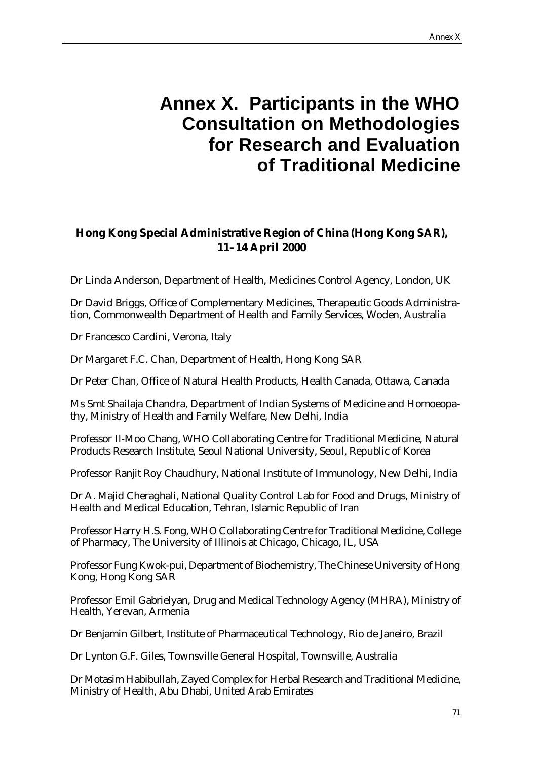# **Annex X. Participants in the WHO Consultation on Methodologies for Research and Evaluation of Traditional Medicine**

# **Hong Kong Special Administrative Region of China (Hong Kong SAR), 11–14 April 2000**

Dr Linda Anderson, Department of Health, Medicines Control Agency, London, UK

Dr David Briggs, Office of Complementary Medicines, Therapeutic Goods Administration, Commonwealth Department of Health and Family Services, Woden, Australia

Dr Francesco Cardini, Verona, Italy

Dr Margaret F.C. Chan, Department of Health, Hong Kong SAR

Dr Peter Chan, Office of Natural Health Products, Health Canada, Ottawa, Canada

Ms Smt Shailaja Chandra, Department of Indian Systems of Medicine and Homoeopathy, Ministry of Health and Family Welfare, New Delhi, India

Professor Il-Moo Chang, WHO Collaborating Centre for Traditional Medicine, Natural Products Research Institute, Seoul National University, Seoul, Republic of Korea

Professor Ranjit Roy Chaudhury, National Institute of Immunology, New Delhi, India

Dr A. Majid Cheraghali, National Quality Control Lab for Food and Drugs, Ministry of Health and Medical Education, Tehran, Islamic Republic of Iran

Professor Harry H.S. Fong, WHO Collaborating Centre for Traditional Medicine, College of Pharmacy, The University of Illinois at Chicago, Chicago, IL, USA

Professor Fung Kwok-pui, Department of Biochemistry, The Chinese University of Hong Kong, Hong Kong SAR

Professor Emil Gabrielyan, Drug and Medical Technology Agency (MHRA), Ministry of Health, Yerevan, Armenia

Dr Benjamin Gilbert, Institute of Pharmaceutical Technology, Rio de Janeiro, Brazil

Dr Lynton G.F. Giles, Townsville General Hospital, Townsville, Australia

Dr Motasim Habibullah, Zayed Complex for Herbal Research and Traditional Medicine, Ministry of Health, Abu Dhabi, United Arab Emirates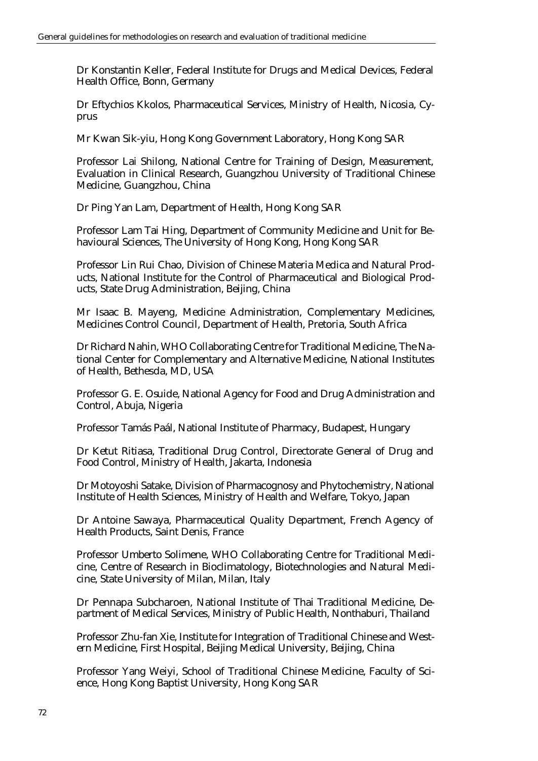Dr Konstantin Keller, Federal Institute for Drugs and Medical Devices, Federal Health Office, Bonn, Germany

Dr Eftychios Kkolos, Pharmaceutical Services, Ministry of Health, Nicosia, Cyprus

Mr Kwan Sik-yiu, Hong Kong Government Laboratory, Hong Kong SAR

Professor Lai Shilong, National Centre for Training of Design, Measurement, Evaluation in Clinical Research, Guangzhou University of Traditional Chinese Medicine, Guangzhou, China

Dr Ping Yan Lam, Department of Health, Hong Kong SAR

Professor Lam Tai Hing, Department of Community Medicine and Unit for Behavioural Sciences, The University of Hong Kong, Hong Kong SAR

Professor Lin Rui Chao, Division of Chinese Materia Medica and Natural Products, National Institute for the Control of Pharmaceutical and Biological Products, State Drug Administration, Beijing, China

Mr Isaac B. Mayeng, Medicine Administration, Complementary Medicines, Medicines Control Council, Department of Health, Pretoria, South Africa

Dr Richard Nahin, WHO Collaborating Centre for Traditional Medicine, The National Center for Complementary and Alternative Medicine, National Institutes of Health, Bethesda, MD, USA

Professor G. E. Osuide, National Agency for Food and Drug Administration and Control, Abuja, Nigeria

Professor Tamás Paál, National Institute of Pharmacy, Budapest, Hungary

Dr Ketut Ritiasa, Traditional Drug Control, Directorate General of Drug and Food Control, Ministry of Health, Jakarta, Indonesia

Dr Motoyoshi Satake, Division of Pharmacognosy and Phytochemistry, National Institute of Health Sciences, Ministry of Health and Welfare, Tokyo, Japan

Dr Antoine Sawaya, Pharmaceutical Quality Department, French Agency of Health Products, Saint Denis, France

Professor Umberto Solimene, WHO Collaborating Centre for Traditional Medicine, Centre of Research in Bioclimatology, Biotechnologies and Natural Medicine, State University of Milan, Milan, Italy

Dr Pennapa Subcharoen, National Institute of Thai Traditional Medicine, Department of Medical Services, Ministry of Public Health, Nonthaburi, Thailand

Professor Zhu-fan Xie, Institute for Integration of Traditional Chinese and Western Medicine, First Hospital, Beijing Medical University, Beijing, China

Professor Yang Weiyi, School of Traditional Chinese Medicine, Faculty of Science, Hong Kong Baptist University, Hong Kong SAR